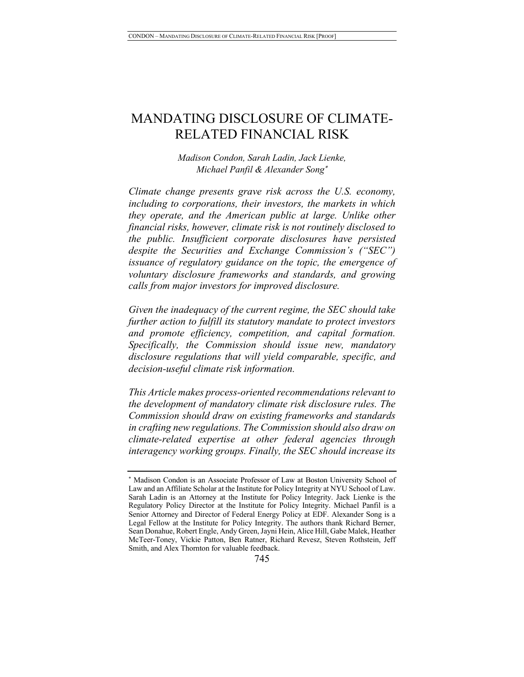# MANDATING DISCLOSURE OF CLIMATE-RELATED FINANCIAL RISK

*Madison Condon, Sarah Ladin, Jack Lienke, Michael Panfil & Alexander Song*\*

*Climate change presents grave risk across the U.S. economy, including to corporations, their investors, the markets in which they operate, and the American public at large. Unlike other financial risks, however, climate risk is not routinely disclosed to the public. Insufficient corporate disclosures have persisted despite the Securities and Exchange Commission's ("SEC") issuance of regulatory guidance on the topic, the emergence of voluntary disclosure frameworks and standards, and growing calls from major investors for improved disclosure.* 

*Given the inadequacy of the current regime, the SEC should take further action to fulfill its statutory mandate to protect investors and promote efficiency, competition, and capital formation. Specifically, the Commission should issue new, mandatory disclosure regulations that will yield comparable, specific, and decision-useful climate risk information.* 

*This Article makes process-oriented recommendations relevant to the development of mandatory climate risk disclosure rules. The Commission should draw on existing frameworks and standards in crafting new regulations. The Commission should also draw on climate-related expertise at other federal agencies through interagency working groups. Finally, the SEC should increase its* 

<sup>\*</sup> Madison Condon is an Associate Professor of Law at Boston University School of Law and an Affiliate Scholar at the Institute for Policy Integrity at NYU School of Law. Sarah Ladin is an Attorney at the Institute for Policy Integrity. Jack Lienke is the Regulatory Policy Director at the Institute for Policy Integrity. Michael Panfil is a Senior Attorney and Director of Federal Energy Policy at EDF. Alexander Song is a Legal Fellow at the Institute for Policy Integrity. The authors thank Richard Berner, Sean Donahue, Robert Engle, Andy Green, Jayni Hein, Alice Hill, Gabe Malek, Heather McTeer-Toney, Vickie Patton, Ben Ratner, Richard Revesz, Steven Rothstein, Jeff Smith, and Alex Thornton for valuable feedback.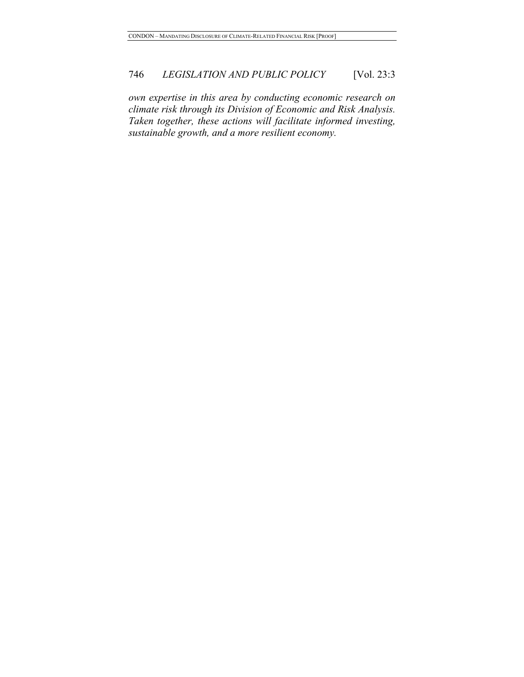*own expertise in this area by conducting economic research on climate risk through its Division of Economic and Risk Analysis. Taken together, these actions will facilitate informed investing, sustainable growth, and a more resilient economy.*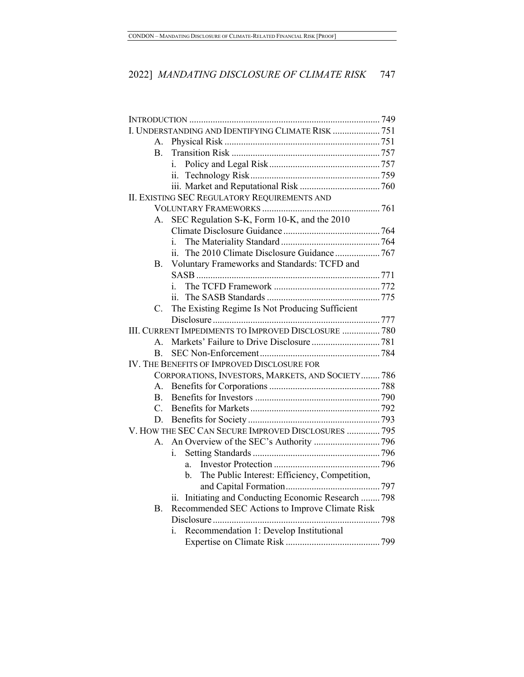| I. UNDERSTANDING AND IDENTIFYING CLIMATE RISK  751   |                |                                                                       |  |  |
|------------------------------------------------------|----------------|-----------------------------------------------------------------------|--|--|
|                                                      | А.             |                                                                       |  |  |
|                                                      | Β.             |                                                                       |  |  |
|                                                      |                | i.                                                                    |  |  |
|                                                      |                | 11.                                                                   |  |  |
|                                                      |                |                                                                       |  |  |
| II. EXISTING SEC REGULATORY REQUIREMENTS AND         |                |                                                                       |  |  |
|                                                      |                |                                                                       |  |  |
|                                                      | А.             | SEC Regulation S-K, Form 10-K, and the 2010                           |  |  |
|                                                      |                |                                                                       |  |  |
|                                                      |                | i.                                                                    |  |  |
|                                                      |                |                                                                       |  |  |
|                                                      | Β.             | Voluntary Frameworks and Standards: TCFD and                          |  |  |
|                                                      |                |                                                                       |  |  |
|                                                      |                | i.                                                                    |  |  |
|                                                      |                |                                                                       |  |  |
|                                                      | C.             | The Existing Regime Is Not Producing Sufficient                       |  |  |
|                                                      |                |                                                                       |  |  |
| III. CURRENT IMPEDIMENTS TO IMPROVED DISCLOSURE  780 |                |                                                                       |  |  |
|                                                      | $\mathsf{A}$ . |                                                                       |  |  |
|                                                      | B.             |                                                                       |  |  |
| IV. THE BENEFITS OF IMPROVED DISCLOSURE FOR          |                |                                                                       |  |  |
| CORPORATIONS, INVESTORS, MARKETS, AND SOCIETY 786    |                |                                                                       |  |  |
|                                                      | А.             |                                                                       |  |  |
|                                                      | $\mathbf{B}$   |                                                                       |  |  |
|                                                      | $C_{\cdot}$    |                                                                       |  |  |
|                                                      | D.             |                                                                       |  |  |
| V. HOW THE SEC CAN SECURE IMPROVED DISCLOSURES  795  |                |                                                                       |  |  |
|                                                      | А.             |                                                                       |  |  |
|                                                      |                | i.                                                                    |  |  |
|                                                      |                | a.                                                                    |  |  |
|                                                      |                | The Public Interest: Efficiency, Competition,<br>b.                   |  |  |
|                                                      |                |                                                                       |  |  |
|                                                      |                | Initiating and Conducting Economic Research  798<br>$\overline{11}$ . |  |  |
|                                                      | В.             | Recommended SEC Actions to Improve Climate Risk                       |  |  |
|                                                      |                |                                                                       |  |  |
|                                                      | i.             | Recommendation 1: Develop Institutional                               |  |  |
|                                                      |                |                                                                       |  |  |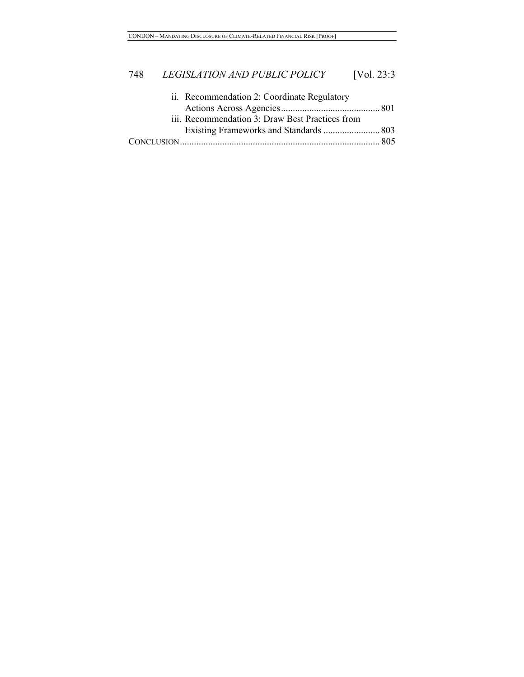| ii. Recommendation 2: Coordinate Regulatory     |  |
|-------------------------------------------------|--|
|                                                 |  |
| iii. Recommendation 3: Draw Best Practices from |  |
| Existing Frameworks and Standards  803          |  |
|                                                 |  |
|                                                 |  |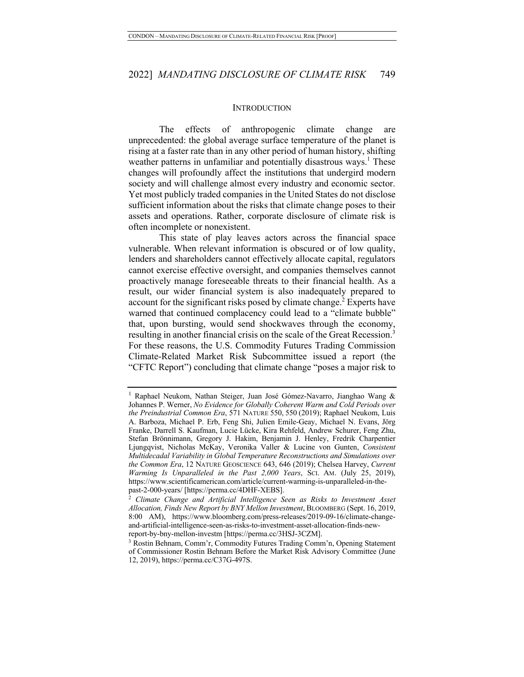#### **INTRODUCTION**

The effects of anthropogenic climate change are unprecedented: the global average surface temperature of the planet is rising at a faster rate than in any other period of human history, shifting weather patterns in unfamiliar and potentially disastrous ways.<sup>1</sup> These changes will profoundly affect the institutions that undergird modern society and will challenge almost every industry and economic sector. Yet most publicly traded companies in the United States do not disclose sufficient information about the risks that climate change poses to their assets and operations. Rather, corporate disclosure of climate risk is often incomplete or nonexistent.

This state of play leaves actors across the financial space vulnerable. When relevant information is obscured or of low quality, lenders and shareholders cannot effectively allocate capital, regulators cannot exercise effective oversight, and companies themselves cannot proactively manage foreseeable threats to their financial health. As a result, our wider financial system is also inadequately prepared to account for the significant risks posed by climate change.<sup>2</sup> Experts have warned that continued complacency could lead to a "climate bubble" that, upon bursting, would send shockwaves through the economy, resulting in another financial crisis on the scale of the Great Recession.<sup>3</sup> For these reasons, the U.S. Commodity Futures Trading Commission Climate-Related Market Risk Subcommittee issued a report (the "CFTC Report") concluding that climate change "poses a major risk to

<sup>1</sup> Raphael Neukom, Nathan Steiger, Juan José Gómez-Navarro, Jianghao Wang & Johannes P. Werner, *No Evidence for Globally Coherent Warm and Cold Periods over the Preindustrial Common Era*, 571 NATURE 550, 550 (2019); Raphael Neukom, Luis A. Barboza, Michael P. Erb, Feng Shi, Julien Emile-Geay, Michael N. Evans, Jörg Franke, Darrell S. Kaufman, Lucie Lücke, Kira Rehfeld, Andrew Schurer, Feng Zhu, Stefan Brönnimann, Gregory J. Hakim, Benjamin J. Henley, Fredrik Charpentier Ljungqvist, Nicholas McKay, Veronika Valler & Lucine von Gunten, *Consistent Multidecadal Variability in Global Temperature Reconstructions and Simulations over the Common Era*, 12 NATURE GEOSCIENCE 643, 646 (2019); Chelsea Harvey, *Current Warming Is Unparalleled in the Past 2,000 Years*, SCI. AM. (July 25, 2019), https://www.scientificamerican.com/article/current-warming-is-unparalleled-in-thepast-2-000-years/ [https://perma.cc/4DHF-XEBS]. 2 *Climate Change and Artificial Intelligence Seen as Risks to Investment Asset* 

*Allocation, Finds New Report by BNY Mellon Investment*, BLOOMBERG (Sept. 16, 2019, 8:00 AM), https://www.bloomberg.com/press-releases/2019-09-16/climate-changeand-artificial-intelligence-seen-as-risks-to-investment-asset-allocation-finds-newreport-by-bny-mellon-investm [https://perma.cc/3HSJ-3CZM].

<sup>3</sup> Rostin Behnam, Comm'r, Commodity Futures Trading Comm'n, Opening Statement of Commissioner Rostin Behnam Before the Market Risk Advisory Committee (June 12, 2019), https://perma.cc/C37G-497S.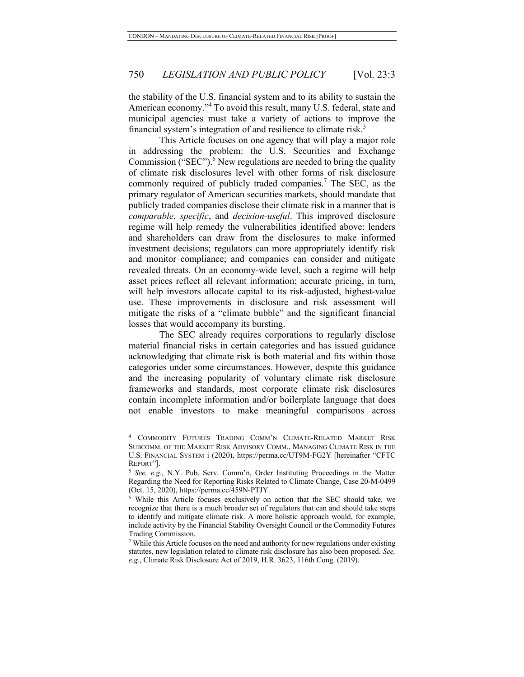the stability of the U.S. financial system and to its ability to sustain the American economy."<sup>4</sup> To avoid this result, many U.S. federal, state and municipal agencies must take a variety of actions to improve the financial system's integration of and resilience to climate risk.<sup>5</sup>

This Article focuses on one agency that will play a major role in addressing the problem: the U.S. Securities and Exchange Commission ("SEC"). $^6$  New regulations are needed to bring the quality of climate risk disclosures level with other forms of risk disclosure commonly required of publicly traded companies.<sup>7</sup> The SEC, as the primary regulator of American securities markets, should mandate that publicly traded companies disclose their climate risk in a manner that is *comparable*, *specific*, and *decision-useful*. This improved disclosure regime will help remedy the vulnerabilities identified above: lenders and shareholders can draw from the disclosures to make informed investment decisions; regulators can more appropriately identify risk and monitor compliance; and companies can consider and mitigate revealed threats. On an economy-wide level, such a regime will help asset prices reflect all relevant information; accurate pricing, in turn, will help investors allocate capital to its risk-adjusted, highest-value use. These improvements in disclosure and risk assessment will mitigate the risks of a "climate bubble" and the significant financial losses that would accompany its bursting.

The SEC already requires corporations to regularly disclose material financial risks in certain categories and has issued guidance acknowledging that climate risk is both material and fits within those categories under some circumstances. However, despite this guidance and the increasing popularity of voluntary climate risk disclosure frameworks and standards, most corporate climate risk disclosures contain incomplete information and/or boilerplate language that does not enable investors to make meaningful comparisons across

<sup>4</sup> COMMODITY FUTURES TRADING COMM'N CLIMATE-RELATED MARKET RISK SUBCOMM. OF THE MARKET RISK ADVISORY COMM., MANAGING CLIMATE RISK IN THE U.S. FINANCIAL SYSTEM i (2020), https://perma.cc/UT9M-FG2Y [hereinafter "CFTC REPORT"].

<sup>5</sup> *See, e.g.*, N.Y. Pub. Serv. Comm'n, Order Instituting Proceedings in the Matter Regarding the Need for Reporting Risks Related to Climate Change, Case 20-M-0499 (Oct. 15, 2020), https://perma.cc/459N-PTJY.

<sup>6</sup> While this Article focuses exclusively on action that the SEC should take, we recognize that there is a much broader set of regulators that can and should take steps to identify and mitigate climate risk. A more holistic approach would, for example, include activity by the Financial Stability Oversight Council or the Commodity Futures Trading Commission.

<sup>7</sup> While this Article focuses on the need and authority for new regulations under existing statutes, new legislation related to climate risk disclosure has also been proposed. *See, e.g.*, Climate Risk Disclosure Act of 2019, H.R. 3623, 116th Cong. (2019).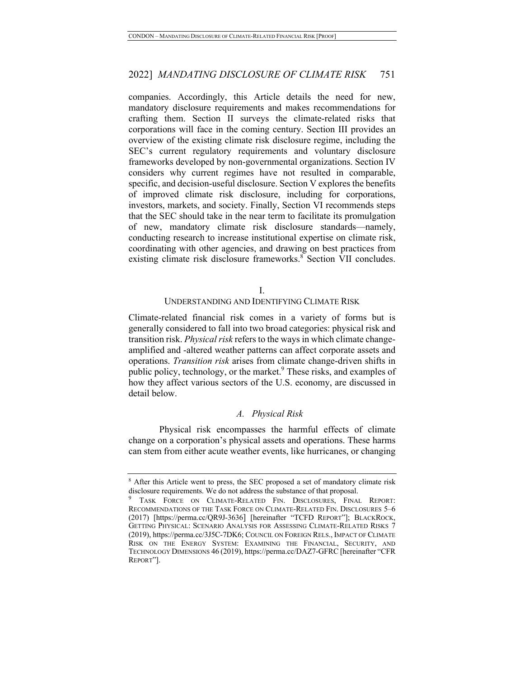companies. Accordingly, this Article details the need for new, mandatory disclosure requirements and makes recommendations for crafting them. Section II surveys the climate-related risks that corporations will face in the coming century. Section III provides an overview of the existing climate risk disclosure regime, including the SEC's current regulatory requirements and voluntary disclosure frameworks developed by non-governmental organizations. Section IV considers why current regimes have not resulted in comparable, specific, and decision-useful disclosure. Section V explores the benefits of improved climate risk disclosure, including for corporations, investors, markets, and society. Finally, Section VI recommends steps that the SEC should take in the near term to facilitate its promulgation of new, mandatory climate risk disclosure standards—namely, conducting research to increase institutional expertise on climate risk, coordinating with other agencies, and drawing on best practices from existing climate risk disclosure frameworks. $8^{\circ}$  Section VII concludes.

#### I.

#### UNDERSTANDING AND IDENTIFYING CLIMATE RISK

Climate-related financial risk comes in a variety of forms but is generally considered to fall into two broad categories: physical risk and transition risk. *Physical risk* refers to the ways in which climate changeamplified and -altered weather patterns can affect corporate assets and operations. *Transition risk* arises from climate change-driven shifts in public policy, technology, or the market.<sup>9</sup> These risks, and examples of how they affect various sectors of the U.S. economy, are discussed in detail below.

#### *A. Physical Risk*

Physical risk encompasses the harmful effects of climate change on a corporation's physical assets and operations. These harms can stem from either acute weather events, like hurricanes, or changing

<sup>&</sup>lt;sup>8</sup> After this Article went to press, the SEC proposed a set of mandatory climate risk disclosure requirements. We do not address the substance of that proposal.

TASK FORCE ON CLIMATE-RELATED FIN. DISCLOSURES, FINAL REPORT: RECOMMENDATIONS OF THE TASK FORCE ON CLIMATE-RELATED FIN. DISCLOSURES 5–6 (2017) [https://perma.cc/QR9J-3636] [hereinafter "TCFD REPORT"]; BLACKROCK, GETTING PHYSICAL: SCENARIO ANALYSIS FOR ASSESSING CLIMATE-RELATED RISKS 7 (2019), https://perma.cc/3J5C-7DK6; COUNCIL ON FOREIGN RELS., IMPACT OF CLIMATE RISK ON THE ENERGY SYSTEM: EXAMINING THE FINANCIAL, SECURITY, AND TECHNOLOGY DIMENSIONS 46 (2019), https://perma.cc/DAZ7-GFRC [hereinafter "CFR REPORT"].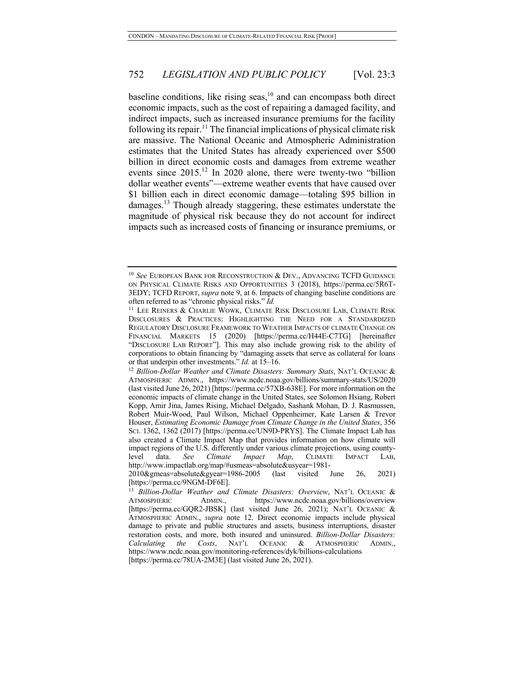baseline conditions, like rising seas, $10$  and can encompass both direct economic impacts, such as the cost of repairing a damaged facility, and indirect impacts, such as increased insurance premiums for the facility following its repair.<sup>11</sup> The financial implications of physical climate risk are massive. The National Oceanic and Atmospheric Administration estimates that the United States has already experienced over \$500 billion in direct economic costs and damages from extreme weather events since 2015.<sup>12</sup> In 2020 alone, there were twenty-two "billion dollar weather events"—extreme weather events that have caused over \$1 billion each in direct economic damage—totaling \$95 billion in damages.<sup>13</sup> Though already staggering, these estimates understate the magnitude of physical risk because they do not account for indirect impacts such as increased costs of financing or insurance premiums, or

<sup>&</sup>lt;sup>10</sup> See EUROPEAN BANK FOR RECONSTRUCTION & DEV., ADVANCING TCFD GUIDANCE ON PHYSICAL CLIMATE RISKS AND OPPORTUNITIES 3 (2018), https://perma.cc/5R6T-3EDY; TCFD REPORT, *supra* note 9, at 6. Impacts of changing baseline conditions are often referred to as "chronic physical risks." *Id.*

<sup>&</sup>lt;sup>11</sup> LEE REINERS & CHARLIE WOWK, CLIMATE RISK DISCLOSURE LAB, CLIMATE RISK DISCLOSURES & PRACTICES: HIGHLIGHTING THE NEED FOR A STANDARDIZED REGULATORY DISCLOSURE FRAMEWORK TO WEATHER IMPACTS OF CLIMATE CHANGE ON FINANCIAL MARKETS 15 (2020) [https://perma.cc/H44E-C7TG] [hereinafter "DISCLOSURE LAB REPORT"]. This may also include growing risk to the ability of corporations to obtain financing by "damaging assets that serve as collateral for loans or that underpin other investments." *Id.* at 15–16.

<sup>&</sup>lt;sup>12</sup> Billion-Dollar Weather and Climate Disasters: Summary Stats, NAT'L OCEANIC & ATMOSPHERIC ADMIN., https://www.ncdc.noaa.gov/billions/summary-stats/US/2020 (last visited June 26, 2021) [https://perma.cc/57XB-638E]. For more information on the economic impacts of climate change in the United States, see Solomon Hsiang, Robert Kopp, Amir Jina, James Rising, Michael Delgado, Sashank Mohan, D. J. Rasmussen, Robert Muir-Wood, Paul Wilson, Michael Oppenheimer, Kate Larsen & Trevor Houser, *Estimating Economic Damage from Climate Change in the United States*, 356 SCI. 1362, 1362 (2017) [https://perma.cc/UN9D-PRYS]. The Climate Impact Lab has also created a Climate Impact Map that provides information on how climate will impact regions of the U.S. differently under various climate projections, using countylevel data. *See Climate Impact Map*, CLIMATE IMPACT LAB, http://www.impactlab.org/map/#usmeas=absolute&usyear=1981-

<sup>2010&</sup>amp;gmeas=absolute&gyear=1986-2005 (last visited June 26, 2021) [https://perma.cc/9NGM-DF6E].

<sup>13</sup> *Billion-Dollar Weather and Climate Disasters: Overview*, NAT'L OCEANIC & ATMOSPHERIC ADMIN., https://www.ncdc.noaa.gov/billions/overview [https://perma.cc/GQR2-JBSK] (last visited June 26, 2021); NAT'L OCEANIC & ATMOSPHERIC ADMIN., *supra* note 12. Direct economic impacts include physical damage to private and public structures and assets, business interruptions, disaster restoration costs, and more, both insured and uninsured. *Billion-Dollar Disasters: Calculating the Costs*, NAT'L OCEANIC & ATMOSPHERIC ADMIN., https://www.ncdc.noaa.gov/monitoring-references/dyk/billions-calculations [https://perma.cc/78UA-2M3E] (last visited June 26, 2021).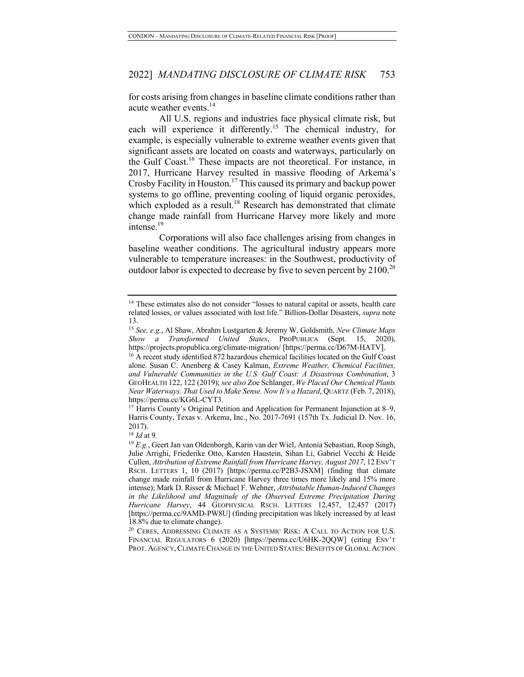for costs arising from changes in baseline climate conditions rather than acute weather events.<sup>14</sup>

All U.S. regions and industries face physical climate risk, but each will experience it differently.<sup>15</sup> The chemical industry, for example, is especially vulnerable to extreme weather events given that significant assets are located on coasts and waterways, particularly on the Gulf Coast.<sup>16</sup> These impacts are not theoretical. For instance, in 2017, Hurricane Harvey resulted in massive flooding of Arkema's Crosby Facility in Houston.17 This caused its primary and backup power systems to go offline, preventing cooling of liquid organic peroxides, which exploded as a result.<sup>18</sup> Research has demonstrated that climate change made rainfall from Hurricane Harvey more likely and more intense.19

Corporations will also face challenges arising from changes in baseline weather conditions. The agricultural industry appears more vulnerable to temperature increases: in the Southwest, productivity of outdoor labor is expected to decrease by five to seven percent by  $2100^{20}$ 

<sup>&</sup>lt;sup>14</sup> These estimates also do not consider "losses to natural capital or assets, health care related losses, or values associated with lost life." Billion-Dollar Disasters, *supra* note

<sup>13. 15</sup> *See, e.g.*, Al Shaw, Abrahm Lustgarten & Jeremy W. Goldsmith, *New Climate Maps Show a Transformed United States*, PROPUBLICA (Sept. 15, 2020), https://projects.propublica.org/climate-migration/ [https://perma.cc/D67M-HATV].

<sup>&</sup>lt;sup>16</sup> A recent study identified 872 hazardous chemical facilities located on the Gulf Coast alone. Susan C. Anenberg & Casey Kalman, *Extreme Weather, Chemical Facilities, and Vulnerable Communities in the U.S. Gulf Coast: A Disastrous Combination*, 3 GEOHEALTH 122, 122 (2019); *see also* Zoe Schlanger, *We Placed Our Chemical Plants Near Waterways. That Used to Make Sense. Now It's a Hazard*, QUARTZ (Feb. 7, 2018),

https://perma.cc/KG6L-CYT3.<br><sup>17</sup> Harris County's Original Petition and Application for Permanent Injunction at 8–9, Harris County, Texas v. Arkema, Inc., No. 2017-7691 (157th Tx. Judicial D. Nov. 16, 2017).

<sup>18</sup> *Id* at 9*.*

<sup>19</sup> *E.g.*, Geert Jan van Oldenborgh, Karin van der Wiel, Antonia Sebastian, Roop Singh, Julie Arrighi, Friederike Otto, Karsten Haustein, Sihan Li, Gabriel Vecchi & Heide Cullen, *Attribution of Extreme Rainfall from Hurricane Harvey, August 2017*, 12ENV'T RSCH. LETTERS 1, 10 (2017) [https://perma.cc/P2B3-JSXM] (finding that climate change made rainfall from Hurricane Harvey three times more likely and 15% more intense); Mark D. Risser & Michael F. Wehner, *Attributable Human-Induced Changes in the Likelihood and Magnitude of the Observed Extreme Precipitation During Hurricane Harvey*, 44 GEOPHYSICAL RSCH. LETTERS 12,457, 12,457 (2017) [https://perma.cc/9AMD-PW8U] (finding precipitation was likely increased by at least 18.8% due to climate change).

 $^{20}$  CERES, ADDRESSING CLIMATE AS A SYSTEMIC RISK: A CALL TO ACTION FOR U.S. FINANCIAL REGULATORS 6 (2020) [https://perma.cc/U6HK-2QQW] (citing ENV'T PROT. AGENCY, CLIMATE CHANGE IN THE UNITED STATES: BENEFITS OF GLOBAL ACTION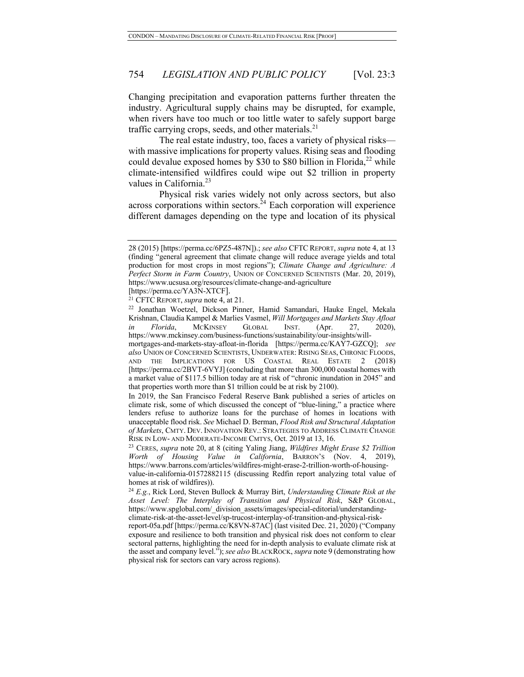Changing precipitation and evaporation patterns further threaten the industry. Agricultural supply chains may be disrupted, for example, when rivers have too much or too little water to safely support barge traffic carrying crops, seeds, and other materials. $21$ 

The real estate industry, too, faces a variety of physical risks with massive implications for property values. Rising seas and flooding could devalue exposed homes by \$30 to \$80 billion in Florida, $^{22}$  while climate-intensified wildfires could wipe out \$2 trillion in property values in California.<sup>23</sup>

Physical risk varies widely not only across sectors, but also across corporations within sectors. $^{24}$  Each corporation will experience different damages depending on the type and location of its physical

[https://perma.cc/YA3N-XTCF].

<sup>21</sup> CFTC REPORT, *supra* note 4, at 21.

<sup>28 (2015) [</sup>https://perma.cc/6PZ5-487N]).; *see also* CFTC REPORT, *supra* note 4, at 13 (finding "general agreement that climate change will reduce average yields and total production for most crops in most regions"); *Climate Change and Agriculture: A Perfect Storm in Farm Country*, UNION OF CONCERNED SCIENTISTS (Mar. 20, 2019), https://www.ucsusa.org/resources/climate-change-and-agriculture

<sup>22</sup> Jonathan Woetzel, Dickson Pinner, Hamid Samandari, Hauke Engel, Mekala Krishnan, Claudia Kampel & Marlies Vasmel, *Will Mortgages and Markets Stay Afloat in Florida*, MCKINSEY GLOBAL INST. (Apr. 27, 2020), https://www.mckinsey.com/business-functions/sustainability/our-insights/will-

mortgages-and-markets-stay-afloat-in-florida [https://perma.cc/KAY7-GZCQ]; *see also* UNION OF CONCERNED SCIENTISTS, UNDERWATER: RISING SEAS, CHRONIC FLOODS, AND THE IMPLICATIONS FOR US COASTAL REAL ESTATE 2 (2018) [https://perma.cc/2BVT-6VYJ] (concluding that more than 300,000 coastal homes with a market value of \$117.5 billion today are at risk of "chronic inundation in 2045" and that properties worth more than \$1 trillion could be at risk by 2100).

In 2019, the San Francisco Federal Reserve Bank published a series of articles on climate risk, some of which discussed the concept of "blue-lining," a practice where lenders refuse to authorize loans for the purchase of homes in locations with unacceptable flood risk. *See* Michael D. Berman, *Flood Risk and Structural Adaptation of Markets*, CMTY. DEV. INNOVATION REV.: STRATEGIES TO ADDRESS CLIMATE CHANGE RISK IN LOW- AND MODERATE-INCOME CMTYS, Oct. 2019 at 13, 16.

<sup>23</sup> CERES, *supra* note 20, at 8 (citing Yaling Jiang, *Wildfires Might Erase \$2 Trillion Worth of Housing Value in California*, BARRON'S (Nov. 4, 2019), https://www.barrons.com/articles/wildfires-might-erase-2-trillion-worth-of-housingvalue-in-california-01572882115 (discussing Redfin report analyzing total value of homes at risk of wildfires)).

<sup>24</sup> *E.g.*, Rick Lord, Steven Bullock & Murray Birt, *Understanding Climate Risk at the Asset Level: The Interplay of Transition and Physical Risk*, S&P GLOBAL, https://www.spglobal.com/\_division\_assets/images/special-editorial/understandingclimate-risk-at-the-asset-level/sp-trucost-interplay-of-transition-and-physical-risk-

report-05a.pdf [https://perma.cc/K8VN-87AC] (last visited Dec. 21, 2020) ("Company exposure and resilience to both transition and physical risk does not conform to clear sectoral patterns, highlighting the need for in-depth analysis to evaluate climate risk at the asset and company level."); *see also* BLACKROCK, *supra* note 9 (demonstrating how physical risk for sectors can vary across regions).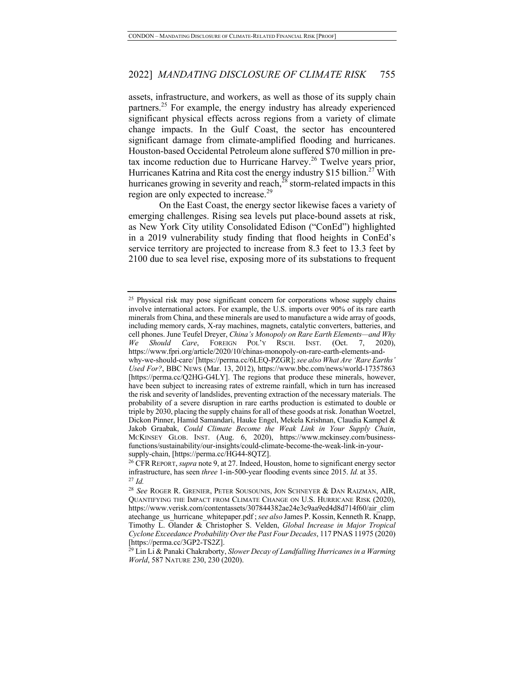assets, infrastructure, and workers, as well as those of its supply chain partners.<sup>25</sup> For example, the energy industry has already experienced significant physical effects across regions from a variety of climate change impacts. In the Gulf Coast, the sector has encountered significant damage from climate-amplified flooding and hurricanes. Houston-based Occidental Petroleum alone suffered \$70 million in pretax income reduction due to Hurricane Harvey.<sup>26</sup> Twelve years prior, Hurricanes Katrina and Rita cost the energy industry \$15 billion.<sup>27</sup> With hurricanes growing in severity and reach, $^{28}$  storm-related impacts in this region are only expected to increase.<sup>29</sup>

On the East Coast, the energy sector likewise faces a variety of emerging challenges. Rising sea levels put place-bound assets at risk, as New York City utility Consolidated Edison ("ConEd") highlighted in a 2019 vulnerability study finding that flood heights in ConEd's service territory are projected to increase from 8.3 feet to 13.3 feet by 2100 due to sea level rise, exposing more of its substations to frequent

 $25$  Physical risk may pose significant concern for corporations whose supply chains involve international actors. For example, the U.S. imports over 90% of its rare earth minerals from China, and these minerals are used to manufacture a wide array of goods, including memory cards, X-ray machines, magnets, catalytic converters, batteries, and cell phones. June Teufel Dreyer, *China's Monopoly on Rare Earth Elements—and Why We Should Care*, FOREIGN POL'Y RSCH. INST. (Oct. 7, 2020), https://www.fpri.org/article/2020/10/chinas-monopoly-on-rare-earth-elements-andwhy-we-should-care/ [https://perma.cc/6LEQ-PZGR]; *see also What Are 'Rare Earths' Used For?*, BBC NEWS (Mar. 13, 2012), https://www.bbc.com/news/world-17357863 [https://perma.cc/Q2HG-G4LY]. The regions that produce these minerals, however, have been subject to increasing rates of extreme rainfall, which in turn has increased the risk and severity of landslides, preventing extraction of the necessary materials. The probability of a severe disruption in rare earths production is estimated to double or triple by 2030, placing the supply chains for all of these goods at risk. Jonathan Woetzel, Dickon Pinner, Hamid Samandari, Hauke Engel, Mekela Krishnan, Claudia Kampel & Jakob Graabak, *Could Climate Become the Weak Link in Your Supply Chain*, MCKINSEY GLOB. INST. (Aug. 6, 2020), https://www.mckinsey.com/businessfunctions/sustainability/our-insights/could-climate-become-the-weak-link-in-yoursupply-chain, [https://perma.cc/HG44-8QTZ].

<sup>&</sup>lt;sup>26</sup> CFR REPORT, *supra* note 9, at 27. Indeed, Houston, home to significant energy sector infrastructure, has seen *three* 1-in-500-year flooding events since 2015. *Id.* at 35. <sup>27</sup> *Id.*

<sup>28</sup> *See* ROGER R. GRENIER, PETER SOUSOUNIS, JON SCHNEYER & DAN RAIZMAN, AIR, QUANTIFYING THE IMPACT FROM CLIMATE CHANGE ON U.S. HURRICANE RISK (2020), https://www.verisk.com/contentassets/307844382ae24e3c9aa9ed4d8d714f60/air\_clim atechange\_us\_hurricane\_whitepaper.pdf ;*see also* James P. Kossin, Kenneth R. Knapp, Timothy L. Olander & Christopher S. Velden, *Global Increase in Major Tropical Cyclone Exceedance Probability Over the Past Four Decades*, 117 PNAS 11975 (2020)

<sup>[</sup>https://perma.cc/3GP2-TS2Z]. 29 Lin Li & Panaki Chakraborty, *Slower Decay of Landfalling Hurricanes in a Warming World*, 587 NATURE 230, 230 (2020).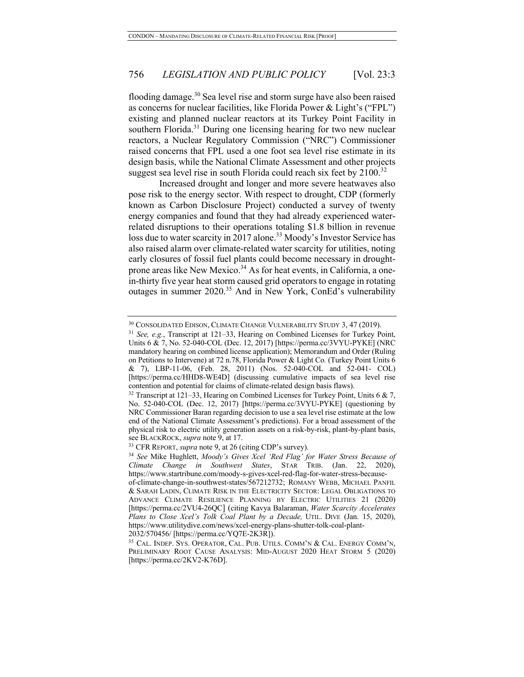flooding damage.<sup>30</sup> Sea level rise and storm surge have also been raised as concerns for nuclear facilities, like Florida Power & Light's ("FPL") existing and planned nuclear reactors at its Turkey Point Facility in southern Florida. $31$  During one licensing hearing for two new nuclear reactors, a Nuclear Regulatory Commission ("NRC") Commissioner raised concerns that FPL used a one foot sea level rise estimate in its design basis, while the National Climate Assessment and other projects suggest sea level rise in south Florida could reach six feet by  $2100$ <sup>32</sup>

Increased drought and longer and more severe heatwaves also pose risk to the energy sector. With respect to drought, CDP (formerly known as Carbon Disclosure Project) conducted a survey of twenty energy companies and found that they had already experienced waterrelated disruptions to their operations totaling \$1.8 billion in revenue loss due to water scarcity in 2017 alone.<sup>33</sup> Moody's Investor Service has also raised alarm over climate-related water scarcity for utilities, noting early closures of fossil fuel plants could become necessary in droughtprone areas like New Mexico.<sup>34</sup> As for heat events, in California, a onein-thirty five year heat storm caused grid operators to engage in rotating outages in summer 2020.<sup>35</sup> And in New York, ConEd's vulnerability

https://www.utilitydive.com/news/xcel-energy-plans-shutter-tolk-coal-plant-

<sup>30</sup> CONSOLIDATED EDISON, CLIMATE CHANGE VULNERABILITY STUDY 3, 47 (2019).

<sup>&</sup>lt;sup>31</sup> *See, e.g.*, Transcript at 121-33, Hearing on Combined Licenses for Turkey Point, Units 6 & 7, No. 52-040-COL (Dec. 12, 2017) [https://perma.cc/3VYU-PYKE] (NRC mandatory hearing on combined license application); Memorandum and Order (Ruling on Petitions to Intervene) at 72 n.78, Florida Power & Light Co*.* (Turkey Point Units 6 & 7), LBP-11-06, (Feb. 28, 2011) (Nos. 52-040-COL and 52-041- COL) [https://perma.cc/HHD8-WE4D] (discussing cumulative impacts of sea level rise contention and potential for claims of climate-related design basis flaws).<br><sup>32</sup> Transcript at 121–33, Hearing on Combined Licenses for Turkey Point, Units 6 & 7,

No. 52-040-COL (Dec. 12, 2017) [https://perma.cc/3VYU-PYKE] (questioning by NRC Commissioner Baran regarding decision to use a sea level rise estimate at the low end of the National Climate Assessment's predictions). For a broad assessment of the physical risk to electric utility generation assets on a risk-by-risk, plant-by-plant basis, see BLACKROCK, *supra* note 9, at 17.

<sup>33</sup> CFR REPORT, *supra* note 9, at 26 (citing CDP's survey).

<sup>34</sup> *See* Mike Hughlett, *Moody's Gives Xcel 'Red Flag' for Water Stress Because of Climate Change in Southwest States*, STAR TRIB. (Jan. 22, 2020), https://www.startribune.com/moody-s-gives-xcel-red-flag-for-water-stress-becauseof-climate-change-in-southwest-states/567212732; ROMANY WEBB, MICHAEL PANFIL & SARAH LADIN, CLIMATE RISK IN THE ELECTRICITY SECTOR: LEGAL OBLIGATIONS TO ADVANCE CLIMATE RESILIENCE PLANNING BY ELECTRIC UTILITIES 21 (2020) [https://perma.cc/2VU4-26QC] (citing Kavya Balaraman, *Water Scarcity Accelerates Plans to Close Xcel's Tolk Coal Plant by a Decade,* UTIL. DIVE (Jan. 15, 2020),

<sup>2032/570456/ [</sup>https://perma.cc/YQ7E-2K3R]). 35 CAL. INDEP. SYS. OPERATOR, CAL. PUB. UTILS. COMM'N & CAL. ENERGY COMM'N, PRELIMINARY ROOT CAUSE ANALYSIS: MID-AUGUST 2020 HEAT STORM 5 (2020) [https://perma.cc/2KV2-K76D].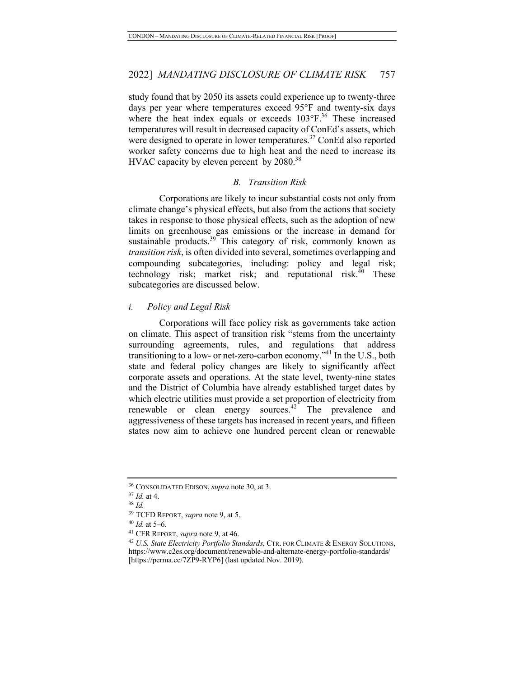study found that by 2050 its assets could experience up to twenty-three days per year where temperatures exceed 95°F and twenty-six days where the heat index equals or exceeds 103°F.<sup>36</sup> These increased temperatures will result in decreased capacity of ConEd's assets, which were designed to operate in lower temperatures.<sup>37</sup> ConEd also reported worker safety concerns due to high heat and the need to increase its HVAC capacity by eleven percent by  $2080.^{38}$ 

#### *B. Transition Risk*

Corporations are likely to incur substantial costs not only from climate change's physical effects, but also from the actions that society takes in response to those physical effects, such as the adoption of new limits on greenhouse gas emissions or the increase in demand for sustainable products.<sup>39</sup> This category of risk, commonly known as *transition risk*, is often divided into several, sometimes overlapping and compounding subcategories, including: policy and legal risk; technology risk; market risk; and reputational risk.<sup>40</sup> These subcategories are discussed below.

#### *i. Policy and Legal Risk*

Corporations will face policy risk as governments take action on climate. This aspect of transition risk "stems from the uncertainty surrounding agreements, rules, and regulations that address transitioning to a low- or net-zero-carbon economy."<sup>41</sup> In the U.S., both state and federal policy changes are likely to significantly affect corporate assets and operations. At the state level, twenty-nine states and the District of Columbia have already established target dates by which electric utilities must provide a set proportion of electricity from renewable or clean energy sources. $42$  The prevalence and aggressiveness of these targets has increased in recent years, and fifteen states now aim to achieve one hundred percent clean or renewable

<sup>36</sup> CONSOLIDATED EDISON, *supra* note 30, at 3.

<sup>37</sup> *Id.* at 4.

<sup>38</sup> *Id.*

<sup>39</sup> TCFD REPORT, *supra* note 9, at 5.

 $40$  *Id.* at 5–6.

<sup>41</sup> CFR REPORT, *supra* note 9, at 46.

<sup>42</sup> *U.S. State Electricity Portfolio Standards*, CTR. FOR CLIMATE & ENERGY SOLUTIONS, https://www.c2es.org/document/renewable-and-alternate-energy-portfolio-standards/ [https://perma.cc/7ZP9-RYP6] (last updated Nov. 2019).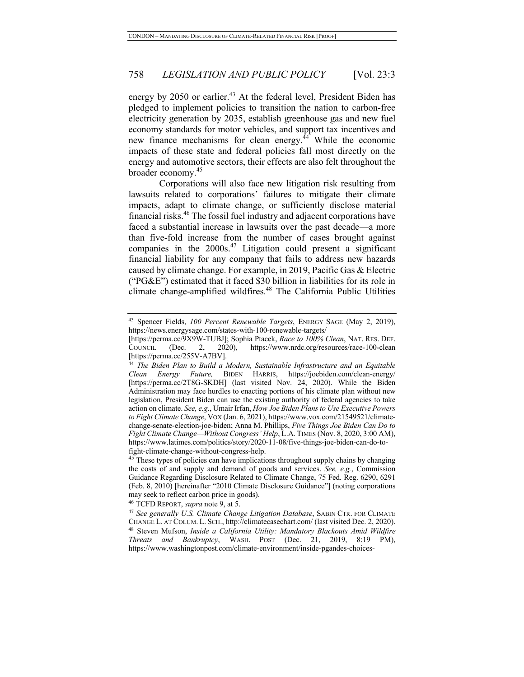energy by 2050 or earlier.<sup>43</sup> At the federal level, President Biden has pledged to implement policies to transition the nation to carbon-free electricity generation by 2035, establish greenhouse gas and new fuel economy standards for motor vehicles, and support tax incentives and new finance mechanisms for clean energy. $^{44}$  While the economic impacts of these state and federal policies fall most directly on the energy and automotive sectors, their effects are also felt throughout the broader economy.<sup>45</sup>

Corporations will also face new litigation risk resulting from lawsuits related to corporations' failures to mitigate their climate impacts, adapt to climate change, or sufficiently disclose material financial risks.<sup>46</sup> The fossil fuel industry and adjacent corporations have faced a substantial increase in lawsuits over the past decade—a more than five-fold increase from the number of cases brought against companies in the 2000s.<sup>47</sup> Litigation could present a significant financial liability for any company that fails to address new hazards caused by climate change. For example, in 2019, Pacific Gas & Electric ("PG&E") estimated that it faced \$30 billion in liabilities for its role in climate change-amplified wildfires.<sup>48</sup> The California Public Utilities

<sup>43</sup> Spencer Fields, *100 Percent Renewable Targets*, ENERGY SAGE (May 2, 2019), https://news.energysage.com/states-with-100-renewable-targets/

<sup>[</sup>https://perma.cc/9X9W-TUBJ]; Sophia Ptacek, *Race to 100% Clean*, NAT. RES. DEF. COUNCIL (Dec. 2, 2020), https://www.nrdc.org/resources/race-100-clean<br>[https://perma.cc/255V-A7BV].

<sup>&</sup>lt;sup>44</sup> The Biden Plan to Build a Modern, Sustainable Infrastructure and an Equitable *Clean Energy Future,* BIDEN HARRIS, https://joebiden.com/clean-energy/ [https://perma.cc/2T8G-SKDH] (last visited Nov. 24, 2020). While the Biden Administration may face hurdles to enacting portions of his climate plan without new legislation, President Biden can use the existing authority of federal agencies to take action on climate. *See, e.g.*, Umair Irfan, *How Joe Biden Plans to Use Executive Powers to Fight Climate Change*, VOX (Jan. 6, 2021), https://www.vox.com/21549521/climatechange-senate-election-joe-biden; Anna M. Phillips, *Five Things Joe Biden Can Do to Fight Climate Change—Without Congress' Help*, L.A. TIMES (Nov. 8, 2020, 3:00 AM), https://www.latimes.com/politics/story/2020-11-08/five-things-joe-biden-can-do-tofight-climate-change-without-congress-help.

These types of policies can have implications throughout supply chains by changing the costs of and supply and demand of goods and services. *See, e.g.*, Commission Guidance Regarding Disclosure Related to Climate Change, 75 Fed. Reg. 6290, 6291 (Feb. 8, 2010) [hereinafter "2010 Climate Disclosure Guidance"] (noting corporations may seek to reflect carbon price in goods).

<sup>46</sup> TCFD REPORT, *supra* note 9, at 5.

<sup>47</sup> *See generally U.S. Climate Change Litigation Database*, SABIN CTR. FOR CLIMATE CHANGE L. AT COLUM. L. SCH., http://climatecasechart.com/ (last visited Dec. 2, 2020). <sup>48</sup> Steven Mufson, *Inside a California Utility: Mandatory Blackouts Amid Wildfire Threats and Bankruptcy*, WASH. POST (Dec. 21, 2019, 8:19 PM), https://www.washingtonpost.com/climate-environment/inside-pgandes-choices-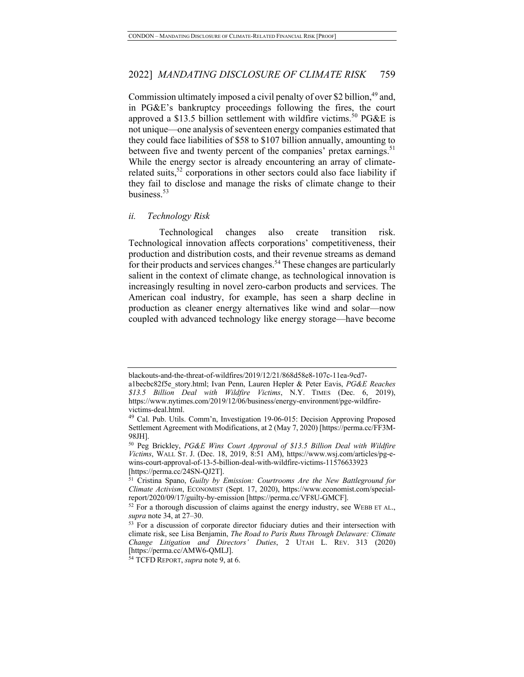Commission ultimately imposed a civil penalty of over \$2 billion,  $49$  and, in PG&E's bankruptcy proceedings following the fires, the court approved a \$13.5 billion settlement with wildfire victims.<sup>50</sup> PG&E is not unique—one analysis of seventeen energy companies estimated that they could face liabilities of \$58 to \$107 billion annually, amounting to between five and twenty percent of the companies' pretax earnings.<sup>51</sup> While the energy sector is already encountering an array of climaterelated suits, $52$  corporations in other sectors could also face liability if they fail to disclose and manage the risks of climate change to their business.<sup>53</sup>

#### *ii. Technology Risk*

Technological changes also create transition risk. Technological innovation affects corporations' competitiveness, their production and distribution costs, and their revenue streams as demand for their products and services changes.<sup>54</sup> These changes are particularly salient in the context of climate change, as technological innovation is increasingly resulting in novel zero-carbon products and services. The American coal industry, for example, has seen a sharp decline in production as cleaner energy alternatives like wind and solar—now coupled with advanced technology like energy storage—have become

blackouts-and-the-threat-of-wildfires/2019/12/21/868d58e8-107c-11ea-9cd7-

a1becbc82f5e\_story.html; Ivan Penn, Lauren Hepler & Peter Eavis, *PG&E Reaches \$13.5 Billion Deal with Wildfire Victims*, N.Y. TIMES (Dec. 6, 2019), https://www.nytimes.com/2019/12/06/business/energy-environment/pge-wildfire-

victims-deal.html.<br><sup>49</sup> Cal. Pub. Utils. Comm'n, Investigation 19-06-015: Decision Approving Proposed Settlement Agreement with Modifications, at 2 (May 7, 2020) [https://perma.cc/FF3M-98JH].

<sup>50</sup> Peg Brickley, *PG&E Wins Court Approval of \$13.5 Billion Deal with Wildfire Victims*, WALL ST. J. (Dec. 18, 2019, 8:51 AM), https://www.wsj.com/articles/pg-ewins-court-approval-of-13-5-billion-deal-with-wildfire-victims-11576633923 [https://perma.cc/24SN-QJ2T].

<sup>51</sup> Cristina Spano, *Guilty by Emission: Courtrooms Are the New Battleground for Climate Activism*, ECONOMIST (Sept. 17, 2020), https://www.economist.com/specialreport/2020/09/17/guilty-by-emission [https://perma.cc/VF8U-GMCF].

<sup>&</sup>lt;sup>52</sup> For a thorough discussion of claims against the energy industry, see WEBB ET AL., *supra* note 34, at 27–30.

<sup>&</sup>lt;sup>53</sup> For a discussion of corporate director fiduciary duties and their intersection with climate risk, see Lisa Benjamin, *The Road to Paris Runs Through Delaware: Climate Change Litigation and Directors' Duties*, 2 UTAH L. REV. 313 (2020) [https://perma.cc/AMW6-QMLJ]. 54 TCFD REPORT, *supra* note 9, at 6.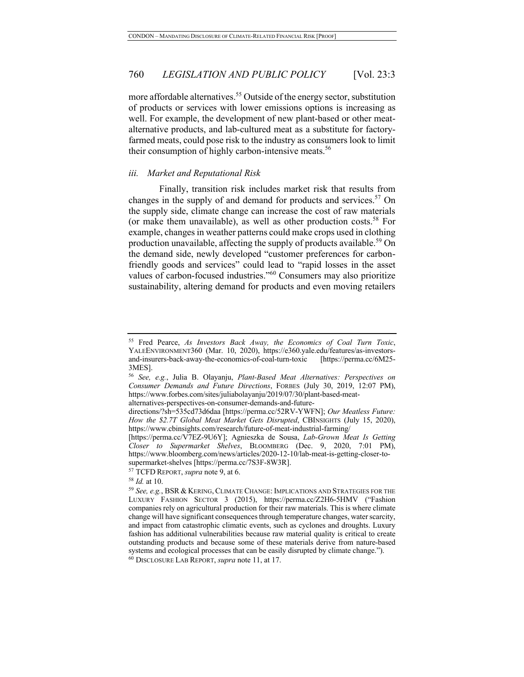more affordable alternatives.<sup>55</sup> Outside of the energy sector, substitution of products or services with lower emissions options is increasing as well. For example, the development of new plant-based or other meatalternative products, and lab-cultured meat as a substitute for factoryfarmed meats, could pose risk to the industry as consumers look to limit their consumption of highly carbon-intensive meats.<sup>56</sup>

#### *iii. Market and Reputational Risk*

Finally, transition risk includes market risk that results from changes in the supply of and demand for products and services.<sup>57</sup> On the supply side, climate change can increase the cost of raw materials (or make them unavailable), as well as other production costs.<sup>58</sup> For example, changes in weather patterns could make crops used in clothing production unavailable, affecting the supply of products available.<sup>59</sup> On the demand side, newly developed "customer preferences for carbonfriendly goods and services" could lead to "rapid losses in the asset values of carbon-focused industries."<sup>60</sup> Consumers may also prioritize sustainability, altering demand for products and even moving retailers

<sup>55</sup> Fred Pearce, *As Investors Back Away, the Economics of Coal Turn Toxic*, YALEENVIRONMENT360 (Mar. 10, 2020), https://e360.yale.edu/features/as-investorsand-insurers-back-away-the-economics-of-coal-turn-toxic [https://perma.cc/6M25- 3MES].

<sup>56</sup> *See, e.g.*, Julia B. Olayanju, *Plant-Based Meat Alternatives: Perspectives on Consumer Demands and Future Directions*, FORBES (July 30, 2019, 12:07 PM), https://www.forbes.com/sites/juliabolayanju/2019/07/30/plant-based-meatalternatives-perspectives-on-consumer-demands-and-future-

directions/?sh=535cd73d6daa [https://perma.cc/52RV-YWFN]; *Our Meatless Future: How the \$2.7T Global Meat Market Gets Disrupted*, CBINSIGHTS (July 15, 2020), https://www.cbinsights.com/research/future-of-meat-industrial-farming/

<sup>[</sup>https://perma.cc/V7EZ-9U6Y]; Agnieszka de Sousa, *Lab-Grown Meat Is Getting Closer to Supermarket Shelves*, BLOOMBERG (Dec. 9, 2020, 7:01 PM), https://www.bloomberg.com/news/articles/2020-12-10/lab-meat-is-getting-closer-tosupermarket-shelves [https://perma.cc/7S3F-8W3R]. 57 TCFD REPORT, *supra* note 9, at 6.

<sup>58</sup> *Id.* at 10.

<sup>59</sup> *See, e.g.*, BSR & KERING, CLIMATE CHANGE: IMPLICATIONS AND STRATEGIES FOR THE LUXURY FASHION SECTOR 3 (2015), https://perma.cc/Z2H6-5HMV ("Fashion companies rely on agricultural production for their raw materials. This is where climate change will have significant consequences through temperature changes, water scarcity, and impact from catastrophic climatic events, such as cyclones and droughts. Luxury fashion has additional vulnerabilities because raw material quality is critical to create outstanding products and because some of these materials derive from nature-based systems and ecological processes that can be easily disrupted by climate change.").

<sup>60</sup> DISCLOSURE LAB REPORT, *supra* note 11, at 17.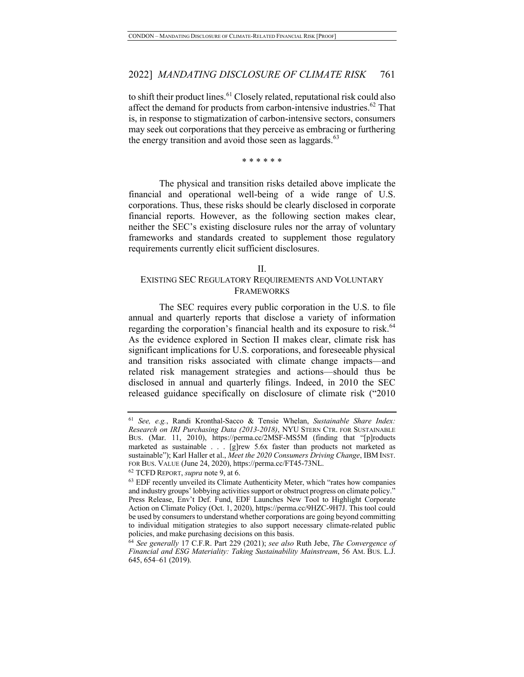to shift their product lines.<sup>61</sup> Closely related, reputational risk could also affect the demand for products from carbon-intensive industries.<sup>62</sup> That is, in response to stigmatization of carbon-intensive sectors, consumers may seek out corporations that they perceive as embracing or furthering the energy transition and avoid those seen as laggards. $63$ 

#### \* \* \* \* \* \*

The physical and transition risks detailed above implicate the financial and operational well-being of a wide range of U.S. corporations. Thus, these risks should be clearly disclosed in corporate financial reports. However, as the following section makes clear, neither the SEC's existing disclosure rules nor the array of voluntary frameworks and standards created to supplement those regulatory requirements currently elicit sufficient disclosures.

#### II.

### EXISTING SEC REGULATORY REQUIREMENTS AND VOLUNTARY FRAMEWORKS

The SEC requires every public corporation in the U.S. to file annual and quarterly reports that disclose a variety of information regarding the corporation's financial health and its exposure to risk.<sup>64</sup> As the evidence explored in Section II makes clear, climate risk has significant implications for U.S. corporations, and foreseeable physical and transition risks associated with climate change impacts—and related risk management strategies and actions—should thus be disclosed in annual and quarterly filings. Indeed, in 2010 the SEC released guidance specifically on disclosure of climate risk ("2010

<sup>61</sup> *See, e.g.*, Randi Kronthal-Sacco & Tensie Whelan, *Sustainable Share Index: Research on IRI Purchasing Data (2013-2018)*, NYU STERN CTR. FOR SUSTAINABLE BUS. (Mar. 11, 2010), https://perma.cc/2MSF-MS5M (finding that "[p]roducts marketed as sustainable . . . [g]rew 5.6x faster than products not marketed as sustainable"); Karl Haller et al., *Meet the 2020 Consumers Driving Change*, IBM INST. FOR BUS. VALUE (June 24, 2020), https://perma.cc/FT45-73NL. 62 TCFD REPORT, *supra* note 9, at 6.

<sup>63</sup> EDF recently unveiled its Climate Authenticity Meter, which "rates how companies and industry groups' lobbying activities support or obstruct progress on climate policy." Press Release, Env't Def. Fund, EDF Launches New Tool to Highlight Corporate Action on Climate Policy (Oct. 1, 2020), https://perma.cc/9HZC-9H7J. This tool could be used by consumers to understand whether corporations are going beyond committing to individual mitigation strategies to also support necessary climate-related public policies, and make purchasing decisions on this basis.

<sup>64</sup> *See generally* 17 C.F.R. Part 229 (2021); *see also* Ruth Jebe, *The Convergence of Financial and ESG Materiality: Taking Sustainability Mainstream*, 56 AM. BUS. L.J. 645, 654–61 (2019).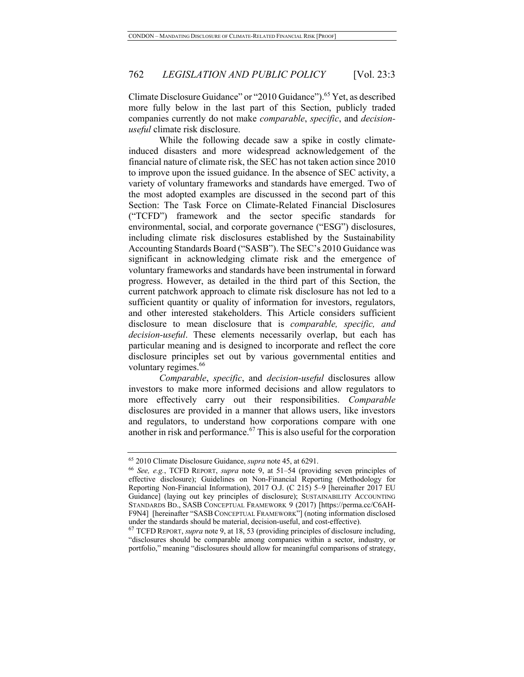Climate Disclosure Guidance" or "2010 Guidance").65 Yet, as described more fully below in the last part of this Section, publicly traded companies currently do not make *comparable*, *specific*, and *decisionuseful* climate risk disclosure.

While the following decade saw a spike in costly climateinduced disasters and more widespread acknowledgement of the financial nature of climate risk, the SEC has not taken action since 2010 to improve upon the issued guidance. In the absence of SEC activity, a variety of voluntary frameworks and standards have emerged. Two of the most adopted examples are discussed in the second part of this Section: The Task Force on Climate-Related Financial Disclosures ("TCFD") framework and the sector specific standards for environmental, social, and corporate governance ("ESG") disclosures, including climate risk disclosures established by the Sustainability Accounting Standards Board ("SASB"). The SEC's 2010 Guidance was significant in acknowledging climate risk and the emergence of voluntary frameworks and standards have been instrumental in forward progress. However, as detailed in the third part of this Section, the current patchwork approach to climate risk disclosure has not led to a sufficient quantity or quality of information for investors, regulators, and other interested stakeholders. This Article considers sufficient disclosure to mean disclosure that is *comparable, specific, and decision-useful*. These elements necessarily overlap, but each has particular meaning and is designed to incorporate and reflect the core disclosure principles set out by various governmental entities and voluntary regimes.<sup>66</sup>

*Comparable*, *specific*, and *decision-useful* disclosures allow investors to make more informed decisions and allow regulators to more effectively carry out their responsibilities. *Comparable* disclosures are provided in a manner that allows users, like investors and regulators, to understand how corporations compare with one another in risk and performance.<sup>67</sup> This is also useful for the corporation

<sup>65</sup> 2010 Climate Disclosure Guidance, *supra* note 45, at 6291. 66 *See, e.g.*, TCFD REPORT, *supra* note 9, at 51–54 (providing seven principles of effective disclosure); Guidelines on Non-Financial Reporting (Methodology for Reporting Non-Financial Information), 2017 O.J. (C 215) 5–9 [hereinafter 2017 EU Guidance] (laying out key principles of disclosure); SUSTAINABILITY ACCOUNTING STANDARDS BD., SASB CONCEPTUAL FRAMEWORK 9 (2017) [https://perma.cc/C6AH-F9N4] [hereinafter "SASB CONCEPTUAL FRAMEWORK"] (noting information disclosed under the standards should be material, decision-useful, and cost-effective).

<sup>67</sup> TCFD REPORT, *supra* note 9, at 18, 53 (providing principles of disclosure including, "disclosures should be comparable among companies within a sector, industry, or portfolio," meaning "disclosures should allow for meaningful comparisons of strategy,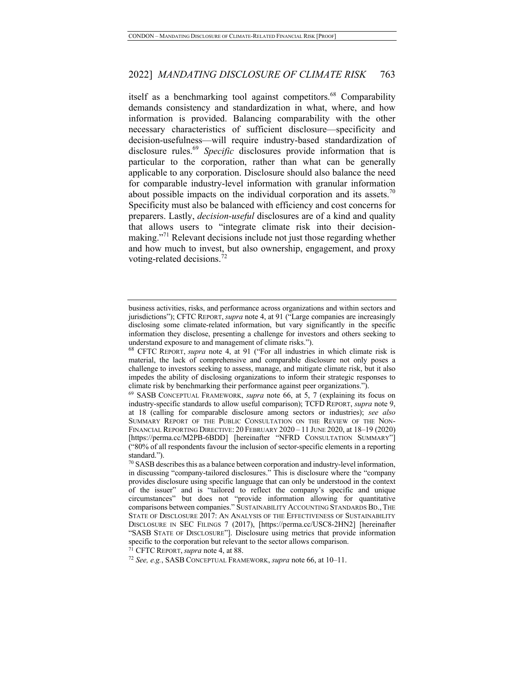itself as a benchmarking tool against competitors.<sup>68</sup> Comparability demands consistency and standardization in what, where, and how information is provided. Balancing comparability with the other necessary characteristics of sufficient disclosure—specificity and decision-usefulness—will require industry-based standardization of disclosure rules.69 *Specific* disclosures provide information that is particular to the corporation, rather than what can be generally applicable to any corporation. Disclosure should also balance the need for comparable industry-level information with granular information about possible impacts on the individual corporation and its assets.<sup>70</sup> Specificity must also be balanced with efficiency and cost concerns for preparers. Lastly, *decision-useful* disclosures are of a kind and quality that allows users to "integrate climate risk into their decisionmaking."<sup>71</sup> Relevant decisions include not just those regarding whether and how much to invest, but also ownership, engagement, and proxy voting-related decisions.<sup>72</sup>

<sup>71</sup> CFTC REPORT,*supra* note 4, at 88.

business activities, risks, and performance across organizations and within sectors and jurisdictions"); CFTC REPORT, *supra* note 4, at 91 ("Large companies are increasingly disclosing some climate-related information, but vary significantly in the specific information they disclose, presenting a challenge for investors and others seeking to understand exposure to and management of climate risks.").

<sup>68</sup> CFTC REPORT, *supra* note 4, at 91 ("For all industries in which climate risk is material, the lack of comprehensive and comparable disclosure not only poses a challenge to investors seeking to assess, manage, and mitigate climate risk, but it also impedes the ability of disclosing organizations to inform their strategic responses to climate risk by benchmarking their performance against peer organizations.").

<sup>69</sup> SASB CONCEPTUAL FRAMEWORK, *supra* note 66, at 5, 7 (explaining its focus on industry-specific standards to allow useful comparison); TCFD REPORT, *supra* note 9, at 18 (calling for comparable disclosure among sectors or industries); *see also* SUMMARY REPORT OF THE PUBLIC CONSULTATION ON THE REVIEW OF THE NON-FINANCIAL REPORTING DIRECTIVE: 20 FEBRUARY 2020 – 11 JUNE 2020, at 18–19 (2020) [https://perma.cc/M2PB-6BDD] [hereinafter "NFRD CONSULTATION SUMMARY"] ("80% of all respondents favour the inclusion of sector-specific elements in a reporting standard.").

 $70$  SASB describes this as a balance between corporation and industry-level information, in discussing "company-tailored disclosures." This is disclosure where the "company provides disclosure using specific language that can only be understood in the context of the issuer" and is "tailored to reflect the company's specific and unique circumstances" but does not "provide information allowing for quantitative comparisons between companies." SUSTAINABILITY ACCOUNTING STANDARDS BD., THE STATE OF DISCLOSURE 2017: AN ANALYSIS OF THE EFFECTIVENESS OF SUSTAINABILITY DISCLOSURE IN SEC FILINGS 7 (2017), [https://perma.cc/USC8-2HN2] [hereinafter "SASB STATE OF DISCLOSURE"]. Disclosure using metrics that provide information specific to the corporation but relevant to the sector allows comparison.

<sup>72</sup> *See, e.g.*, SASB CONCEPTUAL FRAMEWORK, *supra* note 66, at 10–11.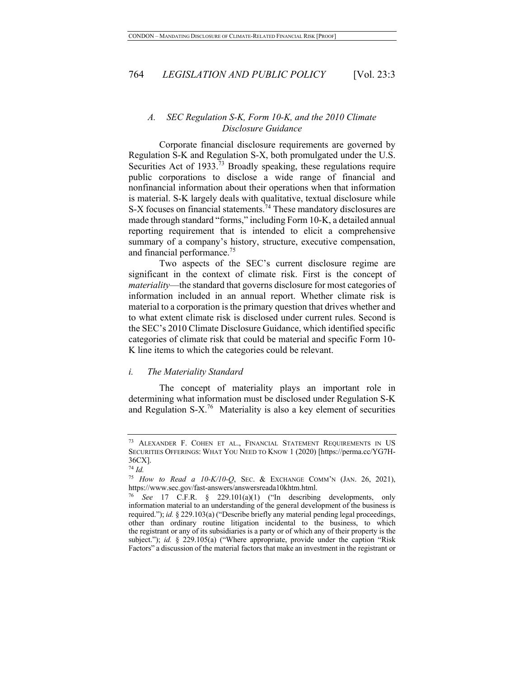#### *A. SEC Regulation S-K, Form 10-K, and the 2010 Climate Disclosure Guidance*

Corporate financial disclosure requirements are governed by Regulation S-K and Regulation S-X, both promulgated under the U.S. Securities Act of 1933.<sup>73</sup> Broadly speaking, these regulations require public corporations to disclose a wide range of financial and nonfinancial information about their operations when that information is material. S-K largely deals with qualitative, textual disclosure while S-X focuses on financial statements.<sup>74</sup> These mandatory disclosures are made through standard "forms," including Form 10-K, a detailed annual reporting requirement that is intended to elicit a comprehensive summary of a company's history, structure, executive compensation, and financial performance.<sup>75</sup>

Two aspects of the SEC's current disclosure regime are significant in the context of climate risk. First is the concept of *materiality*—the standard that governs disclosure for most categories of information included in an annual report. Whether climate risk is material to a corporation is the primary question that drives whether and to what extent climate risk is disclosed under current rules. Second is the SEC's 2010 Climate Disclosure Guidance, which identified specific categories of climate risk that could be material and specific Form 10- K line items to which the categories could be relevant.

#### *i. The Materiality Standard*

The concept of materiality plays an important role in determining what information must be disclosed under Regulation S-K and Regulation S-X.<sup>76</sup> Materiality is also a key element of securities

<sup>73</sup> ALEXANDER F. COHEN ET AL., FINANCIAL STATEMENT REQUIREMENTS IN US SECURITIES OFFERINGS: WHAT YOU NEED TO KNOW 1 (2020) [https://perma.cc/YG7H-36CX].

<sup>74</sup> *Id.*

<sup>75</sup> *How to Read a 10-K/10-Q*, SEC. & EXCHANGE COMM'N (JAN. 26, 2021), https://www.sec.gov/fast-answers/answersreada10khtm.html.

See 17 C.F.R. § 229.101(a)(1) ("In describing developments, only information material to an understanding of the general development of the business is required."); *id.* § 229.103(a) ("Describe briefly any material pending legal proceedings, other than ordinary routine litigation incidental to the business, to which the registrant or any of its subsidiaries is a party or of which any of their property is the subject."); *id.* § 229.105(a) ("Where appropriate, provide under the caption "Risk Factors" a discussion of the material factors that make an investment in the registrant or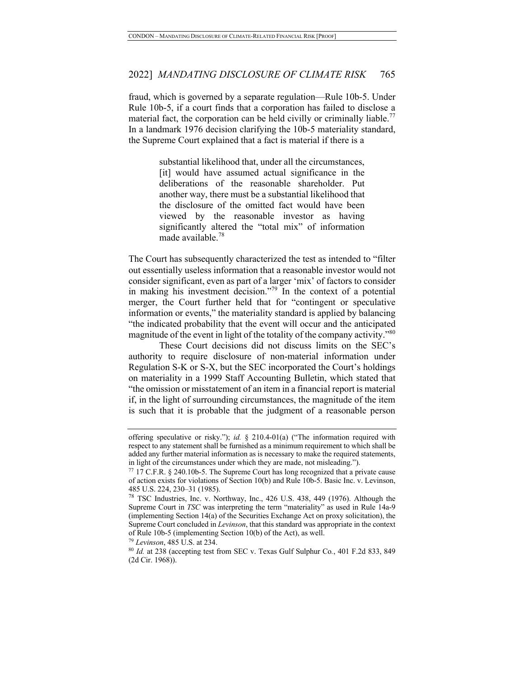fraud, which is governed by a separate regulation—Rule 10b-5. Under Rule 10b-5, if a court finds that a corporation has failed to disclose a material fact, the corporation can be held civilly or criminally liable.<sup>77</sup> In a landmark 1976 decision clarifying the 10b-5 materiality standard, the Supreme Court explained that a fact is material if there is a

> substantial likelihood that, under all the circumstances, [it] would have assumed actual significance in the deliberations of the reasonable shareholder. Put another way, there must be a substantial likelihood that the disclosure of the omitted fact would have been viewed by the reasonable investor as having significantly altered the "total mix" of information made available.<sup>78</sup>

The Court has subsequently characterized the test as intended to "filter out essentially useless information that a reasonable investor would not consider significant, even as part of a larger 'mix' of factors to consider in making his investment decision."<sup>79</sup> In the context of a potential merger, the Court further held that for "contingent or speculative information or events," the materiality standard is applied by balancing "the indicated probability that the event will occur and the anticipated magnitude of the event in light of the totality of the company activity.<sup>580</sup>

These Court decisions did not discuss limits on the SEC's authority to require disclosure of non-material information under Regulation S-K or S-X, but the SEC incorporated the Court's holdings on materiality in a 1999 Staff Accounting Bulletin, which stated that "the omission or misstatement of an item in a financial report is material if, in the light of surrounding circumstances, the magnitude of the item is such that it is probable that the judgment of a reasonable person

offering speculative or risky."); *id.* § 210.4-01(a) ("The information required with respect to any statement shall be furnished as a minimum requirement to which shall be added any further material information as is necessary to make the required statements, in light of the circumstances under which they are made, not misleading.").

<sup>77</sup> 17 C.F.R. § 240.10b-5. The Supreme Court has long recognized that a private cause of action exists for violations of Section 10(b) and Rule 10b-5. Basic Inc. v. Levinson,

<sup>485</sup> U.S. 224, 230–31 (1985). *78* TSC Industries, Inc. v. Northway, Inc., 426 U.S. 438, 449 (1976). Although the Supreme Court in *TSC* was interpreting the term "materiality" as used in Rule 14a-9 (implementing Section 14(a) of the Securities Exchange Act on proxy solicitation), the Supreme Court concluded in *Levinson*, that this standard was appropriate in the context of Rule 10b-5 (implementing Section 10(b) of the Act), as well. 79 *Levinson*, 485 U.S. at 234.

<sup>80</sup> *Id.* at 238 (accepting test from SEC v. Texas Gulf Sulphur Co*.*, 401 F.2d 833, 849 (2d Cir. 1968)).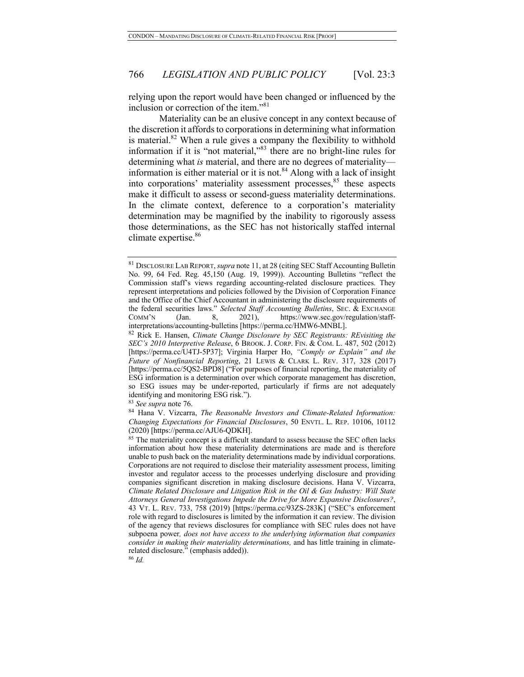relying upon the report would have been changed or influenced by the inclusion or correction of the item."<sup>81</sup>

Materiality can be an elusive concept in any context because of the discretion it affords to corporations in determining what information is material. $82$  When a rule gives a company the flexibility to withhold information if it is "not material,"<sup>83</sup> there are no bright-line rules for determining what *is* material, and there are no degrees of materiality information is either material or it is not.<sup>84</sup> Along with a lack of insight into corporations' materiality assessment processes,<sup>85</sup> these aspects make it difficult to assess or second-guess materiality determinations. In the climate context, deference to a corporation's materiality determination may be magnified by the inability to rigorously assess those determinations, as the SEC has not historically staffed internal climate expertise.<sup>86</sup>

<sup>81</sup> DISCLOSURE LAB REPORT, *supra* note 11, at 28 (citing SEC Staff Accounting Bulletin No. 99, 64 Fed. Reg. 45,150 (Aug. 19, 1999)). Accounting Bulletins "reflect the Commission staff's views regarding accounting-related disclosure practices. They represent interpretations and policies followed by the Division of Corporation Finance and the Office of the Chief Accountant in administering the disclosure requirements of the federal securities laws." *Selected Staff Accounting Bulletins*, SEC. & EXCHANGE COMM'N (Jan. 8, 2021), https://www.sec.gov/regulation/staffinterpretations/accounting-bulletins [https://perma.cc/HMW6-MNBL].

<sup>82</sup> Rick E. Hansen, *Climate Change Disclosure by SEC Registrants: REvisiting the SEC's 2010 Interpretive Release*, 6 BROOK. J. CORP. FIN. & COM. L. 487, 502 (2012) [https://perma.cc/U4TJ-5P37]; Virginia Harper Ho, *"Comply or Explain" and the Future of Nonfinancial Reporting*, 21 LEWIS & CLARK L. REV. 317, 328 (2017) [https://perma.cc/5QS2-BPD8] ("For purposes of financial reporting, the materiality of ESG information is a determination over which corporate management has discretion, so ESG issues may be under-reported, particularly if firms are not adequately identifying and monitoring ESG risk."). 83 *See supra* note 76.

<sup>84</sup> Hana V. Vizcarra, *The Reasonable Investors and Climate-Related Information: Changing Expectations for Financial Disclosures*, 50 ENVTL. L. REP. 10106, 10112 (2020) [https://perma.cc/AJU6-QDKH].

<sup>&</sup>lt;sup>85</sup> The materiality concept is a difficult standard to assess because the SEC often lacks information about how these materiality determinations are made and is therefore unable to push back on the materiality determinations made by individual corporations. Corporations are not required to disclose their materiality assessment process, limiting investor and regulator access to the processes underlying disclosure and providing companies significant discretion in making disclosure decisions. Hana V. Vizcarra, *Climate Related Disclosure and Litigation Risk in the Oil & Gas Industry: Will State Attorneys General Investigations Impede the Drive for More Expansive Disclosures?*, 43 VT. L. REV. 733, 758 (2019) [https://perma.cc/93ZS-283K] ("SEC's enforcement role with regard to disclosures is limited by the information it can review. The division of the agency that reviews disclosures for compliance with SEC rules does not have subpoena power*, does not have access to the underlying information that companies consider in making their materiality determinations,* and has little training in climaterelated disclosure." (emphasis added)).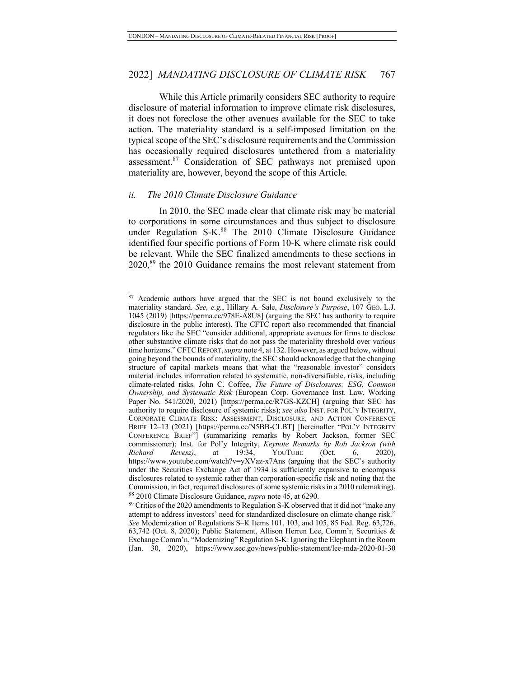While this Article primarily considers SEC authority to require disclosure of material information to improve climate risk disclosures, it does not foreclose the other avenues available for the SEC to take action. The materiality standard is a self-imposed limitation on the typical scope of the SEC's disclosure requirements and the Commission has occasionally required disclosures untethered from a materiality assessment.87 Consideration of SEC pathways not premised upon materiality are, however, beyond the scope of this Article.

#### *ii. The 2010 Climate Disclosure Guidance*

In 2010, the SEC made clear that climate risk may be material to corporations in some circumstances and thus subject to disclosure under Regulation S-K.<sup>88</sup> The 2010 Climate Disclosure Guidance identified four specific portions of Form 10-K where climate risk could be relevant. While the SEC finalized amendments to these sections in 2020,89 the 2010 Guidance remains the most relevant statement from

<sup>&</sup>lt;sup>87</sup> Academic authors have argued that the SEC is not bound exclusively to the materiality standard. *See, e.g.*, Hillary A. Sale, *Disclosure's Purpose*, 107 GEO. L.J. 1045 (2019) [https://perma.cc/978E-A8U8] (arguing the SEC has authority to require disclosure in the public interest). The CFTC report also recommended that financial regulators like the SEC "consider additional, appropriate avenues for firms to disclose other substantive climate risks that do not pass the materiality threshold over various time horizons." CFTCREPORT,*supra* note 4, at 132. However, as argued below, without going beyond the bounds of materiality, the SEC should acknowledge that the changing structure of capital markets means that what the "reasonable investor" considers material includes information related to systematic, non-diversifiable, risks, including climate-related risks. John C. Coffee, *The Future of Disclosures: ESG, Common Ownership, and Systematic Risk* (European Corp. Governance Inst. Law, Working Paper No. 541/2020, 2021) [https://perma.cc/R7GS-KZCH] (arguing that SEC has authority to require disclosure of systemic risks); *see also* INST. FOR POL'Y INTEGRITY, CORPORATE CLIMATE RISK: ASSESSMENT, DISCLOSURE, AND ACTION CONFERENCE BRIEF 12–13 (2021) [https://perma.cc/N5BB-CLBT] [hereinafter "POL'Y INTEGRITY CONFERENCE BRIEF"] (summarizing remarks by Robert Jackson, former SEC commissioner); Inst. for Pol'y Integrity, *Keynote Remarks by Rob Jackson (with Richard Revesz)*, at 19:34, YOUTUBE (Oct. 6, 2020), https://www.youtube.com/watch?v=yXVaz-x7Ans (arguing that the SEC's authority under the Securities Exchange Act of 1934 is sufficiently expansive to encompass disclosures related to systemic rather than corporation-specific risk and noting that the Commission, in fact, required disclosures of some systemic risks in a 2010 rulemaking). <sup>88</sup> 2010 Climate Disclosure Guidance, *supra* note 45, at 6290.

<sup>&</sup>lt;sup>89</sup> Critics of the 2020 amendments to Regulation S-K observed that it did not "make any attempt to address investors' need for standardized disclosure on climate change risk." *See* Modernization of Regulations S–K Items 101, 103, and 105, 85 Fed. Reg. 63,726, 63,742 (Oct. 8, 2020); Public Statement, Allison Herren Lee, Comm'r, Securities & Exchange Comm'n, "Modernizing" Regulation S-K: Ignoring the Elephant in the Room (Jan. 30, 2020), https://www.sec.gov/news/public-statement/lee-mda-2020-01-30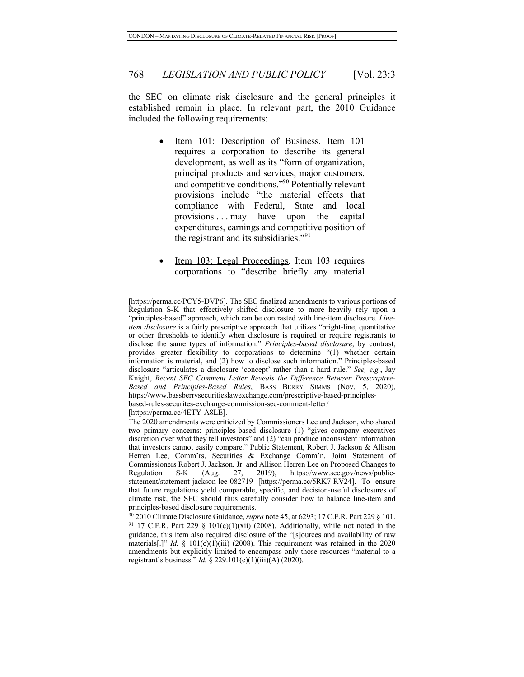the SEC on climate risk disclosure and the general principles it established remain in place. In relevant part, the 2010 Guidance included the following requirements:

- Item 101: Description of Business. Item 101 requires a corporation to describe its general development, as well as its "form of organization, principal products and services, major customers, and competitive conditions."90 Potentially relevant provisions include "the material effects that compliance with Federal, State and local provisions . . . may have upon the capital expenditures, earnings and competitive position of the registrant and its subsidiaries."<sup>91</sup>
- Item 103: Legal Proceedings. Item 103 requires corporations to "describe briefly any material

[https://perma.cc/4ETY-A8LE].

<sup>[</sup>https://perma.cc/PCY5-DVP6]. The SEC finalized amendments to various portions of Regulation S-K that effectively shifted disclosure to more heavily rely upon a "principles-based" approach, which can be contrasted with line-item disclosure. *Lineitem disclosure* is a fairly prescriptive approach that utilizes "bright-line, quantitative or other thresholds to identify when disclosure is required or require registrants to disclose the same types of information." *Principles-based disclosure*, by contrast, provides greater flexibility to corporations to determine "(1) whether certain information is material, and (2) how to disclose such information." Principles-based disclosure "articulates a disclosure 'concept' rather than a hard rule." *See, e.g.*, Jay Knight, *Recent SEC Comment Letter Reveals the Difference Between Prescriptive-Based and Principles-Based Rules*, BASS BERRY SIMMS (Nov. 5, 2020), https://www.bassberrysecuritieslawexchange.com/prescriptive-based-principlesbased-rules-securites-exchange-commission-sec-comment-letter/

The 2020 amendments were criticized by Commissioners Lee and Jackson, who shared two primary concerns: principles-based disclosure (1) "gives company executives discretion over what they tell investors" and (2) "can produce inconsistent information that investors cannot easily compare." Public Statement, Robert J. Jackson & Allison Herren Lee, Comm'rs, Securities & Exchange Comm'n, Joint Statement of Commissioners Robert J. Jackson, Jr. and Allison Herren Lee on Proposed Changes to Regulation S-K (Aug. 27, 2019), https://www.sec.gov/news/publicstatement/statement-jackson-lee-082719 [https://perma.cc/5RK7-RV24]. To ensure that future regulations yield comparable, specific, and decision-useful disclosures of climate risk, the SEC should thus carefully consider how to balance line-item and principles-based disclosure requirements.

<sup>90</sup> 2010 Climate Disclosure Guidance, *supra* note 45, at 6293; 17 C.F.R. Part 229 § 101. <sup>91</sup> 17 C.F.R. Part 229 § 101(c)(1)(xii) (2008). Additionally, while not noted in the guidance, this item also required disclosure of the "[s]ources and availability of raw materials[.]" *Id.* § 101(c)(1)(iii) (2008). This requirement was retained in the 2020 amendments but explicitly limited to encompass only those resources "material to a registrant's business." *Id.* § 229.101(c)(1)(iii)(A) (2020).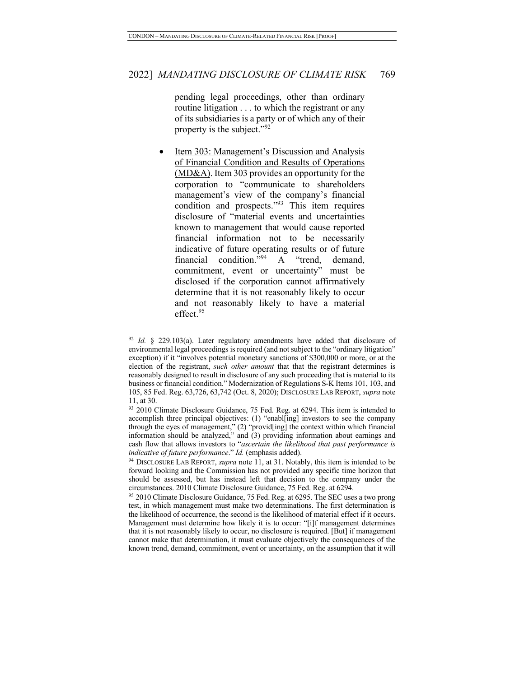pending legal proceedings, other than ordinary routine litigation . . . to which the registrant or any of its subsidiaries is a party or of which any of their property is the subject."<sup>92</sup>

Item 303: Management's Discussion and Analysis of Financial Condition and Results of Operations (MD&A). Item 303 provides an opportunity for the corporation to "communicate to shareholders management's view of the company's financial condition and prospects."93 This item requires disclosure of "material events and uncertainties known to management that would cause reported financial information not to be necessarily indicative of future operating results or of future financial condition.<sup> $594$ </sup> A "trend, demand, commitment, event or uncertainty" must be disclosed if the corporation cannot affirmatively determine that it is not reasonably likely to occur and not reasonably likely to have a material effect.<sup>95</sup>

<sup>92</sup> *Id.* § 229.103(a). Later regulatory amendments have added that disclosure of environmental legal proceedings is required (and not subject to the "ordinary litigation" exception) if it "involves potential monetary sanctions of \$300,000 or more, or at the election of the registrant, *such other amount* that that the registrant determines is reasonably designed to result in disclosure of any such proceeding that is material to its business or financial condition." Modernization of Regulations S-K Items 101, 103, and 105, 85 Fed. Reg. 63,726, 63,742 (Oct. 8, 2020); DISCLOSURE LAB REPORT, *supra* note 11, at 30.

<sup>93 2010</sup> Climate Disclosure Guidance, 75 Fed. Reg. at 6294. This item is intended to accomplish three principal objectives: (1) "enabl[ing] investors to see the company through the eyes of management," (2) "provid[ing] the context within which financial information should be analyzed," and (3) providing information about earnings and cash flow that allows investors to "*ascertain the likelihood that past performance is indicative of future performance*." *Id.* (emphasis added).

<sup>94</sup> DISCLOSURE LAB REPORT, *supra* note 11, at 31. Notably, this item is intended to be forward looking and the Commission has not provided any specific time horizon that should be assessed, but has instead left that decision to the company under the circumstances. 2010 Climate Disclosure Guidance, 75 Fed. Reg. at 6294.

<sup>&</sup>lt;sup>95</sup> 2010 Climate Disclosure Guidance, 75 Fed. Reg. at 6295. The SEC uses a two prong test, in which management must make two determinations. The first determination is the likelihood of occurrence, the second is the likelihood of material effect if it occurs. Management must determine how likely it is to occur: "[i]f management determines that it is not reasonably likely to occur, no disclosure is required. [But] if management cannot make that determination, it must evaluate objectively the consequences of the known trend, demand, commitment, event or uncertainty, on the assumption that it will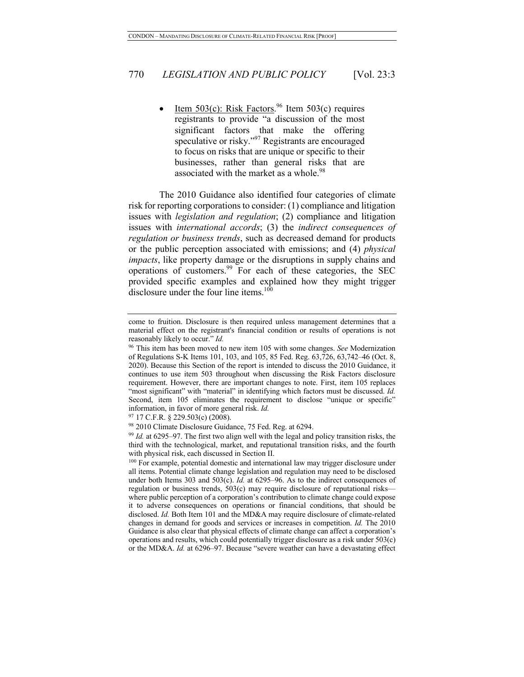• Item  $503(c)$ : Risk Factors.<sup>96</sup> Item  $503(c)$  requires registrants to provide "a discussion of the most significant factors that make the offering speculative or risky."<sup>97</sup> Registrants are encouraged to focus on risks that are unique or specific to their businesses, rather than general risks that are associated with the market as a whole.<sup>98</sup>

The 2010 Guidance also identified four categories of climate risk for reporting corporations to consider: (1) compliance and litigation issues with *legislation and regulation*; (2) compliance and litigation issues with *international accords*; (3) the *indirect consequences of regulation or business trends*, such as decreased demand for products or the public perception associated with emissions; and (4) *physical impacts*, like property damage or the disruptions in supply chains and operations of customers.<sup>99</sup> For each of these categories, the SEC provided specific examples and explained how they might trigger disclosure under the four line items. $100$ 

come to fruition. Disclosure is then required unless management determines that a material effect on the registrant's financial condition or results of operations is not reasonably likely to occur." *Id.*

<sup>96</sup> This item has been moved to new item 105 with some changes. *See* Modernization of Regulations S-K Items 101, 103, and 105, 85 Fed. Reg. 63,726, 63,742–46 (Oct. 8, 2020). Because this Section of the report is intended to discuss the 2010 Guidance, it continues to use item 503 throughout when discussing the Risk Factors disclosure requirement. However, there are important changes to note. First, item 105 replaces "most significant" with "material" in identifying which factors must be discussed. *Id.* Second, item 105 eliminates the requirement to disclose "unique or specific" information, in favor of more general risk. *Id.*

 $97$  17 C.F.R. § 229.503(c) (2008).

<sup>98</sup> 2010 Climate Disclosure Guidance, 75 Fed. Reg. at 6294.

<sup>99</sup> *Id.* at 6295–97. The first two align well with the legal and policy transition risks, the third with the technological, market, and reputational transition risks, and the fourth with physical risk, each discussed in Section II.

<sup>&</sup>lt;sup>100</sup> For example, potential domestic and international law may trigger disclosure under all items. Potential climate change legislation and regulation may need to be disclosed under both Items 303 and 503(c). *Id.* at 6295–96. As to the indirect consequences of regulation or business trends, 503(c) may require disclosure of reputational risks where public perception of a corporation's contribution to climate change could expose it to adverse consequences on operations or financial conditions, that should be disclosed. *Id.* Both Item 101 and the MD&A may require disclosure of climate-related changes in demand for goods and services or increases in competition. *Id.* The 2010 Guidance is also clear that physical effects of climate change can affect a corporation's operations and results, which could potentially trigger disclosure as a risk under 503(c) or the MD&A. *Id.* at 6296–97. Because "severe weather can have a devastating effect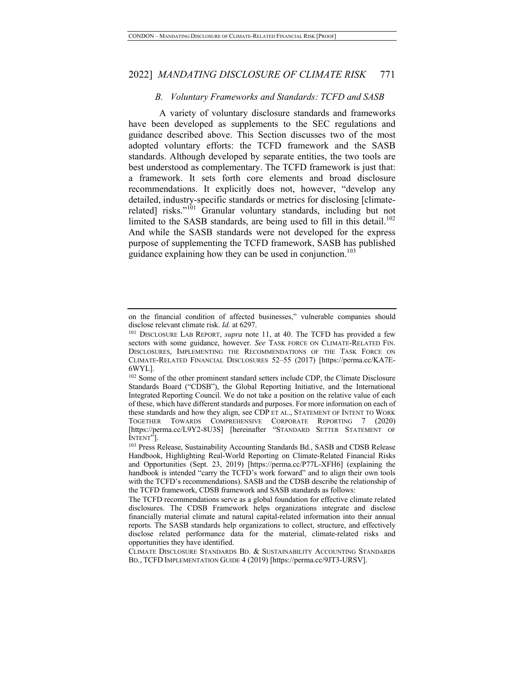#### *B. Voluntary Frameworks and Standards: TCFD and SASB*

A variety of voluntary disclosure standards and frameworks have been developed as supplements to the SEC regulations and guidance described above. This Section discusses two of the most adopted voluntary efforts: the TCFD framework and the SASB standards. Although developed by separate entities, the two tools are best understood as complementary. The TCFD framework is just that: a framework. It sets forth core elements and broad disclosure recommendations. It explicitly does not, however, "develop any detailed, industry-specific standards or metrics for disclosing [climaterelated] risks."<sup>101</sup> Granular voluntary standards, including but not limited to the SASB standards, are being used to fill in this detail.<sup>102</sup> And while the SASB standards were not developed for the express purpose of supplementing the TCFD framework, SASB has published guidance explaining how they can be used in conjunction.<sup>103</sup>

on the financial condition of affected businesses," vulnerable companies should disclose relevant climate risk. *Id.* at 6297.

<sup>&</sup>lt;sup>101</sup> DISCLOSURE LAB REPORT, *supra* note 11, at 40. The TCFD has provided a few sectors with some guidance, however. *See TASK FORCE ON CLIMATE-RELATED FIN.* DISCLOSURES, IMPLEMENTING THE RECOMMENDATIONS OF THE TASK FORCE ON CLIMATE-RELATED FINANCIAL DISCLOSURES 52–55 (2017) [https://perma.cc/KA7E-6WYL].

<sup>102</sup> Some of the other prominent standard setters include CDP, the Climate Disclosure Standards Board ("CDSB"), the Global Reporting Initiative, and the International Integrated Reporting Council. We do not take a position on the relative value of each of these, which have different standards and purposes. For more information on each of these standards and how they align, see CDP ET AL., STATEMENT OF INTENT TO WORK TOGETHER TOWARDS COMPREHENSIVE CORPORATE REPORTING 7 (2020) [https://perma.cc/L9Y2-8U3S] [hereinafter "STANDARD SETTER STATEMENT OF INTENT"].

<sup>&</sup>lt;sup>103</sup> Press Release, Sustainability Accounting Standards Bd., SASB and CDSB Release Handbook, Highlighting Real-World Reporting on Climate-Related Financial Risks and Opportunities (Sept. 23, 2019) [https://perma.cc/P77L-XFH6] (explaining the handbook is intended "carry the TCFD's work forward" and to align their own tools with the TCFD's recommendations). SASB and the CDSB describe the relationship of the TCFD framework, CDSB framework and SASB standards as follows:

The TCFD recommendations serve as a global foundation for effective climate related disclosures. The CDSB Framework helps organizations integrate and disclose financially material climate and natural capital-related information into their annual reports. The SASB standards help organizations to collect, structure, and effectively disclose related performance data for the material, climate-related risks and opportunities they have identified.

CLIMATE DISCLOSURE STANDARDS BD. & SUSTAINABILITY ACCOUNTING STANDARDS BD., TCFD IMPLEMENTATION GUIDE 4 (2019) [https://perma.cc/9JT3-URSV].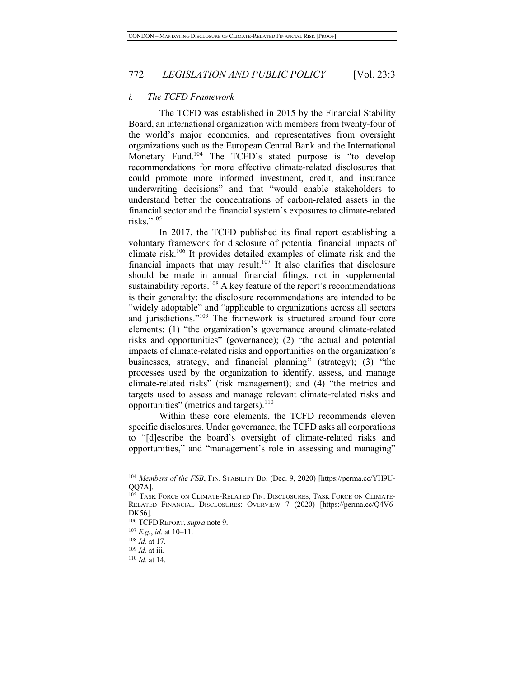#### *i. The TCFD Framework*

The TCFD was established in 2015 by the Financial Stability Board, an international organization with members from twenty-four of the world's major economies, and representatives from oversight organizations such as the European Central Bank and the International Monetary Fund.<sup>104</sup> The TCFD's stated purpose is "to develop recommendations for more effective climate-related disclosures that could promote more informed investment, credit, and insurance underwriting decisions" and that "would enable stakeholders to understand better the concentrations of carbon-related assets in the financial sector and the financial system's exposures to climate-related risks."<sup>105</sup>

In 2017, the TCFD published its final report establishing a voluntary framework for disclosure of potential financial impacts of climate risk.106 It provides detailed examples of climate risk and the financial impacts that may result.<sup>107</sup> It also clarifies that disclosure should be made in annual financial filings, not in supplemental sustainability reports.<sup>108</sup> A key feature of the report's recommendations is their generality: the disclosure recommendations are intended to be "widely adoptable" and "applicable to organizations across all sectors and jurisdictions."<sup>109</sup> The framework is structured around four core elements: (1) "the organization's governance around climate-related risks and opportunities" (governance); (2) "the actual and potential impacts of climate-related risks and opportunities on the organization's businesses, strategy, and financial planning" (strategy); (3) "the processes used by the organization to identify, assess, and manage climate-related risks" (risk management); and (4) "the metrics and targets used to assess and manage relevant climate-related risks and opportunities" (metrics and targets). $110$ 

Within these core elements, the TCFD recommends eleven specific disclosures. Under governance, the TCFD asks all corporations to "[d]escribe the board's oversight of climate-related risks and opportunities," and "management's role in assessing and managing"

<sup>&</sup>lt;sup>104</sup> Members of the FSB, FIN. STABILITY BD. (Dec. 9, 2020) [https://perma.cc/YH9U-QQ7A].

<sup>105</sup> TASK FORCE ON CLIMATE-RELATED FIN. DISCLOSURES, TASK FORCE ON CLIMATE-RELATED FINANCIAL DISCLOSURES: OVERVIEW 7 (2020) [https://perma.cc/Q4V6- DK56].

<sup>106</sup> TCFD REPORT, *supra* note 9.

<sup>107</sup> *E.g.*, *id.* at 10–11.

<sup>108</sup> *Id.* at 17.

<sup>109</sup> *Id.* at iii.

<sup>110</sup> *Id.* at 14.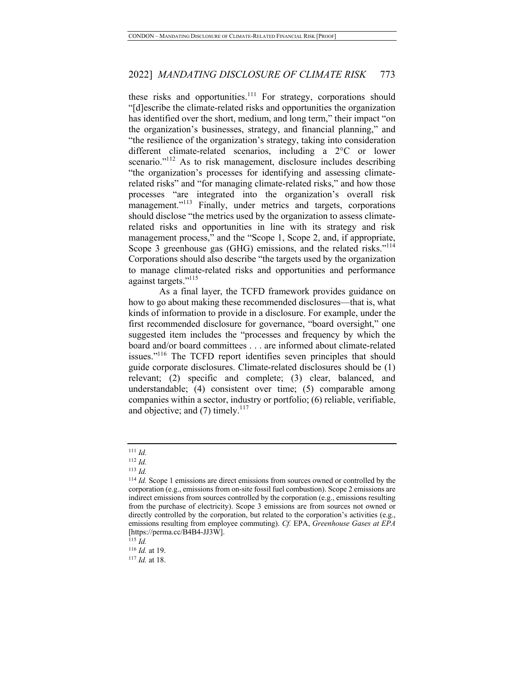these risks and opportunities.<sup>111</sup> For strategy, corporations should "[d]escribe the climate-related risks and opportunities the organization has identified over the short, medium, and long term," their impact "on the organization's businesses, strategy, and financial planning," and "the resilience of the organization's strategy, taking into consideration different climate-related scenarios, including a 2°C or lower scenario."<sup>112</sup> As to risk management, disclosure includes describing "the organization's processes for identifying and assessing climaterelated risks" and "for managing climate-related risks," and how those processes "are integrated into the organization's overall risk management."<sup>113</sup> Finally, under metrics and targets, corporations should disclose "the metrics used by the organization to assess climaterelated risks and opportunities in line with its strategy and risk management process," and the "Scope 1, Scope 2, and, if appropriate, Scope 3 greenhouse gas (GHG) emissions, and the related risks."<sup>114</sup> Corporations should also describe "the targets used by the organization to manage climate-related risks and opportunities and performance against targets."<sup>115</sup>

As a final layer, the TCFD framework provides guidance on how to go about making these recommended disclosures—that is, what kinds of information to provide in a disclosure. For example, under the first recommended disclosure for governance, "board oversight," one suggested item includes the "processes and frequency by which the board and/or board committees . . . are informed about climate-related issues."116 The TCFD report identifies seven principles that should guide corporate disclosures. Climate-related disclosures should be (1) relevant; (2) specific and complete; (3) clear, balanced, and understandable; (4) consistent over time; (5) comparable among companies within a sector, industry or portfolio; (6) reliable, verifiable, and objective; and  $(7)$  timely.<sup>117</sup>

<sup>111</sup> *Id.*

<sup>112</sup> *Id.*

<sup>113</sup> *Id.*

<sup>114</sup> *Id.* Scope 1 emissions are direct emissions from sources owned or controlled by the corporation (e.g., emissions from on-site fossil fuel combustion). Scope 2 emissions are indirect emissions from sources controlled by the corporation (e.g., emissions resulting from the purchase of electricity). Scope 3 emissions are from sources not owned or directly controlled by the corporation, but related to the corporation's activities (e.g., emissions resulting from employee commuting). *Cf.* EPA, *Greenhouse Gases at EPA* [https://perma.cc/B4B4-JJ3W]. 115 *Id.*

<sup>116</sup> *Id.* at 19.

<sup>117</sup> *Id.* at 18.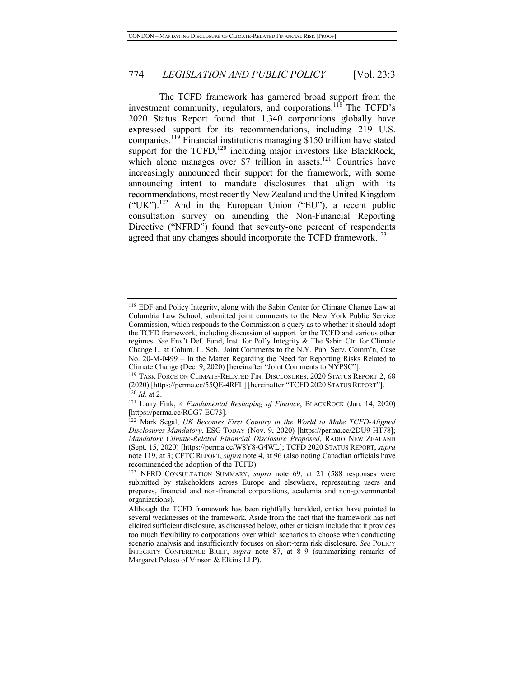The TCFD framework has garnered broad support from the investment community, regulators, and corporations.<sup>118</sup> The TCFD's 2020 Status Report found that 1,340 corporations globally have expressed support for its recommendations, including 219 U.S. companies.<sup>119</sup> Financial institutions managing \$150 trillion have stated support for the  $TCFD<sub>120</sub>$  including major investors like BlackRock, which alone manages over \$7 trillion in assets.<sup>121</sup> Countries have increasingly announced their support for the framework, with some announcing intent to mandate disclosures that align with its recommendations, most recently New Zealand and the United Kingdom ("UK").<sup>122</sup> And in the European Union ("EU"), a recent public consultation survey on amending the Non-Financial Reporting Directive ("NFRD") found that seventy-one percent of respondents agreed that any changes should incorporate the TCFD framework.<sup>123</sup>

<sup>118</sup> EDF and Policy Integrity, along with the Sabin Center for Climate Change Law at Columbia Law School, submitted joint comments to the New York Public Service Commission, which responds to the Commission's query as to whether it should adopt the TCFD framework, including discussion of support for the TCFD and various other regimes. *See* Env't Def. Fund, Inst. for Pol'y Integrity & The Sabin Ctr. for Climate Change L. at Colum. L. Sch., Joint Comments to the N.Y. Pub. Serv. Comm'n, Case No. 20-M-0499 – In the Matter Regarding the Need for Reporting Risks Related to Climate Change (Dec. 9, 2020) [hereinafter "Joint Comments to NYPSC"].

<sup>119</sup> TASK FORCE ON CLIMATE-RELATED FIN. DISCLOSURES, 2020 STATUS REPORT 2, 68 (2020) [https://perma.cc/55QE-4RFL] [hereinafter "TCFD <sup>2020</sup> STATUS REPORT"]. 120 *Id.* at 2.

<sup>121</sup> Larry Fink, *A Fundamental Reshaping of Finance*, BLACKROCK (Jan. 14, 2020) [https://perma.cc/RCG7-EC73].

<sup>122</sup> Mark Segal, *UK Becomes First Country in the World to Make TCFD-Aligned Disclosures Mandatory*, ESG TODAY (Nov. 9, 2020) [https://perma.cc/2DU9-HT78]; *Mandatory Climate-Related Financial Disclosure Proposed*, RADIO NEW ZEALAND (Sept. 15, 2020) [https://perma.cc/W8Y8-G4WL]; TCFD 2020 STATUS REPORT, *supra* note 119, at 3; CFTC REPORT, *supra* note 4, at 96 (also noting Canadian officials have recommended the adoption of the TCFD).

<sup>123</sup> NFRD CONSULTATION SUMMARY, *supra* note 69, at 21 (588 responses were submitted by stakeholders across Europe and elsewhere, representing users and prepares, financial and non-financial corporations, academia and non-governmental organizations).

Although the TCFD framework has been rightfully heralded, critics have pointed to several weaknesses of the framework. Aside from the fact that the framework has not elicited sufficient disclosure, as discussed below, other criticism include that it provides too much flexibility to corporations over which scenarios to choose when conducting scenario analysis and insufficiently focuses on short-term risk disclosure. *See* POLICY INTEGRITY CONFERENCE BRIEF, *supra* note 87, at 8–9 (summarizing remarks of Margaret Peloso of Vinson & Elkins LLP).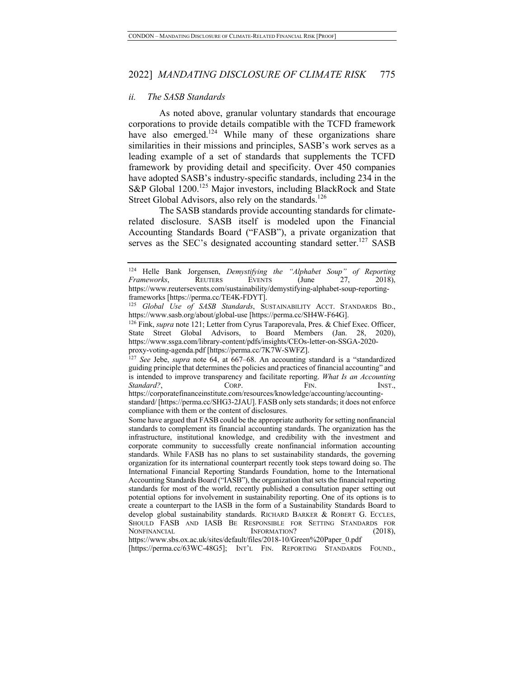#### *ii. The SASB Standards*

As noted above, granular voluntary standards that encourage corporations to provide details compatible with the TCFD framework have also emerged.<sup>124</sup> While many of these organizations share similarities in their missions and principles, SASB's work serves as a leading example of a set of standards that supplements the TCFD framework by providing detail and specificity. Over 450 companies have adopted SASB's industry-specific standards, including 234 in the S&P Global 1200.<sup>125</sup> Major investors, including BlackRock and State Street Global Advisors, also rely on the standards.<sup>126</sup>

The SASB standards provide accounting standards for climaterelated disclosure. SASB itself is modeled upon the Financial Accounting Standards Board ("FASB"), a private organization that serves as the SEC's designated accounting standard setter.<sup>127</sup> SASB

<sup>124</sup> Helle Bank Jorgensen, *Demystifying the "Alphabet Soup" of Reporting Frameworks*, REUTERS EVENTS (June 27, 2018), https://www.reutersevents.com/sustainability/demystifying-alphabet-soup-reportingframeworks [https://perma.cc/TE4K-FDYT].

<sup>125</sup> *Global Use of SASB Standards*, SUSTAINABILITY ACCT. STANDARDS BD., https://www.sasb.org/about/global-use [https://perma.cc/SH4W-F64G].

<sup>&</sup>lt;sup>126</sup> Fink, *supra* note 121; Letter from Cyrus Taraporevala, Pres. & Chief Exec. Officer, State Street Global Advisors, to Board Members (Jan. 28, 2020), https://www.ssga.com/library-content/pdfs/insights/CEOs-letter-on-SSGA-2020 proxy-voting-agenda.pdf [https://perma.cc/7K7W-SWFZ].

<sup>127</sup> *See* Jebe, *supra* note 64, at 667–68. An accounting standard is a "standardized guiding principle that determines the policies and practices of financial accounting" and is intended to improve transparency and facilitate reporting. *What Is an Accounting Standard?*, CORP. FIN. FIN. INST., https://corporatefinanceinstitute.com/resources/knowledge/accounting/accounting-

standard/ [https://perma.cc/SHG3-2JAU]. FASB only sets standards; it does not enforce compliance with them or the content of disclosures.

Some have argued that FASB could be the appropriate authority for setting nonfinancial standards to complement its financial accounting standards. The organization has the infrastructure, institutional knowledge, and credibility with the investment and corporate community to successfully create nonfinancial information accounting standards. While FASB has no plans to set sustainability standards, the governing organization for its international counterpart recently took steps toward doing so. The International Financial Reporting Standards Foundation, home to the International Accounting Standards Board ("IASB"), the organization that sets the financial reporting standards for most of the world, recently published a consultation paper setting out potential options for involvement in sustainability reporting. One of its options is to create a counterpart to the IASB in the form of a Sustainability Standards Board to develop global sustainability standards. RICHARD BARKER & ROBERT G. ECCLES, SHOULD FASB AND IASB BE RESPONSIBLE FOR SETTING STANDARDS FOR NONFINANCIAL INFORMATION? (2018), https://www.sbs.ox.ac.uk/sites/default/files/2018-10/Green%20Paper\_0.pdf

<sup>[</sup>https://perma.cc/63WC-48G5]; INT'L FIN. REPORTING STANDARDS FOUND.,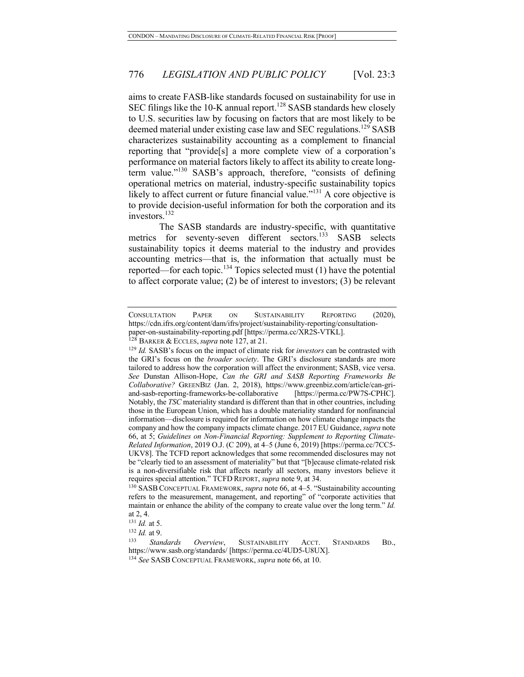aims to create FASB-like standards focused on sustainability for use in SEC filings like the 10-K annual report.<sup>128</sup> SASB standards hew closely to U.S. securities law by focusing on factors that are most likely to be deemed material under existing case law and SEC regulations.<sup>129</sup> SASB characterizes sustainability accounting as a complement to financial reporting that "provide[s] a more complete view of a corporation's performance on material factors likely to affect its ability to create longterm value."<sup>130</sup> SASB's approach, therefore, "consists of defining operational metrics on material, industry-specific sustainability topics likely to affect current or future financial value."<sup>131</sup> A core objective is to provide decision-useful information for both the corporation and its investors.<sup>132</sup>

The SASB standards are industry-specific, with quantitative metrics for seventy-seven different sectors.<sup>133</sup> SASB selects sustainability topics it deems material to the industry and provides accounting metrics—that is, the information that actually must be reported—for each topic.<sup>134</sup> Topics selected must  $(1)$  have the potential to affect corporate value; (2) be of interest to investors; (3) be relevant

CONSULTATION PAPER ON SUSTAINABILITY REPORTING (2020), https://cdn.ifrs.org/content/dam/ifrs/project/sustainability-reporting/consultationpaper-on-sustainability-reporting.pdf [https://perma.cc/XR2S-VTKL].

<sup>128</sup> BARKER & ECCLES,*supra* note 127, at 21.

<sup>129</sup> *Id.* SASB's focus on the impact of climate risk for *investors* can be contrasted with the GRI's focus on the *broader society*. The GRI's disclosure standards are more tailored to address how the corporation will affect the environment; SASB, vice versa. *See* Dunstan Allison-Hope, *Can the GRI and SASB Reporting Frameworks Be Collaborative?* GREENBIZ (Jan. 2, 2018), https://www.greenbiz.com/article/can-griand-sasb-reporting-frameworks-be-collaborative [https://perma.cc/PW7S-CPHC]. Notably, the *TSC* materiality standard is different than that in other countries, including those in the European Union, which has a double materiality standard for nonfinancial information—disclosure is required for information on how climate change impacts the company and how the company impacts climate change. 2017 EU Guidance, *supra* note 66, at 5; *Guidelines on Non-Financial Reporting: Supplement to Reporting Climate-Related Information*, 2019 O.J. (C 209), at 4–5 (June 6, 2019) [https://perma.cc/7CC5- UKV8]. The TCFD report acknowledges that some recommended disclosures may not be "clearly tied to an assessment of materiality" but that "[b]ecause climate-related risk is a non-diversifiable risk that affects nearly all sectors, many investors believe it requires special attention." TCFD REPORT, *supra* note 9, at 34.

<sup>130</sup> SASB CONCEPTUAL FRAMEWORK, *supra* note 66, at 4–5. "Sustainability accounting refers to the measurement, management, and reporting" of "corporate activities that maintain or enhance the ability of the company to create value over the long term." *Id.* at 2, 4.

<sup>131</sup> *Id.* at 5.

<sup>132</sup> *Id.* at 9.

<sup>133</sup> *Standards Overview*, SUSTAINABILITY ACCT. STANDARDS BD., https://www.sasb.org/standards/ [https://perma.cc/4UD5-U8UX].

<sup>134</sup> *See* SASB CONCEPTUAL FRAMEWORK, *supra* note 66, at 10.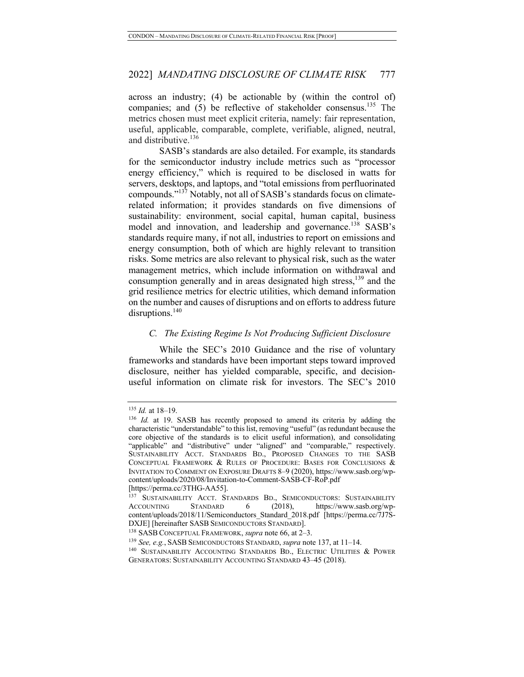across an industry; (4) be actionable by (within the control of) companies; and  $(5)$  be reflective of stakeholder consensus.<sup>135</sup> The metrics chosen must meet explicit criteria, namely: fair representation, useful, applicable, comparable, complete, verifiable, aligned, neutral, and distributive.<sup>136</sup>

SASB's standards are also detailed. For example, its standards for the semiconductor industry include metrics such as "processor energy efficiency," which is required to be disclosed in watts for servers, desktops, and laptops, and "total emissions from perfluorinated compounds."137 Notably, not all of SASB's standards focus on climaterelated information; it provides standards on five dimensions of sustainability: environment, social capital, human capital, business model and innovation, and leadership and governance.<sup>138</sup> SASB's standards require many, if not all, industries to report on emissions and energy consumption, both of which are highly relevant to transition risks. Some metrics are also relevant to physical risk, such as the water management metrics, which include information on withdrawal and consumption generally and in areas designated high stress, $^{139}$  and the grid resilience metrics for electric utilities, which demand information on the number and causes of disruptions and on efforts to address future disruptions.<sup>140</sup>

#### *C. The Existing Regime Is Not Producing Sufficient Disclosure*

While the SEC's 2010 Guidance and the rise of voluntary frameworks and standards have been important steps toward improved disclosure, neither has yielded comparable, specific, and decisionuseful information on climate risk for investors. The SEC's 2010

<sup>135</sup> *Id.* at 18–19.

<sup>136</sup> *Id.* at 19. SASB has recently proposed to amend its criteria by adding the characteristic "understandable" to this list, removing "useful" (as redundant because the core objective of the standards is to elicit useful information), and consolidating "applicable" and "distributive" under "aligned" and "comparable," respectively. SUSTAINABILITY ACCT. STANDARDS BD., PROPOSED CHANGES TO THE SASB CONCEPTUAL FRAMEWORK & RULES OF PROCEDURE: BASES FOR CONCLUSIONS & INVITATION TO COMMENT ON EXPOSURE DRAFTS 8–9 (2020), https://www.sasb.org/wpcontent/uploads/2020/08/Invitation-to-Comment-SASB-CF-RoP.pdf [https://perma.cc/3THG-AA55].

<sup>&</sup>lt;sup>137</sup> SUSTAINABILITY ACCT. STANDARDS BD., SEMICONDUCTORS: SUSTAINABILITY ACCOUNTING STANDARD 6 (2018). https://www.sasb.org/wp-STANDARD 6 (2018), https://www.sasb.org/wpcontent/uploads/2018/11/Semiconductors Standard 2018.pdf [https://perma.cc/7J7S-DXJE] [hereinafter SASB SEMICONDUCTORS STANDARD]. 138 SASB CONCEPTUAL FRAMEWORK, *supra* note 66, at 2–3.

<sup>139</sup> *See, e.g.*, SASB SEMICONDUCTORS STANDARD, *supra* note 137, at 11–14.

<sup>&</sup>lt;sup>140</sup> SUSTAINABILITY ACCOUNTING STANDARDS BD., ELECTRIC UTILITIES & POWER GENERATORS: SUSTAINABILITY ACCOUNTING STANDARD 43–45 (2018).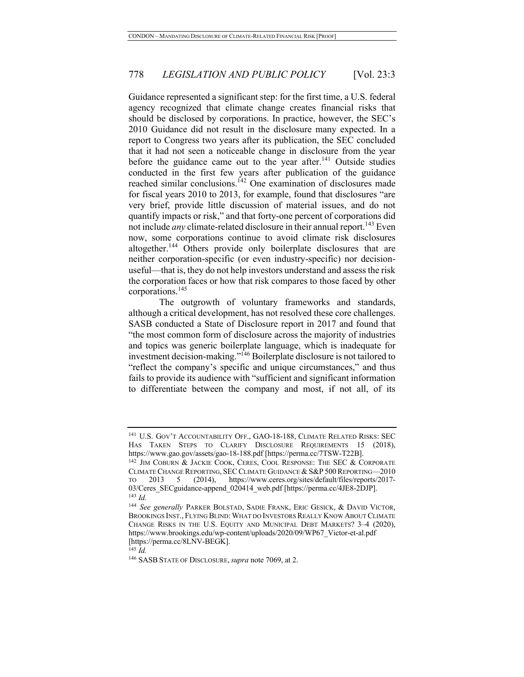Guidance represented a significant step: for the first time, a U.S. federal agency recognized that climate change creates financial risks that should be disclosed by corporations. In practice, however, the SEC's 2010 Guidance did not result in the disclosure many expected. In a report to Congress two years after its publication, the SEC concluded that it had not seen a noticeable change in disclosure from the year before the guidance came out to the year after.<sup>141</sup> Outside studies conducted in the first few years after publication of the guidance reached similar conclusions.<sup>142</sup> One examination of disclosures made for fiscal years 2010 to 2013, for example, found that disclosures "are very brief, provide little discussion of material issues, and do not quantify impacts or risk," and that forty-one percent of corporations did not include *any* climate-related disclosure in their annual report.<sup>143</sup> Even now, some corporations continue to avoid climate risk disclosures altogether.<sup>144</sup> Others provide only boilerplate disclosures that are neither corporation-specific (or even industry-specific) nor decisionuseful—that is, they do not help investors understand and assess the risk the corporation faces or how that risk compares to those faced by other corporations.<sup>145</sup>

The outgrowth of voluntary frameworks and standards, although a critical development, has not resolved these core challenges. SASB conducted a State of Disclosure report in 2017 and found that "the most common form of disclosure across the majority of industries and topics was generic boilerplate language, which is inadequate for investment decision-making."146 Boilerplate disclosure is not tailored to "reflect the company's specific and unique circumstances," and thus fails to provide its audience with "sufficient and significant information to differentiate between the company and most, if not all, of its

<sup>145</sup> *Id.*

<sup>&</sup>lt;sup>141</sup> U.S. GOV'T ACCOUNTABILITY OFF., GAO-18-188, CLIMATE RELATED RISKS: SEC HAS TAKEN STEPS TO CLARIFY DISCLOSURE REQUIREMENTS 15 (2018), https://www.gao.gov/assets/gao-18-188.pdf [https://perma.cc/7TSW-T22B].

<sup>&</sup>lt;sup>142</sup> JIM COBURN & JACKIE COOK, CERES, COOL RESPONSE: THE SEC & CORPORATE CLIMATE CHANGE REPORTING, SEC CLIMATE GUIDANCE & S&P 500 REPORTING-2010 TO 2013 5 (2014), https://www.ceres.org/sites/default/files/reports/2017- 03/Ceres\_SECguidance-append\_020414\_web.pdf [https://perma.cc/4JE8-2DJP]. <sup>143</sup> *Id.*

<sup>144</sup> *See generally* PARKER BOLSTAD, SADIE FRANK, ERIC GESICK, & DAVID VICTOR, BROOKINGS INST., FLYING BLIND: WHAT DO INVESTORS REALLY KNOW ABOUT CLIMATE CHANGE RISKS IN THE U.S. EQUITY AND MUNICIPAL DEBT MARKETS? 3–4 (2020), https://www.brookings.edu/wp-content/uploads/2020/09/WP67\_Victor-et-al.pdf [https://perma.cc/8LNV-BEGK].

<sup>146</sup> SASB STATE OF DISCLOSURE,*supra* note 7069, at 2.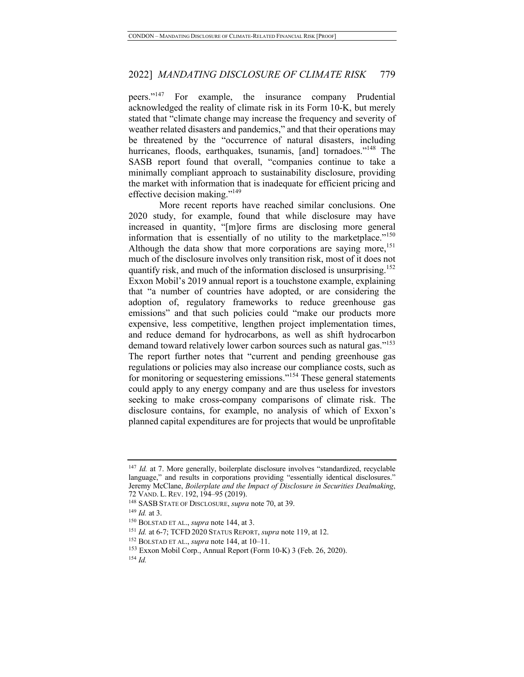peers."<sup>147</sup> For example, the insurance company Prudential acknowledged the reality of climate risk in its Form 10-K, but merely stated that "climate change may increase the frequency and severity of weather related disasters and pandemics," and that their operations may be threatened by the "occurrence of natural disasters, including hurricanes, floods, earthquakes, tsunamis, [and] tornadoes."<sup>148</sup> The SASB report found that overall, "companies continue to take a minimally compliant approach to sustainability disclosure, providing the market with information that is inadequate for efficient pricing and effective decision making."149

More recent reports have reached similar conclusions. One 2020 study, for example, found that while disclosure may have increased in quantity, "[m]ore firms are disclosing more general information that is essentially of no utility to the marketplace."<sup>150</sup> Although the data show that more corporations are saying more,<sup>151</sup> much of the disclosure involves only transition risk, most of it does not quantify risk, and much of the information disclosed is unsurprising.<sup>152</sup> Exxon Mobil's 2019 annual report is a touchstone example, explaining that "a number of countries have adopted, or are considering the adoption of, regulatory frameworks to reduce greenhouse gas emissions" and that such policies could "make our products more expensive, less competitive, lengthen project implementation times, and reduce demand for hydrocarbons, as well as shift hydrocarbon demand toward relatively lower carbon sources such as natural gas."<sup>153</sup> The report further notes that "current and pending greenhouse gas regulations or policies may also increase our compliance costs, such as for monitoring or sequestering emissions."<sup>154</sup> These general statements could apply to any energy company and are thus useless for investors seeking to make cross-company comparisons of climate risk. The disclosure contains, for example, no analysis of which of Exxon's planned capital expenditures are for projects that would be unprofitable

<sup>&</sup>lt;sup>147</sup> *Id.* at 7. More generally, boilerplate disclosure involves "standardized, recyclable language," and results in corporations providing "essentially identical disclosures." Jeremy McClane, *Boilerplate and the Impact of Disclosure in Securities Dealmaking*,

<sup>72</sup> VAND. L. REV. 192, 194–95 (2019). 148 SASB STATE OF DISCLOSURE, *supra* note 70, at 39.

<sup>149</sup> *Id.* at 3.

<sup>150</sup> BOLSTAD ET AL., *supra* note 144, at 3.

<sup>151</sup> *Id.* at 6-7; TCFD 2020 STATUS REPORT, *supra* note 119, at 12.

<sup>152</sup> BOLSTAD ET AL., *supra* note 144, at 10–11.

<sup>153</sup> Exxon Mobil Corp., Annual Report (Form 10-K) 3 (Feb. 26, 2020). <sup>154</sup> *Id.*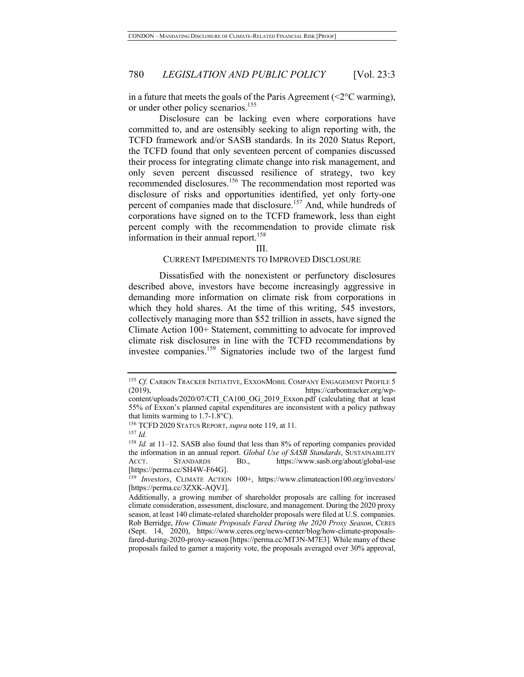in a future that meets the goals of the Paris Agreement ( $\leq 2^{\circ}$ C warming), or under other policy scenarios.<sup>155</sup>

Disclosure can be lacking even where corporations have committed to, and are ostensibly seeking to align reporting with, the TCFD framework and/or SASB standards. In its 2020 Status Report, the TCFD found that only seventeen percent of companies discussed their process for integrating climate change into risk management, and only seven percent discussed resilience of strategy, two key recommended disclosures.<sup>156</sup> The recommendation most reported was disclosure of risks and opportunities identified, yet only forty-one percent of companies made that disclosure.<sup>157</sup> And, while hundreds of corporations have signed on to the TCFD framework, less than eight percent comply with the recommendation to provide climate risk information in their annual report.<sup>158</sup>

#### III.

#### CURRENT IMPEDIMENTS TO IMPROVED DISCLOSURE

Dissatisfied with the nonexistent or perfunctory disclosures described above, investors have become increasingly aggressive in demanding more information on climate risk from corporations in which they hold shares. At the time of this writing, 545 investors, collectively managing more than \$52 trillion in assets, have signed the Climate Action 100+ Statement, committing to advocate for improved climate risk disclosures in line with the TCFD recommendations by investee companies.<sup>159</sup> Signatories include two of the largest fund

<sup>&</sup>lt;sup>155</sup> Cf. CARBON TRACKER INITIATIVE, EXXONMOBIL COMPANY ENGAGEMENT PROFILE 5 (2019), https://carbontracker.org/wpcontent/uploads/2020/07/CTI\_CA100\_OG\_2019\_Exxon.pdf (calculating that at least

<sup>55%</sup> of Exxon's planned capital expenditures are inconsistent with a policy pathway that limits warming to  $1.7-1.8$ °C).

<sup>156</sup> TCFD 2020 STATUS REPORT, *supra* note 119, at 11.

<sup>157</sup> *Id.*

<sup>158</sup> *Id.* at 11-12. SASB also found that less than 8% of reporting companies provided the information in an annual report. *Global Use of SASB Standards*, SUSTAINABILITY ACCT. STANDARDS BD., https://www.sasb.org/about/global-use [https://perma.cc/SH4W-F64G].

<sup>&</sup>lt;sup>159</sup> *Investors*, CLIMATE ACTION 100+, https://www.climateaction100.org/investors/ [https://perma.cc/3ZXK-AQVJ].

Additionally, a growing number of shareholder proposals are calling for increased climate consideration, assessment, disclosure, and management. During the 2020 proxy season, at least 140 climate-related shareholder proposals were filed at U.S. companies. Rob Berridge, *How Climate Proposals Fared During the 2020 Proxy Season*, CERES (Sept. 14, 2020), https://www.ceres.org/news-center/blog/how-climate-proposalsfared-during-2020-proxy-season [https://perma.cc/MT3N-M7E3]. While many of these proposals failed to garner a majority vote, the proposals averaged over 30% approval,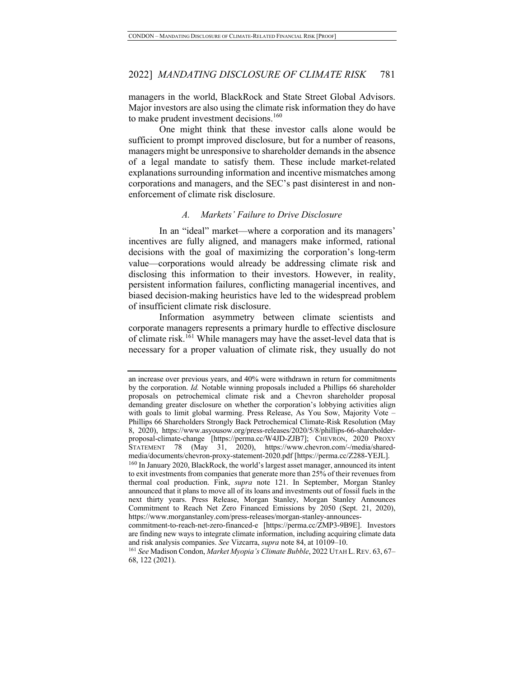managers in the world, BlackRock and State Street Global Advisors. Major investors are also using the climate risk information they do have to make prudent investment decisions.<sup>160</sup>

One might think that these investor calls alone would be sufficient to prompt improved disclosure, but for a number of reasons, managers might be unresponsive to shareholder demands in the absence of a legal mandate to satisfy them. These include market-related explanations surrounding information and incentive mismatches among corporations and managers, and the SEC's past disinterest in and nonenforcement of climate risk disclosure.

#### *A. Markets' Failure to Drive Disclosure*

In an "ideal" market—where a corporation and its managers' incentives are fully aligned, and managers make informed, rational decisions with the goal of maximizing the corporation's long-term value—corporations would already be addressing climate risk and disclosing this information to their investors. However, in reality, persistent information failures, conflicting managerial incentives, and biased decision-making heuristics have led to the widespread problem of insufficient climate risk disclosure.

Information asymmetry between climate scientists and corporate managers represents a primary hurdle to effective disclosure of climate risk.<sup>161</sup> While managers may have the asset-level data that is necessary for a proper valuation of climate risk, they usually do not

an increase over previous years, and 40% were withdrawn in return for commitments by the corporation. *Id.* Notable winning proposals included a Phillips 66 shareholder proposals on petrochemical climate risk and a Chevron shareholder proposal demanding greater disclosure on whether the corporation's lobbying activities align with goals to limit global warming. Press Release, As You Sow, Majority Vote – Phillips 66 Shareholders Strongly Back Petrochemical Climate-Risk Resolution (May 8, 2020), https://www.asyousow.org/press-releases/2020/5/8/phillips-66-shareholderproposal-climate-change [https://perma.cc/W4JD-ZJB7]; CHEVRON, 2020 PROXY STATEMENT 78 (May 31, 2020), https://www.chevron.com/-/media/sharedmedia/documents/chevron-proxy-statement-2020.pdf [https://perma.cc/Z288-YEJL].

<sup>&</sup>lt;sup>160</sup> In January 2020, BlackRock, the world's largest asset manager, announced its intent to exit investments from companies that generate more than 25% of their revenues from thermal coal production. Fink, *supra* note 121. In September, Morgan Stanley announced that it plans to move all of its loans and investments out of fossil fuels in the next thirty years. Press Release, Morgan Stanley, Morgan Stanley Announces Commitment to Reach Net Zero Financed Emissions by 2050 (Sept. 21, 2020), https://www.morganstanley.com/press-releases/morgan-stanley-announces-

commitment-to-reach-net-zero-financed-e [https://perma.cc/ZMP3-9B9E]. Investors are finding new ways to integrate climate information, including acquiring climate data and risk analysis companies. *See* Vizcarra, *supra* note 84, at 10109–10.

<sup>161</sup> *See* Madison Condon, *Market Myopia's Climate Bubble*, 2022 UTAH L.REV. 63, 67– 68, 122 (2021).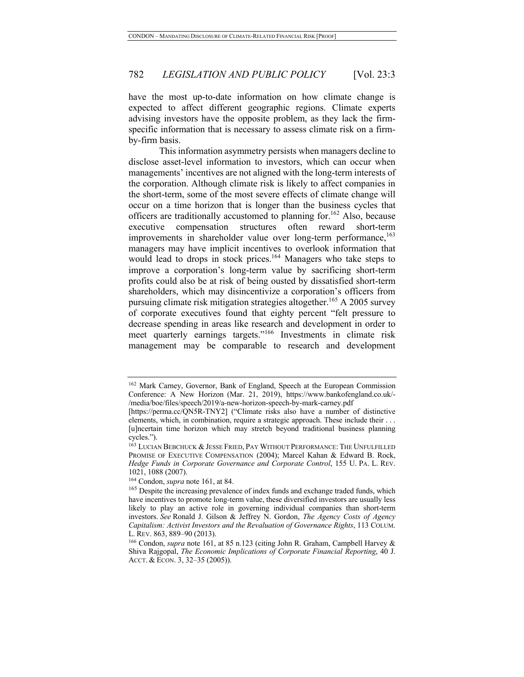have the most up-to-date information on how climate change is expected to affect different geographic regions. Climate experts advising investors have the opposite problem, as they lack the firmspecific information that is necessary to assess climate risk on a firmby-firm basis.

This information asymmetry persists when managers decline to disclose asset-level information to investors, which can occur when managements' incentives are not aligned with the long-term interests of the corporation. Although climate risk is likely to affect companies in the short-term, some of the most severe effects of climate change will occur on a time horizon that is longer than the business cycles that officers are traditionally accustomed to planning for.<sup>162</sup> Also, because executive compensation structures often reward short-term improvements in shareholder value over long-term performance,  $^{163}$ managers may have implicit incentives to overlook information that would lead to drops in stock prices.<sup>164</sup> Managers who take steps to improve a corporation's long-term value by sacrificing short-term profits could also be at risk of being ousted by dissatisfied short-term shareholders, which may disincentivize a corporation's officers from pursuing climate risk mitigation strategies altogether.<sup>165</sup> A 2005 survey of corporate executives found that eighty percent "felt pressure to decrease spending in areas like research and development in order to meet quarterly earnings targets."<sup>166</sup> Investments in climate risk management may be comparable to research and development

<sup>162</sup> Mark Carney, Governor, Bank of England, Speech at the European Commission Conference: A New Horizon (Mar. 21, 2019), https://www.bankofengland.co.uk/- /media/boe/files/speech/2019/a-new-horizon-speech-by-mark-carney.pdf

<sup>[</sup>https://perma.cc/QN5R-TNY2] ("Climate risks also have a number of distinctive elements, which, in combination, require a strategic approach. These include their . . . [u]ncertain time horizon which may stretch beyond traditional business planning cycles.").

<sup>&</sup>lt;sup>163</sup> LUCIAN BEBCHUCK & JESSE FRIED, PAY WITHOUT PERFORMANCE: THE UNFULFILLED PROMISE OF EXECUTIVE COMPENSATION (2004); Marcel Kahan & Edward B. Rock, *Hedge Funds in Corporate Governance and Corporate Control*, 155 U. PA. L. REV. 1021, 1088 (2007).

<sup>164</sup> Condon, *supra* note 161, at 84.

<sup>&</sup>lt;sup>165</sup> Despite the increasing prevalence of index funds and exchange traded funds, which have incentives to promote long-term value, these diversified investors are usually less likely to play an active role in governing individual companies than short-term investors. *See* Ronald J. Gilson & Jeffrey N. Gordon, *The Agency Costs of Agency Capitalism: Activist Investors and the Revaluation of Governance Rights*, 113 COLUM. L. REV. 863, 889–90 (2013).

<sup>166</sup> Condon, *supra* note 161, at 85 n.123 (citing John R. Graham, Campbell Harvey & Shiva Rajgopal, *The Economic Implications of Corporate Financial Reporting*, 40 J. ACCT. & ECON. 3, 32–35 (2005)).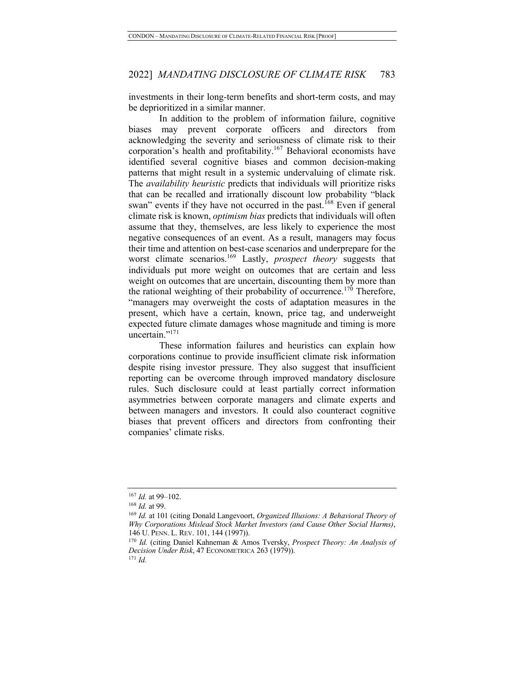investments in their long-term benefits and short-term costs, and may be deprioritized in a similar manner.

In addition to the problem of information failure, cognitive biases may prevent corporate officers and directors from acknowledging the severity and seriousness of climate risk to their corporation's health and profitability.<sup>167</sup> Behavioral economists have identified several cognitive biases and common decision-making patterns that might result in a systemic undervaluing of climate risk. The *availability heuristic* predicts that individuals will prioritize risks that can be recalled and irrationally discount low probability "black swan" events if they have not occurred in the past.<sup>168</sup> Even if general climate risk is known, *optimism bias* predicts that individuals will often assume that they, themselves, are less likely to experience the most negative consequences of an event. As a result, managers may focus their time and attention on best-case scenarios and underprepare for the worst climate scenarios.169 Lastly, *prospect theory* suggests that individuals put more weight on outcomes that are certain and less weight on outcomes that are uncertain, discounting them by more than the rational weighting of their probability of occurrence.<sup>170</sup> Therefore, "managers may overweight the costs of adaptation measures in the present, which have a certain, known, price tag, and underweight expected future climate damages whose magnitude and timing is more uncertain."<sup>171</sup>

These information failures and heuristics can explain how corporations continue to provide insufficient climate risk information despite rising investor pressure. They also suggest that insufficient reporting can be overcome through improved mandatory disclosure rules. Such disclosure could at least partially correct information asymmetries between corporate managers and climate experts and between managers and investors. It could also counteract cognitive biases that prevent officers and directors from confronting their companies' climate risks.

<sup>167</sup> *Id.* at 99–102.

<sup>168</sup> *Id.* at 99.

<sup>169</sup> *Id.* at 101 (citing Donald Langevoort, *Organized Illusions: A Behavioral Theory of Why Corporations Mislead Stock Market Investors (and Cause Other Social Harms)*, 146 U. PENN. L. REV. 101, 144 (1997)).

<sup>170</sup> *Id.* (citing Daniel Kahneman & Amos Tversky, *Prospect Theory: An Analysis of Decision Under Risk*, 47 ECONOMETRICA 263 (1979)).

<sup>171</sup> *Id.*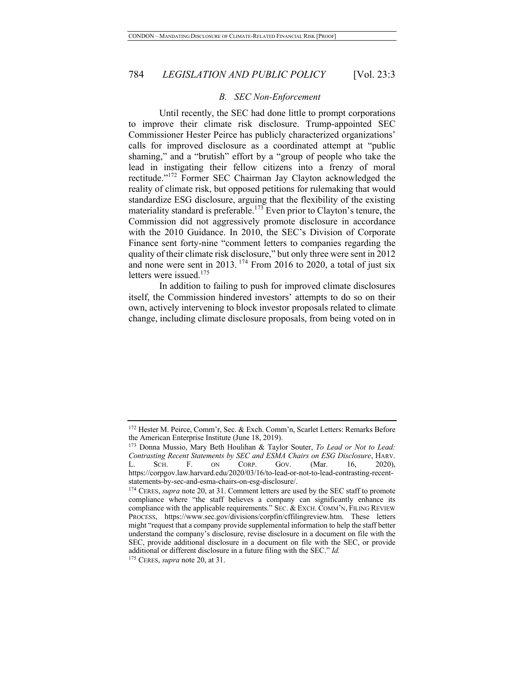#### *B. SEC Non-Enforcement*

Until recently, the SEC had done little to prompt corporations to improve their climate risk disclosure. Trump-appointed SEC Commissioner Hester Peirce has publicly characterized organizations' calls for improved disclosure as a coordinated attempt at "public shaming," and a "brutish" effort by a "group of people who take the lead in instigating their fellow citizens into a frenzy of moral rectitude."172 Former SEC Chairman Jay Clayton acknowledged the reality of climate risk, but opposed petitions for rulemaking that would standardize ESG disclosure, arguing that the flexibility of the existing materiality standard is preferable.<sup>173</sup> Even prior to Clayton's tenure, the Commission did not aggressively promote disclosure in accordance with the 2010 Guidance. In 2010, the SEC's Division of Corporate Finance sent forty-nine "comment letters to companies regarding the quality of their climate risk disclosure," but only three were sent in 2012 and none were sent in 2013.<sup>174</sup> From 2016 to 2020, a total of just six letters were issued.<sup>175</sup>

In addition to failing to push for improved climate disclosures itself, the Commission hindered investors' attempts to do so on their own, actively intervening to block investor proposals related to climate change, including climate disclosure proposals, from being voted on in

<sup>172</sup> Hester M. Peirce, Comm'r, Sec. & Exch. Comm'n, Scarlet Letters: Remarks Before the American Enterprise Institute (June 18, 2019).

<sup>173</sup> Donna Mussio, Mary Beth Houlihan & Taylor Souter, *To Lead or Not to Lead: Contrasting Recent Statements by SEC and ESMA Chairs on ESG Disclosure*, HARV. L. SCH. F. ON CORP. GOV. (Mar. 16, 2020), https://corpgov.law.harvard.edu/2020/03/16/to-lead-or-not-to-lead-contrasting-recentstatements-by-sec-and-esma-chairs-on-esg-disclosure/.

<sup>&</sup>lt;sup>174</sup> CERES, *supra* note 20, at 31. Comment letters are used by the SEC staff to promote compliance where "the staff believes a company can significantly enhance its compliance with the applicable requirements." SEC. & EXCH. COMM'N, FILING REVIEW PROCESS, https://www.sec.gov/divisions/corpfin/cffilingreview.htm. These letters might "request that a company provide supplemental information to help the staff better understand the company's disclosure, revise disclosure in a document on file with the SEC, provide additional disclosure in a document on file with the SEC, or provide additional or different disclosure in a future filing with the SEC." *Id.*

<sup>175</sup> CERES, *supra* note 20, at 31.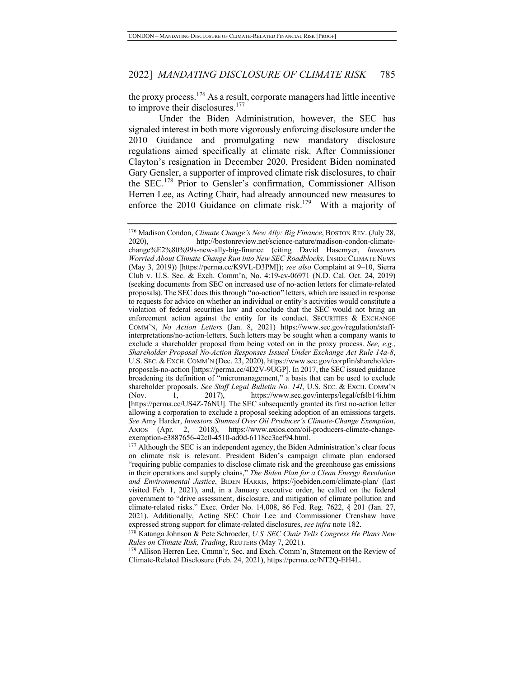the proxy process.<sup>176</sup> As a result, corporate managers had little incentive to improve their disclosures.<sup>177</sup>

Under the Biden Administration, however, the SEC has signaled interest in both more vigorously enforcing disclosure under the 2010 Guidance and promulgating new mandatory disclosure regulations aimed specifically at climate risk. After Commissioner Clayton's resignation in December 2020, President Biden nominated Gary Gensler, a supporter of improved climate risk disclosures, to chair the SEC.<sup>178</sup> Prior to Gensler's confirmation, Commissioner Allison Herren Lee, as Acting Chair, had already announced new measures to enforce the 2010 Guidance on climate risk.<sup>179</sup> With a majority of

<sup>179</sup> Allison Herren Lee, Cmmn'r, Sec. and Exch. Comm'n, Statement on the Review of Climate-Related Disclosure (Feb. 24, 2021), https://perma.cc/NT2Q-EH4L.

<sup>&</sup>lt;sup>176</sup> Madison Condon, *Climate Change's New Ally: Big Finance*, BOSTON REV. (July 28, 2020), http://bostonreview.net/science-nature/madison-condon-climatechange%E2%80%99s-new-ally-big-finance (citing David Hasemyer, *Investors Worried About Climate Change Run into New SEC Roadblocks*, INSIDE CLIMATE NEWS (May 3, 2019)) [https://perma.cc/K9VL-D3PM]); *see also* Complaint at 9–10, Sierra Club v. U.S. Sec. & Exch. Comm'n, No. 4:19-cv-06971 (N.D. Cal. Oct. 24, 2019) (seeking documents from SEC on increased use of no-action letters for climate-related proposals). The SEC does this through "no-action" letters, which are issued in response to requests for advice on whether an individual or entity's activities would constitute a violation of federal securities law and conclude that the SEC would not bring an enforcement action against the entity for its conduct. SECURITIES  $\&$  EXCHANGE COMM'N, *No Action Letters* (Jan. 8, 2021) https://www.sec.gov/regulation/staffinterpretations/no-action-letters. Such letters may be sought when a company wants to exclude a shareholder proposal from being voted on in the proxy process. *See, e.g.*, *Shareholder Proposal No-Action Responses Issued Under Exchange Act Rule 14a-8*, U.S. SEC. & EXCH. COMM'N (Dec. 23, 2020), https://www.sec.gov/corpfin/shareholderproposals-no-action [https://perma.cc/4D2V-9UGP]. In 2017, the SEC issued guidance broadening its definition of "micromanagement," a basis that can be used to exclude shareholder proposals. *See Staff Legal Bulletin No. 14I*, U.S. SEC. & EXCH. COMM'N (Nov. 1, 2017), https://www.sec.gov/interps/legal/cfslb14i.htm [https://perma.cc/US4Z-76NU]. The SEC subsequently granted its first no-action letter allowing a corporation to exclude a proposal seeking adoption of an emissions targets. *See* Amy Harder, *Investors Stunned Over Oil Producer's Climate-Change Exemption*, AXIOS (Apr. 2, 2018), https://www.axios.com/oil-producers-climate-change-exemption-e3887656-42c0-4510-ad0d-6118cc3aef94.html.

 $177$  Although the SEC is an independent agency, the Biden Administration's clear focus on climate risk is relevant. President Biden's campaign climate plan endorsed "requiring public companies to disclose climate risk and the greenhouse gas emissions in their operations and supply chains," *The Biden Plan for a Clean Energy Revolution and Environmental Justice*, BIDEN HARRIS, https://joebiden.com/climate-plan/ (last visited Feb. 1, 2021), and, in a January executive order, he called on the federal government to "drive assessment, disclosure, and mitigation of climate pollution and climate-related risks." Exec. Order No. 14,008, 86 Fed. Reg. 7622, § 201 (Jan. 27, 2021). Additionally, Acting SEC Chair Lee and Commissioner Crenshaw have expressed strong support for climate-related disclosures, *see infra* note 182.

<sup>178</sup> Katanga Johnson & Pete Schroeder, *U.S. SEC Chair Tells Congress He Plans New Rules on Climate Risk, Trading*, REUTERS (May 7, 2021).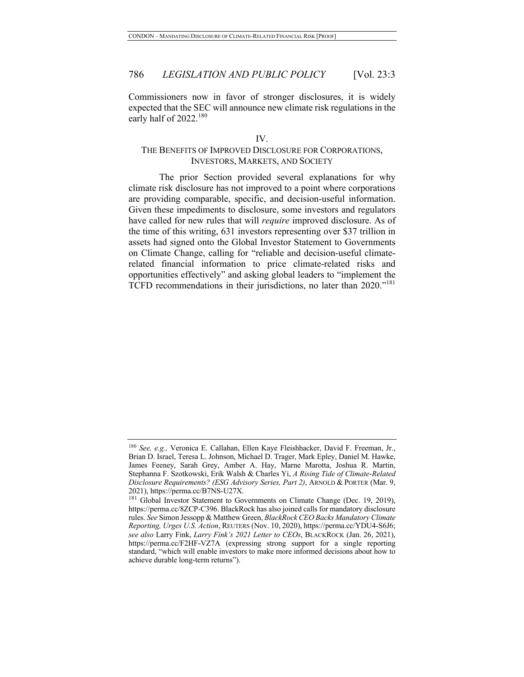Commissioners now in favor of stronger disclosures, it is widely expected that the SEC will announce new climate risk regulations in the early half of 2022.<sup>180</sup>

#### IV.

### THE BENEFITS OF IMPROVED DISCLOSURE FOR CORPORATIONS, INVESTORS, MARKETS, AND SOCIETY

The prior Section provided several explanations for why climate risk disclosure has not improved to a point where corporations are providing comparable, specific, and decision-useful information. Given these impediments to disclosure, some investors and regulators have called for new rules that will *require* improved disclosure. As of the time of this writing, 631 investors representing over \$37 trillion in assets had signed onto the Global Investor Statement to Governments on Climate Change, calling for "reliable and decision-useful climaterelated financial information to price climate-related risks and opportunities effectively" and asking global leaders to "implement the TCFD recommendations in their jurisdictions, no later than 2020."<sup>181</sup>

<sup>180</sup> *See, e.g.,* Veronica E. Callahan, Ellen Kaye Fleishhacker, David F. Freeman, Jr., Brian D. Israel, Teresa L. Johnson, Michael D. Trager, Mark Epley, Daniel M. Hawke, James Feeney, Sarah Grey, Amber A. Hay, Marne Marotta, Joshua R. Martin, Stephanna F. Szotkowski, Erik Walsh & Charles Yi, *A Rising Tide of Climate-Related Disclosure Requirements? (ESG Advisory Series, Part 2)*, ARNOLD & PORTER (Mar. 9, 2021), https://perma.cc/B7NS-U27X.

<sup>&</sup>lt;sup>181</sup> Global Investor Statement to Governments on Climate Change (Dec. 19, 2019), https://perma.cc/8ZCP-C396. BlackRock has also joined calls for mandatory disclosure rules. *See* Simon Jessopp & Matthew Green, *BlackRock CEO Backs Mandatory Climate Reporting, Urges U.S. Action*, REUTERS (Nov. 10, 2020), https://perma.cc/YDU4-S6J6; *see also* Larry Fink, *Larry Fink's 2021 Letter to CEOs*, BLACKROCK (Jan. 26, 2021), https://perma.cc/F2HF-VZ7A (expressing strong support for a single reporting standard, "which will enable investors to make more informed decisions about how to achieve durable long-term returns").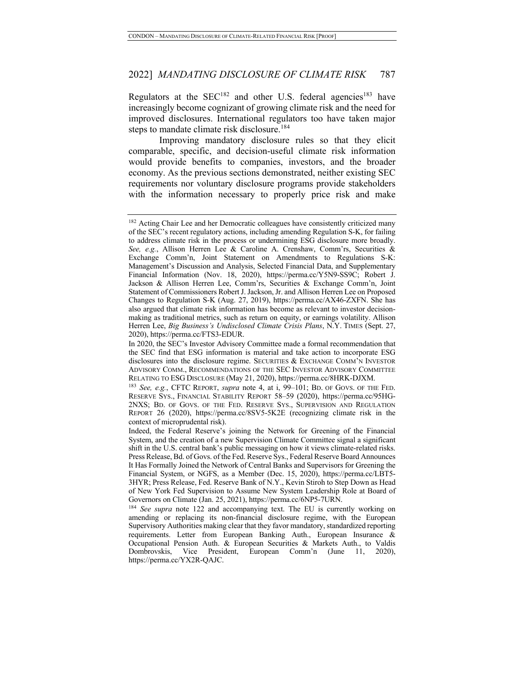Regulators at the  $SEC^{182}$  and other U.S. federal agencies<sup>183</sup> have increasingly become cognizant of growing climate risk and the need for improved disclosures. International regulators too have taken major steps to mandate climate risk disclosure.<sup>184</sup>

Improving mandatory disclosure rules so that they elicit comparable, specific, and decision-useful climate risk information would provide benefits to companies, investors, and the broader economy. As the previous sections demonstrated, neither existing SEC requirements nor voluntary disclosure programs provide stakeholders with the information necessary to properly price risk and make

<sup>182</sup> Acting Chair Lee and her Democratic colleagues have consistently criticized many of the SEC's recent regulatory actions, including amending Regulation S-K, for failing to address climate risk in the process or undermining ESG disclosure more broadly. *See, e.g.*, Allison Herren Lee & Caroline A. Crenshaw, Comm'rs, Securities & Exchange Comm'n, Joint Statement on Amendments to Regulations S-K: Management's Discussion and Analysis, Selected Financial Data, and Supplementary Financial Information (Nov. 18, 2020), https://perma.cc/Y5N9-SS9C; Robert J. Jackson & Allison Herren Lee, Comm'rs, Securities & Exchange Comm'n, Joint Statement of Commissioners Robert J. Jackson, Jr. and Allison Herren Lee on Proposed Changes to Regulation S-K (Aug. 27, 2019), https://perma.cc/AX46-ZXFN. She has also argued that climate risk information has become as relevant to investor decisionmaking as traditional metrics, such as return on equity, or earnings volatility. Allison Herren Lee, *Big Business's Undisclosed Climate Crisis Plans*, N.Y. TIMES (Sept. 27, 2020), https://perma.cc/FTS3-EDUR.

In 2020, the SEC's Investor Advisory Committee made a formal recommendation that the SEC find that ESG information is material and take action to incorporate ESG disclosures into the disclosure regime. SECURITIES & EXCHANGE COMM'N INVESTOR ADVISORY COMM., RECOMMENDATIONS OF THE SEC INVESTOR ADVISORY COMMITTEE RELATING TO ESG DISCLOSURE (May 21, 2020), https://perma.cc/8HRK-DJXM.

<sup>183</sup> *See, e.g.*, CFTC REPORT, *supra* note 4, at i, 99–101; BD. OF GOVS. OF THE FED. RESERVE SYS., FINANCIAL STABILITY REPORT 58–59 (2020), https://perma.cc/95HG-2NXS; BD. OF GOVS. OF THE FED. RESERVE SYS., SUPERVISION AND REGULATION REPORT 26 (2020), https://perma.cc/8SV5-5K2E (recognizing climate risk in the context of microprudental risk).

Indeed, the Federal Reserve's joining the Network for Greening of the Financial System, and the creation of a new Supervision Climate Committee signal a significant shift in the U.S. central bank's public messaging on how it views climate-related risks. Press Release, Bd. of Govs. of the Fed. Reserve Sys., Federal Reserve Board Announces It Has Formally Joined the Network of Central Banks and Supervisors for Greening the Financial System, or NGFS, as a Member (Dec. 15, 2020), https://perma.cc/LBT5- 3HYR; Press Release, Fed. Reserve Bank of N.Y., Kevin Stiroh to Step Down as Head of New York Fed Supervision to Assume New System Leadership Role at Board of Governors on Climate (Jan. 25, 2021), https://perma.cc/6NP5-7URN.

<sup>184</sup> *See supra* note 122 and accompanying text. The EU is currently working on amending or replacing its non-financial disclosure regime, with the European Supervisory Authorities making clear that they favor mandatory, standardized reporting requirements. Letter from European Banking Auth., European Insurance & Occupational Pension Auth. & European Securities & Markets Auth., to Valdis Dombrovskis, Vice President, European Comm'n (June 11, 2020), https://perma.cc/YX2R-QAJC.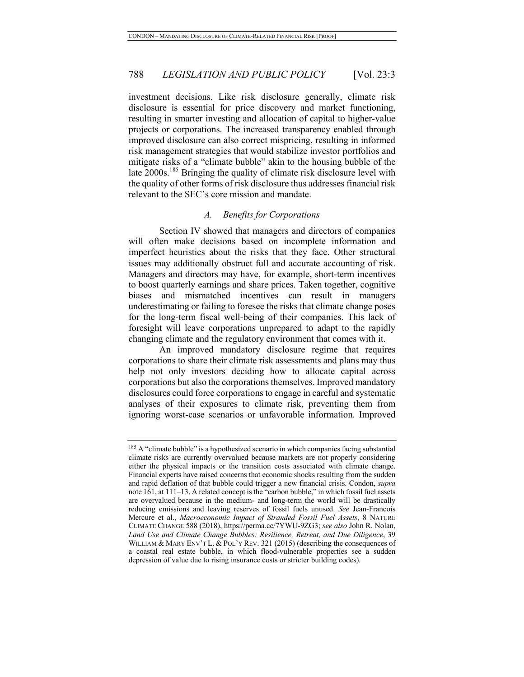investment decisions. Like risk disclosure generally, climate risk disclosure is essential for price discovery and market functioning, resulting in smarter investing and allocation of capital to higher-value projects or corporations. The increased transparency enabled through improved disclosure can also correct mispricing, resulting in informed risk management strategies that would stabilize investor portfolios and mitigate risks of a "climate bubble" akin to the housing bubble of the late 2000s.<sup>185</sup> Bringing the quality of climate risk disclosure level with the quality of other forms of risk disclosure thus addresses financial risk relevant to the SEC's core mission and mandate.

#### *A. Benefits for Corporations*

Section IV showed that managers and directors of companies will often make decisions based on incomplete information and imperfect heuristics about the risks that they face. Other structural issues may additionally obstruct full and accurate accounting of risk. Managers and directors may have, for example, short-term incentives to boost quarterly earnings and share prices. Taken together, cognitive biases and mismatched incentives can result in managers underestimating or failing to foresee the risks that climate change poses for the long-term fiscal well-being of their companies. This lack of foresight will leave corporations unprepared to adapt to the rapidly changing climate and the regulatory environment that comes with it.

An improved mandatory disclosure regime that requires corporations to share their climate risk assessments and plans may thus help not only investors deciding how to allocate capital across corporations but also the corporations themselves. Improved mandatory disclosures could force corporations to engage in careful and systematic analyses of their exposures to climate risk, preventing them from ignoring worst-case scenarios or unfavorable information. Improved

<sup>&</sup>lt;sup>185</sup> A "climate bubble" is a hypothesized scenario in which companies facing substantial climate risks are currently overvalued because markets are not properly considering either the physical impacts or the transition costs associated with climate change. Financial experts have raised concerns that economic shocks resulting from the sudden and rapid deflation of that bubble could trigger a new financial crisis. Condon, *supra* note 161, at 111–13. A related concept is the "carbon bubble," in which fossil fuel assets are overvalued because in the medium- and long-term the world will be drastically reducing emissions and leaving reserves of fossil fuels unused. *See* Jean-Francois Mercure et al., *Macroeconomic Impact of Stranded Fossil Fuel Assets*, 8 NATURE CLIMATE CHANGE 588 (2018), https://perma.cc/7YWU-9ZG3; *see also* John R. Nolan, *Land Use and Climate Change Bubbles: Resilience, Retreat, and Due Diligence*, 39 WILLIAM & MARY ENV'T L. & POL'Y REV. 321 (2015) (describing the consequences of a coastal real estate bubble, in which flood-vulnerable properties see a sudden depression of value due to rising insurance costs or stricter building codes).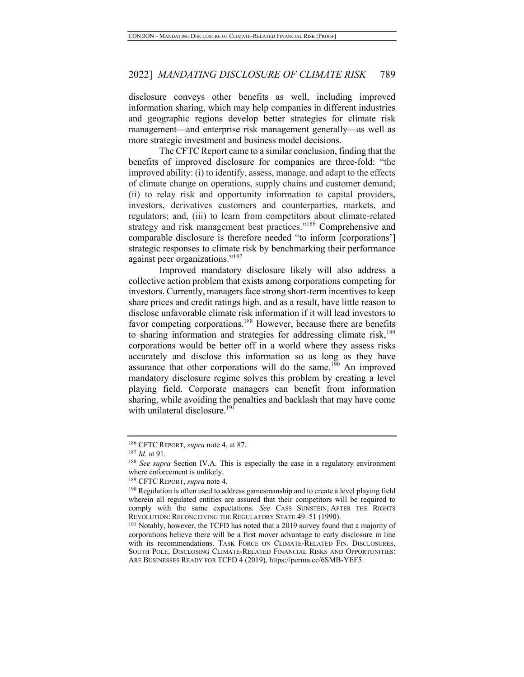disclosure conveys other benefits as well, including improved information sharing, which may help companies in different industries and geographic regions develop better strategies for climate risk management—and enterprise risk management generally—as well as more strategic investment and business model decisions.

The CFTC Report came to a similar conclusion, finding that the benefits of improved disclosure for companies are three-fold: "the improved ability: (i) to identify, assess, manage, and adapt to the effects of climate change on operations, supply chains and customer demand; (ii) to relay risk and opportunity information to capital providers, investors, derivatives customers and counterparties, markets, and regulators; and, (iii) to learn from competitors about climate-related strategy and risk management best practices."<sup>186</sup> Comprehensive and comparable disclosure is therefore needed "to inform [corporations'] strategic responses to climate risk by benchmarking their performance against peer organizations."187

Improved mandatory disclosure likely will also address a collective action problem that exists among corporations competing for investors. Currently, managers face strong short-term incentives to keep share prices and credit ratings high, and as a result, have little reason to disclose unfavorable climate risk information if it will lead investors to favor competing corporations.<sup>188</sup> However, because there are benefits to sharing information and strategies for addressing climate risk, $189$ corporations would be better off in a world where they assess risks accurately and disclose this information so as long as they have assurance that other corporations will do the same.<sup>190</sup> An improved mandatory disclosure regime solves this problem by creating a level playing field. Corporate managers can benefit from information sharing, while avoiding the penalties and backlash that may have come with unilateral disclosure.<sup>191</sup>

<sup>186</sup> CFTC REPORT, *supra* note 4, at 87. 187 *Id.* at 91.

<sup>188</sup> *See supra* Section IV.A. This is especially the case in a regulatory environment where enforcement is unlikely.

<sup>189</sup> CFTC REPORT, *supra* note 4.

<sup>&</sup>lt;sup>190</sup> Regulation is often used to address gamesmanship and to create a level playing field wherein all regulated entities are assured that their competitors will be required to comply with the same expectations. See CASS SUNSTEIN, AFTER THE RIGHTS REVOLUTION: RECONCEIVING THE REGULATORY STATE 49–51 (1990).

<sup>&</sup>lt;sup>191</sup> Notably, however, the TCFD has noted that a 2019 survey found that a majority of corporations believe there will be a first mover advantage to early disclosure in line with its recommendations. TASK FORCE ON CLIMATE-RELATED FIN. DISCLOSURES, SOUTH POLE, DISCLOSING CLIMATE-RELATED FINANCIAL RISKS AND OPPORTUNITIES: ARE BUSINESSES READY FOR TCFD 4 (2019), https://perma.cc/6SMB-YEF5.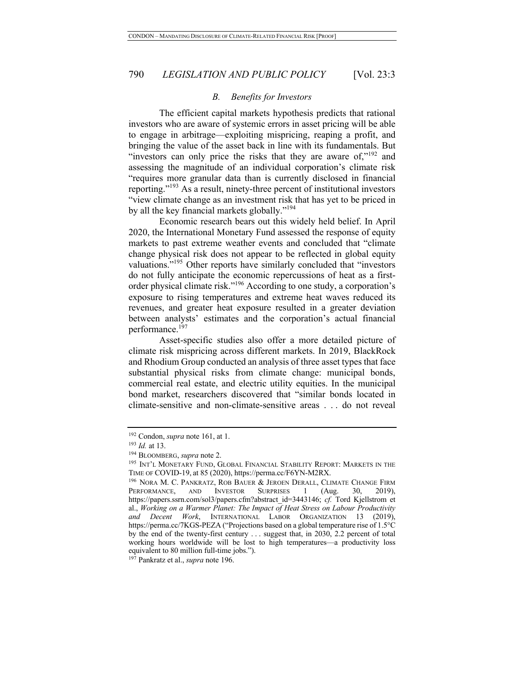#### *B. Benefits for Investors*

The efficient capital markets hypothesis predicts that rational investors who are aware of systemic errors in asset pricing will be able to engage in arbitrage—exploiting mispricing, reaping a profit, and bringing the value of the asset back in line with its fundamentals. But "investors can only price the risks that they are aware of, $v^{192}$  and assessing the magnitude of an individual corporation's climate risk "requires more granular data than is currently disclosed in financial reporting."<sup>193</sup> As a result, ninety-three percent of institutional investors "view climate change as an investment risk that has yet to be priced in by all the key financial markets globally."<sup>194</sup>

Economic research bears out this widely held belief. In April 2020, the International Monetary Fund assessed the response of equity markets to past extreme weather events and concluded that "climate change physical risk does not appear to be reflected in global equity valuations."195 Other reports have similarly concluded that "investors do not fully anticipate the economic repercussions of heat as a firstorder physical climate risk."196 According to one study, a corporation's exposure to rising temperatures and extreme heat waves reduced its revenues, and greater heat exposure resulted in a greater deviation between analysts' estimates and the corporation's actual financial performance.197

Asset-specific studies also offer a more detailed picture of climate risk mispricing across different markets. In 2019, BlackRock and Rhodium Group conducted an analysis of three asset types that face substantial physical risks from climate change: municipal bonds, commercial real estate, and electric utility equities. In the municipal bond market, researchers discovered that "similar bonds located in climate-sensitive and non-climate-sensitive areas . . . do not reveal

<sup>192</sup> Condon, *supra* note 161, at 1.

<sup>193</sup> *Id.* at 13.

<sup>194</sup> BLOOMBERG, *supra* note 2.

<sup>&</sup>lt;sup>195</sup> INT'L MONETARY FUND, GLOBAL FINANCIAL STABILITY REPORT: MARKETS IN THE TIME OF COVID-19, at 85 (2020), https://perma.cc/F6YN-M2RX.

<sup>&</sup>lt;sup>196</sup> NORA M. C. PANKRATZ, ROB BAUER & JEROEN DERALL, CLIMATE CHANGE FIRM PERFORMANCE, AND INVESTOR SURPRISES 1 (Aug. 30, 2019), PERFORMANCE, AND INVESTOR SURPRISES 1 (Aug. 30, 2019), https://papers.ssrn.com/sol3/papers.cfm?abstract\_id=3443146; *cf.* Tord Kjellstrom et al., *Working on a Warmer Planet: The Impact of Heat Stress on Labour Productivity and Decent Work*, INTERNATIONAL LABOR ORGANIZATION 13 (2019), https://perma.cc/7KGS-PEZA ("Projections based on a global temperature rise of 1.5°C by the end of the twenty-first century . . . suggest that, in 2030, 2.2 percent of total working hours worldwide will be lost to high temperatures—a productivity loss equivalent to 80 million full-time jobs.").

<sup>197</sup> Pankratz et al., *supra* note 196.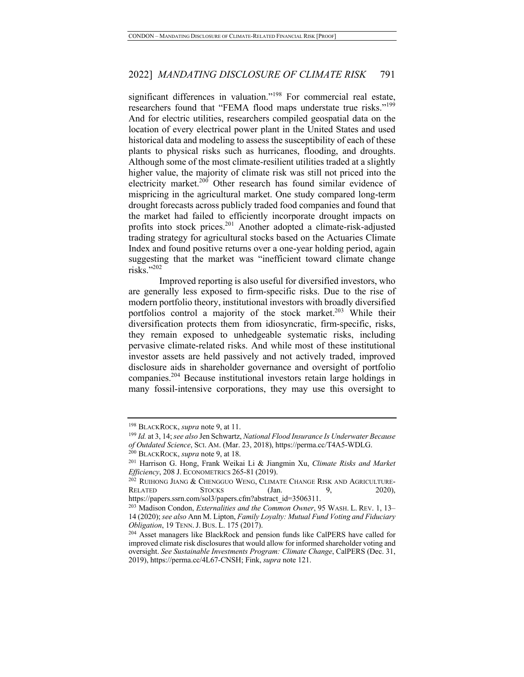significant differences in valuation."<sup>198</sup> For commercial real estate, researchers found that "FEMA flood maps understate true risks."<sup>199</sup> And for electric utilities, researchers compiled geospatial data on the location of every electrical power plant in the United States and used historical data and modeling to assess the susceptibility of each of these plants to physical risks such as hurricanes, flooding, and droughts. Although some of the most climate-resilient utilities traded at a slightly higher value, the majority of climate risk was still not priced into the electricity market.<sup>200</sup> Other research has found similar evidence of mispricing in the agricultural market. One study compared long-term drought forecasts across publicly traded food companies and found that the market had failed to efficiently incorporate drought impacts on profits into stock prices.<sup>201</sup> Another adopted a climate-risk-adjusted trading strategy for agricultural stocks based on the Actuaries Climate Index and found positive returns over a one-year holding period, again suggesting that the market was "inefficient toward climate change risks."202

Improved reporting is also useful for diversified investors, who are generally less exposed to firm-specific risks. Due to the rise of modern portfolio theory, institutional investors with broadly diversified portfolios control a majority of the stock market.<sup>203</sup> While their diversification protects them from idiosyncratic, firm-specific, risks, they remain exposed to unhedgeable systematic risks, including pervasive climate-related risks. And while most of these institutional investor assets are held passively and not actively traded, improved disclosure aids in shareholder governance and oversight of portfolio companies.204 Because institutional investors retain large holdings in many fossil-intensive corporations, they may use this oversight to

<sup>198</sup> BLACKROCK, *supra* note 9, at 11.

<sup>199</sup> *Id.* at 3, 14; *see also* Jen Schwartz, *National Flood Insurance Is Underwater Because of Outdated Science*, SCI. AM. (Mar. 23, 2018), https://perma.cc/T4A5-WDLG.

<sup>200</sup> BLACKROCK, *supra* note 9, at 18.

<sup>201</sup> Harrison G. Hong, Frank Weikai Li & Jiangmin Xu, *Climate Risks and Market Efficiency*, 208 J. ECONOMETRICS 265-81 (2019).

<sup>&</sup>lt;sup>202</sup> RUIHONG JIANG & CHENGGUO WENG, CLIMATE CHANGE RISK AND AGRICULTURE-RELATED STOCKS (Jan. 9, 2020),

https://papers.ssrn.com/sol3/papers.cfm?abstract\_id=3506311.

<sup>203</sup> Madison Condon, *Externalities and the Common Owner*, 95 WASH. L. REV. 1, 13– 14 (2020); *see also* Ann M. Lipton, *Family Loyalty: Mutual Fund Voting and Fiduciary Obligation*, 19 TENN.J. BUS. L. 175 (2017).

<sup>&</sup>lt;sup>204</sup> Asset managers like BlackRock and pension funds like CalPERS have called for improved climate risk disclosures that would allow for informed shareholder voting and oversight. *See Sustainable Investments Program: Climate Change*, CalPERS (Dec. 31, 2019), https://perma.cc/4L67-CNSH; Fink, *supra* note 121.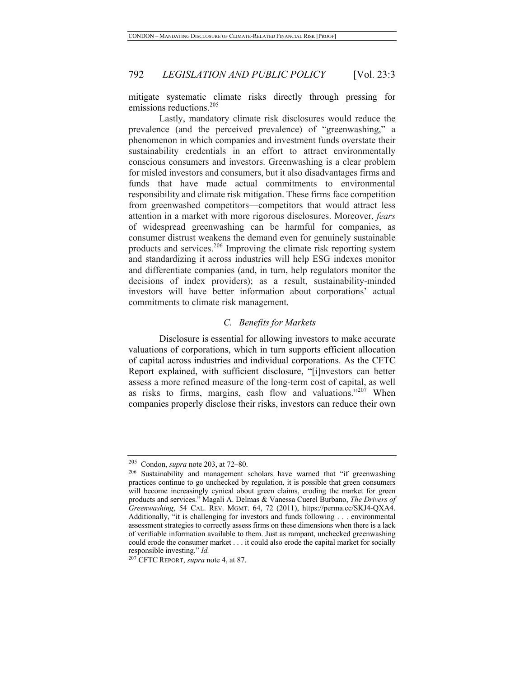mitigate systematic climate risks directly through pressing for emissions reductions.<sup>205</sup>

Lastly, mandatory climate risk disclosures would reduce the prevalence (and the perceived prevalence) of "greenwashing," a phenomenon in which companies and investment funds overstate their sustainability credentials in an effort to attract environmentally conscious consumers and investors. Greenwashing is a clear problem for misled investors and consumers, but it also disadvantages firms and funds that have made actual commitments to environmental responsibility and climate risk mitigation. These firms face competition from greenwashed competitors—competitors that would attract less attention in a market with more rigorous disclosures. Moreover, *fears* of widespread greenwashing can be harmful for companies, as consumer distrust weakens the demand even for genuinely sustainable products and services.206 Improving the climate risk reporting system and standardizing it across industries will help ESG indexes monitor and differentiate companies (and, in turn, help regulators monitor the decisions of index providers); as a result, sustainability-minded investors will have better information about corporations' actual commitments to climate risk management.

#### *C. Benefits for Markets*

Disclosure is essential for allowing investors to make accurate valuations of corporations, which in turn supports efficient allocation of capital across industries and individual corporations. As the CFTC Report explained, with sufficient disclosure, "[i]nvestors can better assess a more refined measure of the long-term cost of capital, as well as risks to firms, margins, cash flow and valuations."<sup>207</sup> When companies properly disclose their risks, investors can reduce their own

<sup>205</sup> Condon, *supra* note 203, at 72–80.

<sup>&</sup>lt;sup>206</sup> Sustainability and management scholars have warned that "if greenwashing practices continue to go unchecked by regulation, it is possible that green consumers will become increasingly cynical about green claims, eroding the market for green products and services." Magali A. Delmas & Vanessa Cuerel Burbano, *The Drivers of Greenwashing*, 54 CAL. REV. MGMT. 64, 72 (2011), https://perma.cc/SKJ4-QXA4. Additionally, "it is challenging for investors and funds following . . . environmental assessment strategies to correctly assess firms on these dimensions when there is a lack of verifiable information available to them. Just as rampant, unchecked greenwashing could erode the consumer market . . . it could also erode the capital market for socially responsible investing." *Id.*

<sup>207</sup> CFTC REPORT, *supra* note 4, at 87.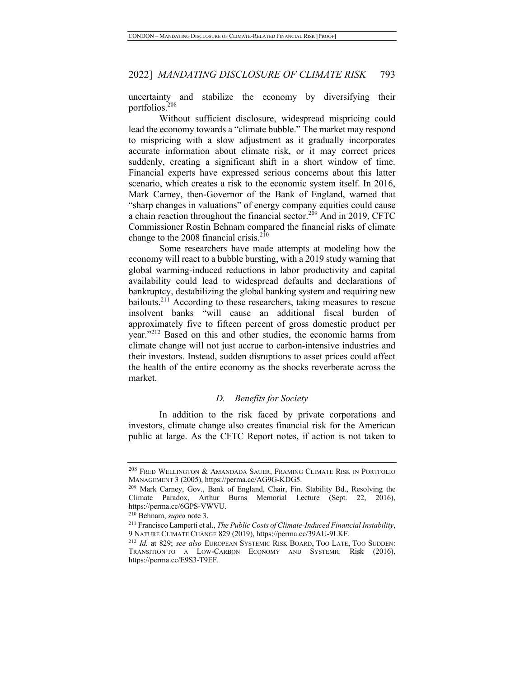uncertainty and stabilize the economy by diversifying their portfolios.<sup>208</sup>

Without sufficient disclosure, widespread mispricing could lead the economy towards a "climate bubble." The market may respond to mispricing with a slow adjustment as it gradually incorporates accurate information about climate risk, or it may correct prices suddenly, creating a significant shift in a short window of time. Financial experts have expressed serious concerns about this latter scenario, which creates a risk to the economic system itself. In 2016, Mark Carney, then-Governor of the Bank of England, warned that "sharp changes in valuations" of energy company equities could cause a chain reaction throughout the financial sector.<sup>209</sup> And in 2019, CFTC Commissioner Rostin Behnam compared the financial risks of climate change to the 2008 financial crisis. $2^{10}$ 

Some researchers have made attempts at modeling how the economy will react to a bubble bursting, with a 2019 study warning that global warming-induced reductions in labor productivity and capital availability could lead to widespread defaults and declarations of bankruptcy, destabilizing the global banking system and requiring new bailouts.<sup>211</sup> According to these researchers, taking measures to rescue insolvent banks "will cause an additional fiscal burden of approximately five to fifteen percent of gross domestic product per year."<sup>212</sup> Based on this and other studies, the economic harms from climate change will not just accrue to carbon-intensive industries and their investors. Instead, sudden disruptions to asset prices could affect the health of the entire economy as the shocks reverberate across the market.

#### *D. Benefits for Society*

In addition to the risk faced by private corporations and investors, climate change also creates financial risk for the American public at large. As the CFTC Report notes, if action is not taken to

<sup>&</sup>lt;sup>208</sup> FRED WELLINGTON & AMANDADA SAUER, FRAMING CLIMATE RISK IN PORTFOLIO MANAGEMENT 3 (2005), https://perma.cc/AG9G-KDG5.

<sup>&</sup>lt;sup>209</sup> Mark Carney, Gov., Bank of England, Chair, Fin. Stability Bd., Resolving the Climate Paradox, Arthur Burns Memorial Lecture (Sept. 22, 2016), https://perma.cc/6GPS-VWVU. 210 Behnam, *supra* note 3. 211 Francisco Lamperti et al., *The Public Costs of Climate-Induced Financial Instability*,

<sup>9</sup> NATURE CLIMATE CHANGE 829 (2019), https://perma.cc/39AU-9LKF.

<sup>212</sup> *Id.* at 829; *see also* EUROPEAN SYSTEMIC RISK BOARD, TOO LATE, TOO SUDDEN: TRANSITION TO A LOW-CARBON ECONOMY AND SYSTEMIC Risk (2016), https://perma.cc/E9S3-T9EF.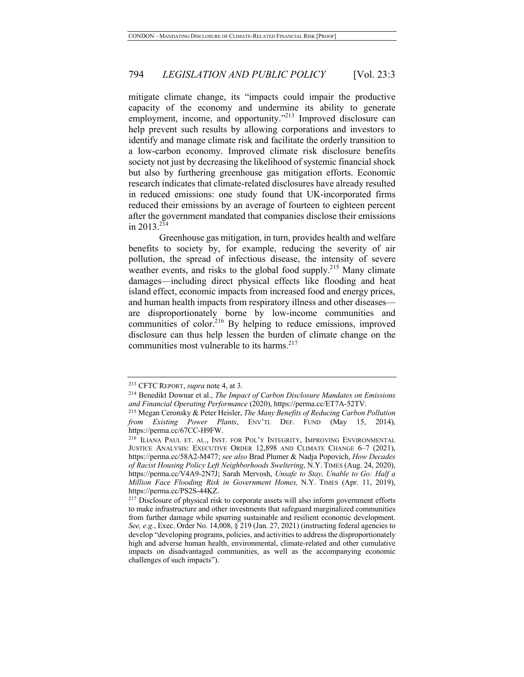mitigate climate change, its "impacts could impair the productive capacity of the economy and undermine its ability to generate employment, income, and opportunity."<sup>213</sup> Improved disclosure can help prevent such results by allowing corporations and investors to identify and manage climate risk and facilitate the orderly transition to a low-carbon economy. Improved climate risk disclosure benefits society not just by decreasing the likelihood of systemic financial shock but also by furthering greenhouse gas mitigation efforts. Economic research indicates that climate-related disclosures have already resulted in reduced emissions: one study found that UK-incorporated firms reduced their emissions by an average of fourteen to eighteen percent after the government mandated that companies disclose their emissions in 2013.<sup>214</sup>

Greenhouse gas mitigation, in turn, provides health and welfare benefits to society by, for example, reducing the severity of air pollution, the spread of infectious disease, the intensity of severe weather events, and risks to the global food supply.<sup>215</sup> Many climate damages—including direct physical effects like flooding and heat island effect, economic impacts from increased food and energy prices, and human health impacts from respiratory illness and other diseases are disproportionately borne by low-income communities and communities of color.<sup>216</sup> By helping to reduce emissions, improved disclosure can thus help lessen the burden of climate change on the communities most vulnerable to its harms.<sup>217</sup>

<sup>213</sup> CFTC REPORT, *supra* note 4, at 3. 214 Benedikt Downar et al., *The Impact of Carbon Disclosure Mandates on Emissions and Financial Operating Performance* (2020), https://perma.cc/ET7A-52TV. 215 Megan Ceronsky & Peter Heisler, *The Many Benefits of Reducing Carbon Pollution* 

*from Existing Power Plants*, ENV'TL DEF. FUND (May 15, 2014), https://perma.cc/67CC-H9FW.<br><sup>216</sup> ILIANA PAUL ET. AL., INST. FOR POL'Y INTEGRITY, IMPROVING ENVIRONMENTAL

JUSTICE ANALYSIS: EXECUTIVE ORDER 12,898 AND CLIMATE CHANGE 6–7 (2021), https://perma.cc/58A2-M477; *see also* Brad Plumer & Nadja Popovich, *How Decades of Racist Housing Policy Left Neighborhoods Sweltering*, N.Y. TIMES (Aug. 24, 2020), https://perma.cc/V4A9-2N7J; Sarah Mervosh, *Unsafe to Stay, Unable to Go: Half a Million Face Flooding Risk in Government Homes,* N.Y. TIMES (Apr. 11, 2019), https://perma.cc/PS2S-44KZ.

<sup>&</sup>lt;sup>217</sup> Disclosure of physical risk to corporate assets will also inform government efforts to make infrastructure and other investments that safeguard marginalized communities from further damage while spurring sustainable and resilient economic development. *See, e.g.*, Exec. Order No. 14,008, § 219 (Jan. 27, 2021) (instructing federal agencies to develop "developing programs, policies, and activities to address the disproportionately high and adverse human health, environmental, climate-related and other cumulative impacts on disadvantaged communities, as well as the accompanying economic challenges of such impacts").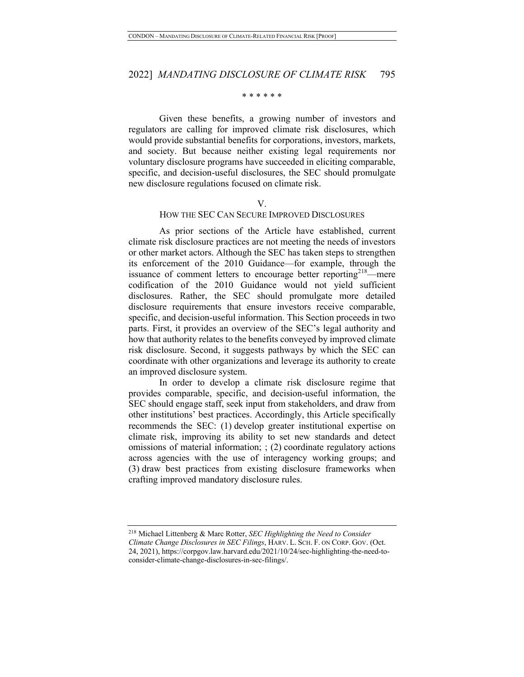#### \* \* \* \* \* \*

Given these benefits, a growing number of investors and regulators are calling for improved climate risk disclosures, which would provide substantial benefits for corporations, investors, markets, and society. But because neither existing legal requirements nor voluntary disclosure programs have succeeded in eliciting comparable, specific, and decision-useful disclosures, the SEC should promulgate new disclosure regulations focused on climate risk.

#### V.

#### HOW THE SEC CAN SECURE IMPROVED DISCLOSURES

As prior sections of the Article have established, current climate risk disclosure practices are not meeting the needs of investors or other market actors. Although the SEC has taken steps to strengthen its enforcement of the 2010 Guidance—for example, through the issuance of comment letters to encourage better reporting $2^{18}$ —mere codification of the 2010 Guidance would not yield sufficient disclosures. Rather, the SEC should promulgate more detailed disclosure requirements that ensure investors receive comparable, specific, and decision-useful information. This Section proceeds in two parts. First, it provides an overview of the SEC's legal authority and how that authority relates to the benefits conveyed by improved climate risk disclosure. Second, it suggests pathways by which the SEC can coordinate with other organizations and leverage its authority to create an improved disclosure system.

In order to develop a climate risk disclosure regime that provides comparable, specific, and decision-useful information, the SEC should engage staff, seek input from stakeholders, and draw from other institutions' best practices. Accordingly, this Article specifically recommends the SEC: (1) develop greater institutional expertise on climate risk, improving its ability to set new standards and detect omissions of material information; ; (2) coordinate regulatory actions across agencies with the use of interagency working groups; and (3) draw best practices from existing disclosure frameworks when crafting improved mandatory disclosure rules.

<sup>218</sup> Michael Littenberg & Marc Rotter, *SEC Highlighting the Need to Consider Climate Change Disclosures in SEC Filings*, HARV. L. SCH. F. ON CORP. GOV. (Oct. 24, 2021), https://corpgov.law.harvard.edu/2021/10/24/sec-highlighting-the-need-toconsider-climate-change-disclosures-in-sec-filings/.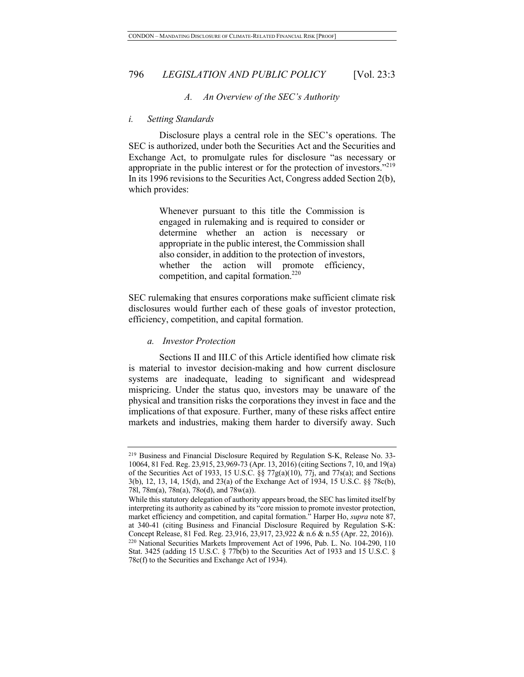#### *A. An Overview of the SEC's Authority*

#### *i. Setting Standards*

Disclosure plays a central role in the SEC's operations. The SEC is authorized, under both the Securities Act and the Securities and Exchange Act, to promulgate rules for disclosure "as necessary or appropriate in the public interest or for the protection of investors."<sup>219</sup> In its 1996 revisions to the Securities Act, Congress added Section 2(b), which provides:

> Whenever pursuant to this title the Commission is engaged in rulemaking and is required to consider or determine whether an action is necessary or appropriate in the public interest, the Commission shall also consider, in addition to the protection of investors, whether the action will promote efficiency, competition, and capital formation.<sup>220</sup>

SEC rulemaking that ensures corporations make sufficient climate risk disclosures would further each of these goals of investor protection, efficiency, competition, and capital formation.

#### *a. Investor Protection*

Sections II and III.C of this Article identified how climate risk is material to investor decision-making and how current disclosure systems are inadequate, leading to significant and widespread mispricing. Under the status quo, investors may be unaware of the physical and transition risks the corporations they invest in face and the implications of that exposure. Further, many of these risks affect entire markets and industries, making them harder to diversify away. Such

<sup>219</sup> Business and Financial Disclosure Required by Regulation S-K, Release No. 33- 10064, 81 Fed. Reg. 23,915, 23,969-73 (Apr. 13, 2016) (citing Sections 7, 10, and 19(a) of the Securities Act of 1933, 15 U.S.C. §§ 77g(a)(10), 77j, and 77s(a); and Sections 3(b), 12, 13, 14, 15(d), and 23(a) of the Exchange Act of 1934, 15 U.S.C. §§ 78c(b), 78l, 78m(a), 78n(a), 78o(d), and 78w(a)).

While this statutory delegation of authority appears broad, the SEC has limited itself by interpreting its authority as cabined by its "core mission to promote investor protection, market efficiency and competition, and capital formation." Harper Ho, *supra* note 87, at 340-41 (citing Business and Financial Disclosure Required by Regulation S-K: Concept Release, 81 Fed. Reg. 23,916, 23,917, 23,922 & n.6 & n.55 (Apr. 22, 2016)). <sup>220</sup> National Securities Markets Improvement Act of 1996, Pub. L. No. 104-290, 110 Stat. 3425 (adding 15 U.S.C. § 77b(b) to the Securities Act of 1933 and 15 U.S.C. § 78c(f) to the Securities and Exchange Act of 1934).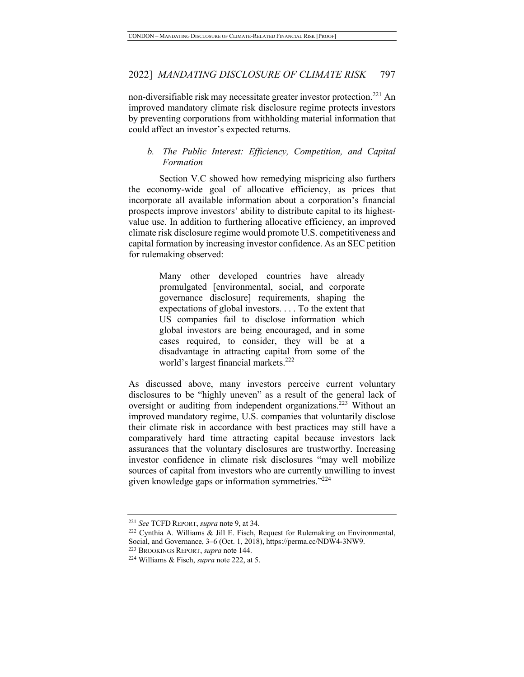non-diversifiable risk may necessitate greater investor protection.<sup>221</sup> An improved mandatory climate risk disclosure regime protects investors by preventing corporations from withholding material information that could affect an investor's expected returns.

### *b. The Public Interest: Efficiency, Competition, and Capital Formation*

Section V.C showed how remedying mispricing also furthers the economy-wide goal of allocative efficiency, as prices that incorporate all available information about a corporation's financial prospects improve investors' ability to distribute capital to its highestvalue use. In addition to furthering allocative efficiency, an improved climate risk disclosure regime would promote U.S. competitiveness and capital formation by increasing investor confidence. As an SEC petition for rulemaking observed:

> Many other developed countries have already promulgated [environmental, social, and corporate governance disclosure] requirements, shaping the expectations of global investors. . . . To the extent that US companies fail to disclose information which global investors are being encouraged, and in some cases required, to consider, they will be at a disadvantage in attracting capital from some of the world's largest financial markets.<sup>222</sup>

As discussed above, many investors perceive current voluntary disclosures to be "highly uneven" as a result of the general lack of oversight or auditing from independent organizations.<sup>223</sup> Without an improved mandatory regime, U.S. companies that voluntarily disclose their climate risk in accordance with best practices may still have a comparatively hard time attracting capital because investors lack assurances that the voluntary disclosures are trustworthy. Increasing investor confidence in climate risk disclosures "may well mobilize sources of capital from investors who are currently unwilling to invest given knowledge gaps or information symmetries."<sup>224</sup>

<sup>221</sup> *See* TCFD REPORT, *supra* note 9, at 34.

<sup>222</sup> Cynthia A. Williams & Jill E. Fisch, Request for Rulemaking on Environmental, Social, and Governance, 3–6 (Oct. 1, 2018), https://perma.cc/NDW4-3NW9.

<sup>223</sup> BROOKINGS REPORT, *supra* note 144.

<sup>224</sup> Williams & Fisch, *supra* note 222, at 5.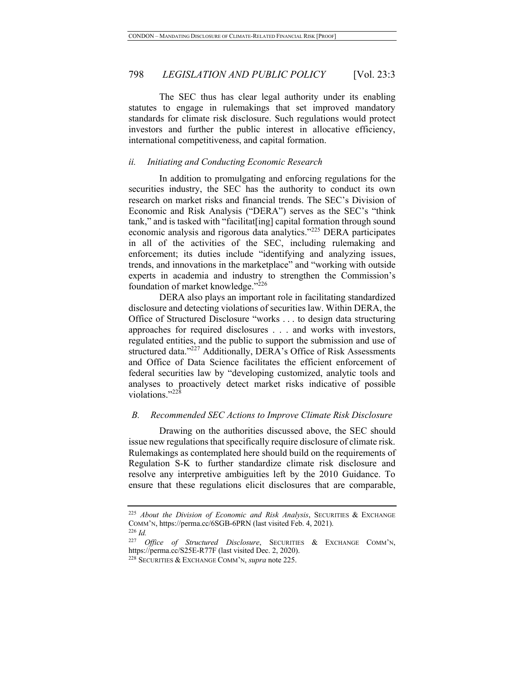The SEC thus has clear legal authority under its enabling statutes to engage in rulemakings that set improved mandatory standards for climate risk disclosure. Such regulations would protect investors and further the public interest in allocative efficiency, international competitiveness, and capital formation.

#### *ii. Initiating and Conducting Economic Research*

In addition to promulgating and enforcing regulations for the securities industry, the SEC has the authority to conduct its own research on market risks and financial trends. The SEC's Division of Economic and Risk Analysis ("DERA") serves as the SEC's "think tank," and is tasked with "facilitat[ing] capital formation through sound economic analysis and rigorous data analytics."<sup>225</sup> DERA participates in all of the activities of the SEC, including rulemaking and enforcement; its duties include "identifying and analyzing issues, trends, and innovations in the marketplace" and "working with outside experts in academia and industry to strengthen the Commission's foundation of market knowledge."<sup>226</sup>

DERA also plays an important role in facilitating standardized disclosure and detecting violations of securities law. Within DERA, the Office of Structured Disclosure "works . . . to design data structuring approaches for required disclosures . . . and works with investors, regulated entities, and the public to support the submission and use of structured data."<sup>227</sup> Additionally, DERA's Office of Risk Assessments and Office of Data Science facilitates the efficient enforcement of federal securities law by "developing customized, analytic tools and analyses to proactively detect market risks indicative of possible violations."<sup>228</sup>

#### *B. Recommended SEC Actions to Improve Climate Risk Disclosure*

Drawing on the authorities discussed above, the SEC should issue new regulations that specifically require disclosure of climate risk. Rulemakings as contemplated here should build on the requirements of Regulation S-K to further standardize climate risk disclosure and resolve any interpretive ambiguities left by the 2010 Guidance. To ensure that these regulations elicit disclosures that are comparable,

<sup>225</sup> *About the Division of Economic and Risk Analysis*, SECURITIES & EXCHANGE COMM'N, https://perma.cc/6SGB-6PRN (last visited Feb. 4, 2021).

<sup>226</sup> *Id.*

<sup>227</sup> *Office of Structured Disclosure*, SECURITIES & EXCHANGE COMM'N, https://perma.cc/S25E-R77F (last visited Dec. 2, 2020).

<sup>228</sup> SECURITIES & EXCHANGE COMM'N, *supra* note 225.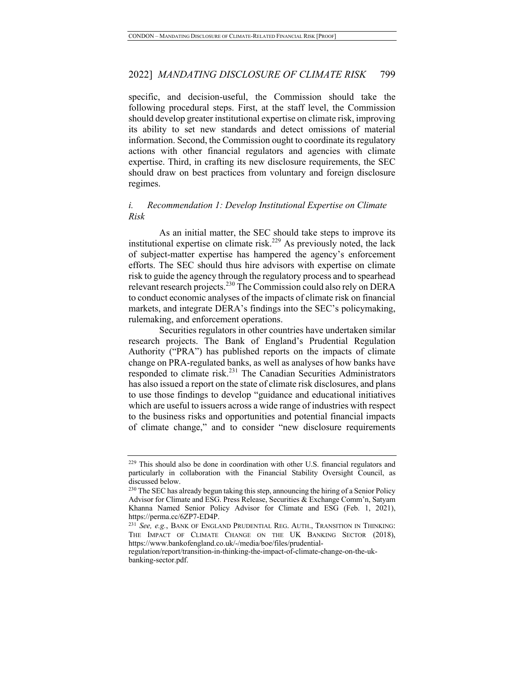specific, and decision-useful, the Commission should take the following procedural steps. First, at the staff level, the Commission should develop greater institutional expertise on climate risk, improving its ability to set new standards and detect omissions of material information. Second, the Commission ought to coordinate its regulatory actions with other financial regulators and agencies with climate expertise. Third, in crafting its new disclosure requirements, the SEC should draw on best practices from voluntary and foreign disclosure regimes.

### *i. Recommendation 1: Develop Institutional Expertise on Climate Risk*

As an initial matter, the SEC should take steps to improve its institutional expertise on climate risk.<sup>229</sup> As previously noted, the lack of subject-matter expertise has hampered the agency's enforcement efforts. The SEC should thus hire advisors with expertise on climate risk to guide the agency through the regulatory process and to spearhead relevant research projects.<sup>230</sup> The Commission could also rely on DERA to conduct economic analyses of the impacts of climate risk on financial markets, and integrate DERA's findings into the SEC's policymaking, rulemaking, and enforcement operations.

Securities regulators in other countries have undertaken similar research projects. The Bank of England's Prudential Regulation Authority ("PRA") has published reports on the impacts of climate change on PRA-regulated banks, as well as analyses of how banks have responded to climate risk.<sup>231</sup> The Canadian Securities Administrators has also issued a report on the state of climate risk disclosures, and plans to use those findings to develop "guidance and educational initiatives which are useful to issuers across a wide range of industries with respect to the business risks and opportunities and potential financial impacts of climate change," and to consider "new disclosure requirements

regulation/report/transition-in-thinking-the-impact-of-climate-change-on-the-ukbanking-sector.pdf.

<sup>&</sup>lt;sup>229</sup> This should also be done in coordination with other U.S. financial regulators and particularly in collaboration with the Financial Stability Oversight Council, as discussed below.

<sup>&</sup>lt;sup>230</sup> The SEC has already begun taking this step, announcing the hiring of a Senior Policy Advisor for Climate and ESG. Press Release, Securities & Exchange Comm'n, Satyam Khanna Named Senior Policy Advisor for Climate and ESG (Feb. 1, 2021), https://perma.cc/6ZP7-ED4P.<br><sup>231</sup> *See, e.g.*, BANK OF ENGLAND PRUDENTIAL REG. AUTH., TRANSITION IN THINKING:

THE IMPACT OF CLIMATE CHANGE ON THE UK BANKING SECTOR (2018), https://www.bankofengland.co.uk/-/media/boe/files/prudential-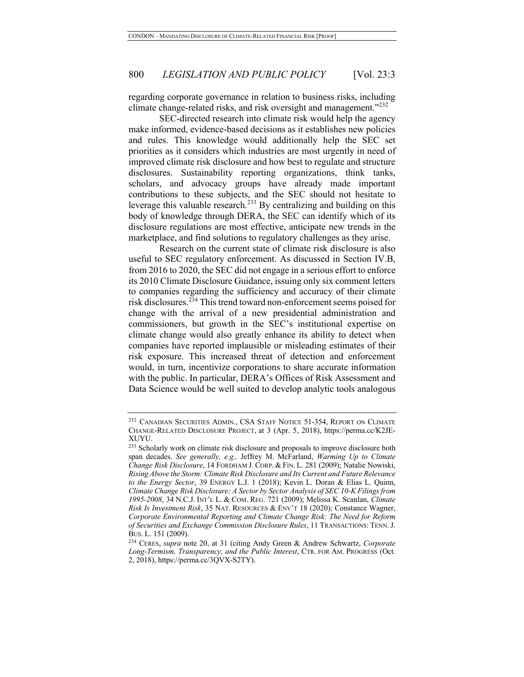regarding corporate governance in relation to business risks, including climate change-related risks, and risk oversight and management."<sup>232</sup>

SEC-directed research into climate risk would help the agency make informed, evidence-based decisions as it establishes new policies and rules. This knowledge would additionally help the SEC set priorities as it considers which industries are most urgently in need of improved climate risk disclosure and how best to regulate and structure disclosures. Sustainability reporting organizations, think tanks, scholars, and advocacy groups have already made important contributions to these subjects, and the SEC should not hesitate to leverage this valuable research.<sup>233</sup> By centralizing and building on this body of knowledge through DERA, the SEC can identify which of its disclosure regulations are most effective, anticipate new trends in the marketplace, and find solutions to regulatory challenges as they arise.

Research on the current state of climate risk disclosure is also useful to SEC regulatory enforcement. As discussed in Section IV.B, from 2016 to 2020, the SEC did not engage in a serious effort to enforce its 2010 Climate Disclosure Guidance, issuing only six comment letters to companies regarding the sufficiency and accuracy of their climate risk disclosures.<sup>234</sup> This trend toward non-enforcement seems poised for change with the arrival of a new presidential administration and commissioners, but growth in the SEC's institutional expertise on climate change would also greatly enhance its ability to detect when companies have reported implausible or misleading estimates of their risk exposure. This increased threat of detection and enforcement would, in turn, incentivize corporations to share accurate information with the public. In particular, DERA's Offices of Risk Assessment and Data Science would be well suited to develop analytic tools analogous

<sup>&</sup>lt;sup>232</sup> CANADIAN SECURITIES ADMIN., CSA STAFF NOTICE 51-354, REPORT ON CLIMATE CHANGE-RELATED DISCLOSURE PROJECT, at 3 (Apr. 5, 2018), https://perma.cc/K2JE-XUYU.

<sup>&</sup>lt;sup>233</sup> Scholarly work on climate risk disclosure and proposals to improve disclosure both span decades. *See generally, e.g.,* Jeffrey M. McFarland, *Warming Up to Climate Change Risk Disclosure*, 14 FORDHAM J. CORP. & FIN. L. 281 (2009); Natalie Nowiski, *Rising Above the Storm: Climate Risk Disclosure and Its Current and Future Relevance to the Energy Sector*, 39 ENERGY L.J. 1 (2018); Kevin L. Doran & Elias L. Quinn, *Climate Change Risk Disclosure: A Sector by Sector Analysis of SEC 10-K Filings from 1995-2008*, 34 N.C.J. INT'L L. & COM. REG. 721 (2009); Melissa K. Scanlan, *Climate Risk Is Investment Risk*, 35 NAT. RESOURCES & ENV'T 18 (2020); Constance Wagner, *Corporate Environmental Reporting and Climate Change Risk: The Need for Reform of Securities and Exchange Commission Disclosure Rules*, 11 TRANSACTIONS: TENN.J. BUS. L. 151 (2009).

<sup>234</sup> CERES, *supra* note 20, at 31 (citing Andy Green & Andrew Schwartz, *Corporate Long-Termism, Transparency, and the Public Interest*, CTR. FOR AM. PROGRESS (Oct. 2, 2018), https://perma.cc/3QVX-S2TY).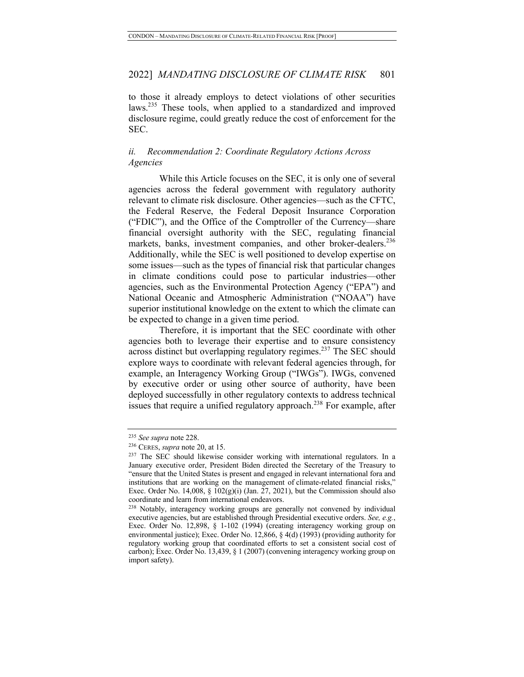to those it already employs to detect violations of other securities laws.235 These tools, when applied to a standardized and improved disclosure regime, could greatly reduce the cost of enforcement for the SEC.

### *ii. Recommendation 2: Coordinate Regulatory Actions Across Agencies*

While this Article focuses on the SEC, it is only one of several agencies across the federal government with regulatory authority relevant to climate risk disclosure. Other agencies—such as the CFTC, the Federal Reserve, the Federal Deposit Insurance Corporation ("FDIC"), and the Office of the Comptroller of the Currency—share financial oversight authority with the SEC, regulating financial markets, banks, investment companies, and other broker-dealers.<sup>236</sup> Additionally, while the SEC is well positioned to develop expertise on some issues—such as the types of financial risk that particular changes in climate conditions could pose to particular industries—other agencies, such as the Environmental Protection Agency ("EPA") and National Oceanic and Atmospheric Administration ("NOAA") have superior institutional knowledge on the extent to which the climate can be expected to change in a given time period.

Therefore, it is important that the SEC coordinate with other agencies both to leverage their expertise and to ensure consistency across distinct but overlapping regulatory regimes.<sup>237</sup> The SEC should explore ways to coordinate with relevant federal agencies through, for example, an Interagency Working Group ("IWGs"). IWGs, convened by executive order or using other source of authority, have been deployed successfully in other regulatory contexts to address technical issues that require a unified regulatory approach.<sup>238</sup> For example, after

<sup>235</sup> *See supra* note 228.

<sup>236</sup> CERES, *supra* note 20, at 15.

<sup>&</sup>lt;sup>237</sup> The SEC should likewise consider working with international regulators. In a January executive order, President Biden directed the Secretary of the Treasury to "ensure that the United States is present and engaged in relevant international fora and institutions that are working on the management of climate-related financial risks," Exec. Order No. 14,008,  $\S$  102(g)(i) (Jan. 27, 2021), but the Commission should also coordinate and learn from international endeavors.

<sup>&</sup>lt;sup>238</sup> Notably, interagency working groups are generally not convened by individual executive agencies, but are established through Presidential executive orders. *See, e.g.*, Exec. Order No. 12,898, § 1-102 (1994) (creating interagency working group on environmental justice); Exec. Order No. 12,866, § 4(d) (1993) (providing authority for regulatory working group that coordinated efforts to set a consistent social cost of carbon); Exec. Order No. 13,439, § 1 (2007) (convening interagency working group on import safety).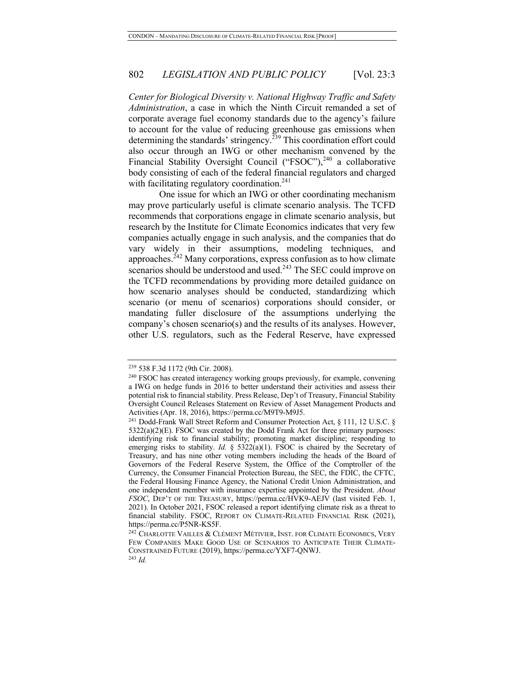*Center for Biological Diversity v. National Highway Traffic and Safety Administration*, a case in which the Ninth Circuit remanded a set of corporate average fuel economy standards due to the agency's failure to account for the value of reducing greenhouse gas emissions when determining the standards' stringency.<sup>239</sup> This coordination effort could also occur through an IWG or other mechanism convened by the Financial Stability Oversight Council ("FSOC"), $240$  a collaborative body consisting of each of the federal financial regulators and charged with facilitating regulatory coordination. $241$ 

One issue for which an IWG or other coordinating mechanism may prove particularly useful is climate scenario analysis. The TCFD recommends that corporations engage in climate scenario analysis, but research by the Institute for Climate Economics indicates that very few companies actually engage in such analysis, and the companies that do vary widely in their assumptions, modeling techniques, and approaches.<sup> $242$ </sup> Many corporations, express confusion as to how climate scenarios should be understood and used.<sup>243</sup> The SEC could improve on the TCFD recommendations by providing more detailed guidance on how scenario analyses should be conducted, standardizing which scenario (or menu of scenarios) corporations should consider, or mandating fuller disclosure of the assumptions underlying the company's chosen scenario(s) and the results of its analyses. However, other U.S. regulators, such as the Federal Reserve, have expressed

<sup>239</sup> 538 F.3d 1172 (9th Cir. 2008).

<sup>&</sup>lt;sup>240</sup> FSOC has created interagency working groups previously, for example, convening a IWG on hedge funds in 2016 to better understand their activities and assess their potential risk to financial stability. Press Release, Dep't of Treasury, Financial Stability Oversight Council Releases Statement on Review of Asset Management Products and Activities (Apr. 18, 2016), https://perma.cc/M9T9-M9J5.

<sup>&</sup>lt;sup>241</sup> Dodd-Frank Wall Street Reform and Consumer Protection Act, § 111, 12 U.S.C. § 5322(a)(2)(E). FSOC was created by the Dodd Frank Act for three primary purposes: identifying risk to financial stability; promoting market discipline; responding to emerging risks to stability. *Id.* § 5322(a)(1). FSOC is chaired by the Secretary of Treasury, and has nine other voting members including the heads of the Board of Governors of the Federal Reserve System, the Office of the Comptroller of the Currency, the Consumer Financial Protection Bureau, the SEC, the FDIC, the CFTC, the Federal Housing Finance Agency, the National Credit Union Administration, and one independent member with insurance expertise appointed by the President. *About FSOC*, DEP'T OF THE TREASURY, https://perma.cc/HVK9-AEJV (last visited Feb. 1, 2021). In October 2021, FSOC released a report identifying climate risk as a threat to financial stability. FSOC, REPORT ON CLIMATE-RELATED FINANCIAL RISK (2021), https://perma.cc/P5NR-KS5F.

<sup>242</sup> CHARLOTTE VAILLES & CLÉMENT MÉTIVIER, INST. FOR CLIMATE ECONOMICS, VERY FEW COMPANIES MAKE GOOD USE OF SCENARIOS TO ANTICIPATE THEIR CLIMATE-CONSTRAINED FUTURE (2019), https://perma.cc/YXF7-QNWJ. 243 *Id.*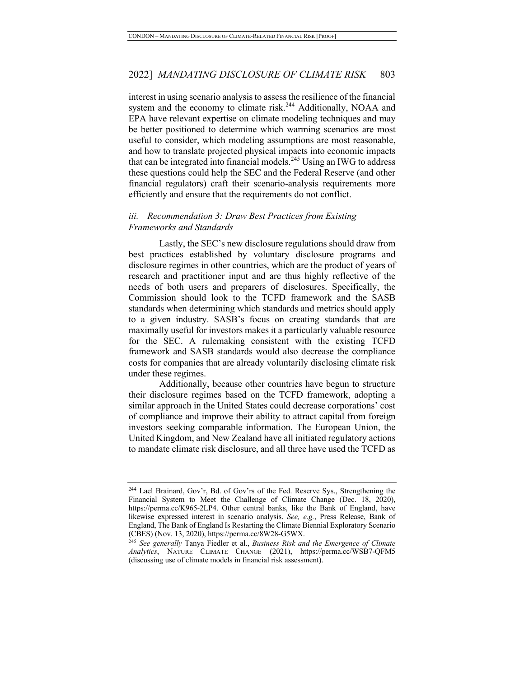interest in using scenario analysis to assess the resilience of the financial system and the economy to climate risk.<sup>244</sup> Additionally, NOAA and EPA have relevant expertise on climate modeling techniques and may be better positioned to determine which warming scenarios are most useful to consider, which modeling assumptions are most reasonable, and how to translate projected physical impacts into economic impacts that can be integrated into financial models.<sup>245</sup> Using an IWG to address these questions could help the SEC and the Federal Reserve (and other financial regulators) craft their scenario-analysis requirements more efficiently and ensure that the requirements do not conflict.

#### *iii. Recommendation 3: Draw Best Practices from Existing Frameworks and Standards*

Lastly, the SEC's new disclosure regulations should draw from best practices established by voluntary disclosure programs and disclosure regimes in other countries, which are the product of years of research and practitioner input and are thus highly reflective of the needs of both users and preparers of disclosures. Specifically, the Commission should look to the TCFD framework and the SASB standards when determining which standards and metrics should apply to a given industry. SASB's focus on creating standards that are maximally useful for investors makes it a particularly valuable resource for the SEC. A rulemaking consistent with the existing TCFD framework and SASB standards would also decrease the compliance costs for companies that are already voluntarily disclosing climate risk under these regimes.

Additionally, because other countries have begun to structure their disclosure regimes based on the TCFD framework, adopting a similar approach in the United States could decrease corporations' cost of compliance and improve their ability to attract capital from foreign investors seeking comparable information. The European Union, the United Kingdom, and New Zealand have all initiated regulatory actions to mandate climate risk disclosure, and all three have used the TCFD as

<sup>244</sup> Lael Brainard, Gov'r, Bd. of Gov'rs of the Fed. Reserve Sys., Strengthening the Financial System to Meet the Challenge of Climate Change (Dec. 18, 2020), https://perma.cc/K965-2LP4. Other central banks, like the Bank of England, have likewise expressed interest in scenario analysis. *See, e.g.*, Press Release, Bank of England, The Bank of England Is Restarting the Climate Biennial Exploratory Scenario (CBES) (Nov. 13, 2020), https://perma.cc/8W28-G5WX.

<sup>245</sup> *See generally* Tanya Fiedler et al., *Business Risk and the Emergence of Climate Analytics*, NATURE CLIMATE CHANGE (2021), https://perma.cc/WSB7-QFM5 (discussing use of climate models in financial risk assessment).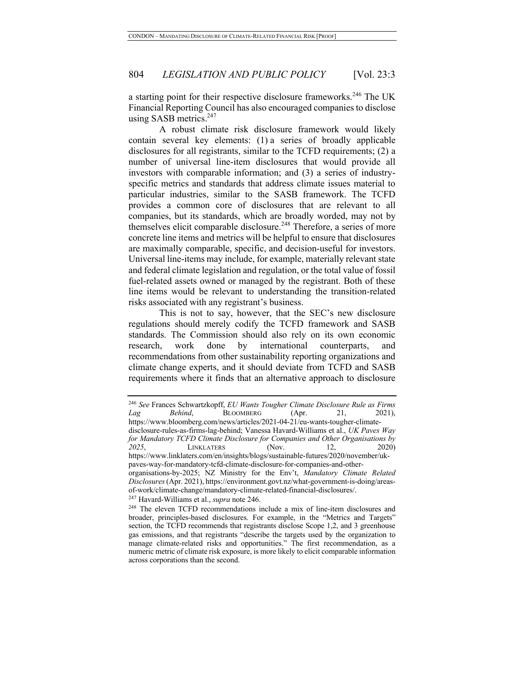a starting point for their respective disclosure frameworks.<sup>246</sup> The UK Financial Reporting Council has also encouraged companies to disclose using SASB metrics. $247$ 

A robust climate risk disclosure framework would likely contain several key elements: (1) a series of broadly applicable disclosures for all registrants, similar to the TCFD requirements; (2) a number of universal line-item disclosures that would provide all investors with comparable information; and (3) a series of industryspecific metrics and standards that address climate issues material to particular industries, similar to the SASB framework. The TCFD provides a common core of disclosures that are relevant to all companies, but its standards, which are broadly worded, may not by themselves elicit comparable disclosure.<sup>248</sup> Therefore, a series of more concrete line items and metrics will be helpful to ensure that disclosures are maximally comparable, specific, and decision-useful for investors. Universal line-items may include, for example, materially relevant state and federal climate legislation and regulation, or the total value of fossil fuel-related assets owned or managed by the registrant. Both of these line items would be relevant to understanding the transition-related risks associated with any registrant's business.

This is not to say, however, that the SEC's new disclosure regulations should merely codify the TCFD framework and SASB standards. The Commission should also rely on its own economic research, work done by international counterparts, and recommendations from other sustainability reporting organizations and climate change experts, and it should deviate from TCFD and SASB requirements where it finds that an alternative approach to disclosure

<sup>246</sup> *See* Frances Schwartzkopff, *EU Wants Tougher Climate Disclosure Rule as Firms Lag Behind*, **BLOOMBERG** (Apr. 21, 2021),

https://www.bloomberg.com/news/articles/2021-04-21/eu-wants-tougher-climatedisclosure-rules-as-firms-lag-behind; Vanessa Havard-Williams et al., *UK Paves Way for Mandatory TCFD Climate Disclosure for Companies and Other Organisations by 2025*, LINKLATERS (Nov. 12, 2020) https://www.linklaters.com/en/insights/blogs/sustainable-futures/2020/november/ukpaves-way-for-mandatory-tcfd-climate-disclosure-for-companies-and-other-

organisations-by-2025; NZ Ministry for the Env't, *Mandatory Climate Related Disclosures*(Apr. 2021), https://environment.govt.nz/what-government-is-doing/areasof-work/climate-change/mandatory-climate-related-financial-disclosures/.

<sup>&</sup>lt;sup>247</sup> Havard-Williams et al., *supra* note 246.<br><sup>248</sup> The eleven TCFD recommendations include a mix of line-item disclosures and broader, principles-based disclosures. For example, in the "Metrics and Targets" section, the TCFD recommends that registrants disclose Scope 1,2, and 3 greenhouse gas emissions, and that registrants "describe the targets used by the organization to manage climate-related risks and opportunities." The first recommendation, as a numeric metric of climate risk exposure, is more likely to elicit comparable information across corporations than the second.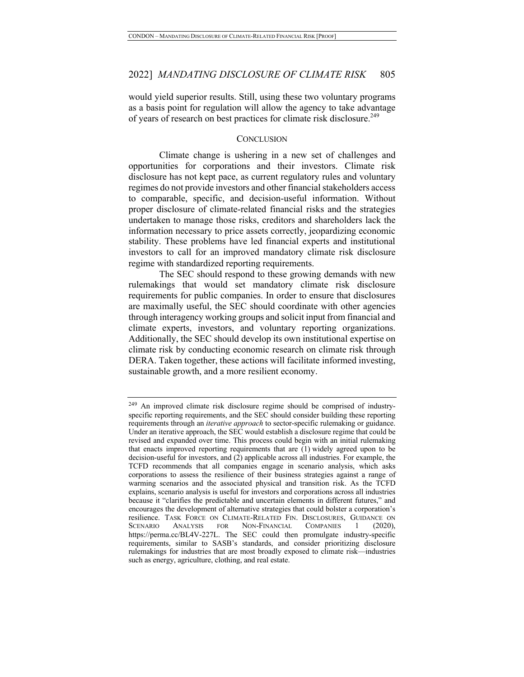would yield superior results. Still, using these two voluntary programs as a basis point for regulation will allow the agency to take advantage of years of research on best practices for climate risk disclosure.<sup>249</sup>

#### **CONCLUSION**

Climate change is ushering in a new set of challenges and opportunities for corporations and their investors. Climate risk disclosure has not kept pace, as current regulatory rules and voluntary regimes do not provide investors and other financial stakeholders access to comparable, specific, and decision-useful information. Without proper disclosure of climate-related financial risks and the strategies undertaken to manage those risks, creditors and shareholders lack the information necessary to price assets correctly, jeopardizing economic stability. These problems have led financial experts and institutional investors to call for an improved mandatory climate risk disclosure regime with standardized reporting requirements.

The SEC should respond to these growing demands with new rulemakings that would set mandatory climate risk disclosure requirements for public companies. In order to ensure that disclosures are maximally useful, the SEC should coordinate with other agencies through interagency working groups and solicit input from financial and climate experts, investors, and voluntary reporting organizations. Additionally, the SEC should develop its own institutional expertise on climate risk by conducting economic research on climate risk through DERA. Taken together, these actions will facilitate informed investing, sustainable growth, and a more resilient economy.

<sup>249</sup> An improved climate risk disclosure regime should be comprised of industryspecific reporting requirements, and the SEC should consider building these reporting requirements through an *iterative approach* to sector-specific rulemaking or guidance. Under an iterative approach, the SEC would establish a disclosure regime that could be revised and expanded over time. This process could begin with an initial rulemaking that enacts improved reporting requirements that are (1) widely agreed upon to be decision-useful for investors, and (2) applicable across all industries. For example, the TCFD recommends that all companies engage in scenario analysis, which asks corporations to assess the resilience of their business strategies against a range of warming scenarios and the associated physical and transition risk. As the TCFD explains, scenario analysis is useful for investors and corporations across all industries because it "clarifies the predictable and uncertain elements in different futures," and encourages the development of alternative strategies that could bolster a corporation's resilience. TASK FORCE ON CLIMATE-RELATED FIN. DISCLOSURES, GUIDANCE ON SCENARIO ANALYSIS FOR NON-FINANCIAL COMPANIES 1 (2020), https://perma.cc/BL4V-227L. The SEC could then promulgate industry-specific requirements, similar to SASB's standards, and consider prioritizing disclosure rulemakings for industries that are most broadly exposed to climate risk—industries such as energy, agriculture, clothing, and real estate.